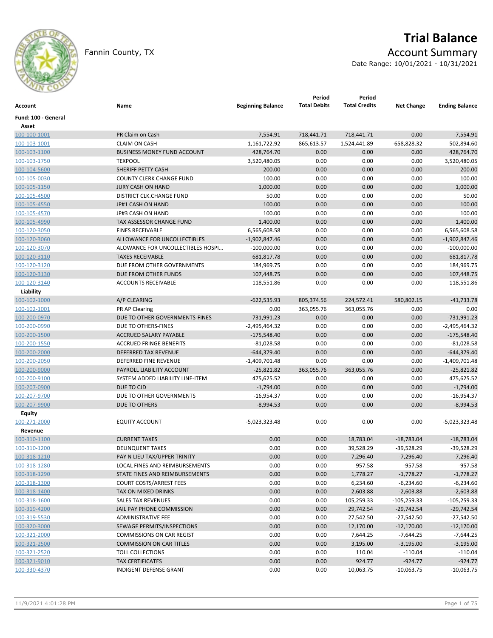

Fannin County, TX **Account Summary** 

# **Trial Balance**

Date Range: 10/01/2021 - 10/31/2021

| Account             | Name                               | <b>Beginning Balance</b> | Period<br><b>Total Debits</b> | Period<br><b>Total Credits</b> | <b>Net Change</b> | <b>Ending Balance</b> |
|---------------------|------------------------------------|--------------------------|-------------------------------|--------------------------------|-------------------|-----------------------|
| Fund: 100 - General |                                    |                          |                               |                                |                   |                       |
| Asset               |                                    |                          |                               |                                |                   |                       |
| 100-100-1001        | PR Claim on Cash                   | $-7,554.91$              | 718,441.71                    | 718,441.71                     | 0.00              | $-7,554.91$           |
| 100-103-1001        | <b>CLAIM ON CASH</b>               | 1,161,722.92             | 865,613.57                    | 1,524,441.89                   | -658,828.32       | 502,894.60            |
| 100-103-1100        | <b>BUSINESS MONEY FUND ACCOUNT</b> | 428,764.70               | 0.00                          | 0.00                           | 0.00              | 428,764.70            |
| 100-103-1750        | <b>TEXPOOL</b>                     | 3,520,480.05             | 0.00                          | 0.00                           | 0.00              | 3,520,480.05          |
| 100-104-5600        | SHERIFF PETTY CASH                 | 200.00                   | 0.00                          | 0.00                           | 0.00              | 200.00                |
| 100-105-0030        | <b>COUNTY CLERK CHANGE FUND</b>    | 100.00                   | 0.00                          | 0.00                           | 0.00              | 100.00                |
| 100-105-1150        | <b>JURY CASH ON HAND</b>           | 1,000.00                 | 0.00                          | 0.00                           | 0.00              | 1,000.00              |
| 100-105-4500        | DISTRICT CLK.CHANGE FUND           | 50.00                    | 0.00                          | 0.00                           | 0.00              | 50.00                 |
| 100-105-4550        | JP#1 CASH ON HAND                  | 100.00                   | 0.00                          | 0.00                           | 0.00              | 100.00                |
| 100-105-4570        | JP#3 CASH ON HAND                  | 100.00                   | 0.00                          | 0.00                           | 0.00              | 100.00                |
| 100-105-4990        | TAX ASSESSOR CHANGE FUND           | 1,400.00                 | 0.00                          | 0.00                           | 0.00              | 1,400.00              |
| 100-120-3050        | <b>FINES RECEIVABLE</b>            | 6,565,608.58             | 0.00                          | 0.00                           | 0.00              | 6,565,608.58          |
| 100-120-3060        | ALLOWANCE FOR UNCOLLECTIBLES       | $-1,902,847.46$          | 0.00                          | 0.00                           | 0.00              | $-1,902,847.46$       |
| 100-120-3070        | ALOWANCE FOR UNCOLLECTIBLES HOSPI  | $-100,000.00$            | 0.00                          | 0.00                           | 0.00              | $-100,000.00$         |
| 100-120-3110        | <b>TAXES RECEIVABLE</b>            | 681,817.78               | 0.00                          | 0.00                           | 0.00              | 681,817.78            |
| 100-120-3120        | DUE FROM OTHER GOVERNMENTS         | 184,969.75               | 0.00                          | 0.00                           | 0.00              | 184,969.75            |
| 100-120-3130        | DUE FROM OTHER FUNDS               | 107,448.75               | 0.00                          | 0.00                           | 0.00              | 107,448.75            |
| 100-120-3140        | <b>ACCOUNTS RECEIVABLE</b>         | 118,551.86               | 0.00                          | 0.00                           | 0.00              | 118,551.86            |
| Liability           |                                    |                          |                               |                                |                   |                       |
| 100-102-1000        | A/P CLEARING                       | $-622,535.93$            | 805,374.56                    | 224,572.41                     | 580,802.15        | $-41,733.78$          |
| 100-102-1001        | <b>PR AP Clearing</b>              | 0.00                     | 363,055.76                    | 363,055.76                     | 0.00              | 0.00                  |
| 100-200-0970        | DUE TO OTHER GOVERNMENTS-FINES     | -731,991.23              | 0.00                          | 0.00                           | 0.00              | $-731,991.23$         |
| 100-200-0990        | DUE TO OTHERS-FINES                | $-2,495,464.32$          | 0.00                          | 0.00                           | 0.00              | $-2,495,464.32$       |
| 100-200-1500        | ACCRUED SALARY PAYABLE             | $-175,548.40$            | 0.00                          | 0.00                           | 0.00              | $-175,548.40$         |
| 100-200-1550        | <b>ACCRUED FRINGE BENEFITS</b>     | $-81,028.58$             | 0.00                          | 0.00                           | 0.00              | $-81,028.58$          |
| 100-200-2000        | <b>DEFERRED TAX REVENUE</b>        | $-644,379.40$            | 0.00                          | 0.00                           | 0.00              | $-644,379.40$         |
| 100-200-2050        | DEFERRED FINE REVENUE              | $-1,409,701.48$          | 0.00                          | 0.00                           | 0.00              | $-1,409,701.48$       |
| 100-200-9000        | PAYROLL LIABILITY ACCOUNT          | $-25,821.82$             | 363,055.76                    | 363,055.76                     | 0.00              | $-25,821.82$          |
| 100-200-9100        | SYSTEM ADDED LIABILITY LINE-ITEM   | 475,625.52               | 0.00                          | 0.00                           | 0.00              | 475,625.52            |
| 100-207-0900        | DUE TO CJD                         | $-1,794.00$              | 0.00                          | 0.00                           | 0.00              | $-1,794.00$           |
| 100-207-9700        | DUE TO OTHER GOVERNMENTS           | $-16,954.37$             | 0.00                          | 0.00                           | 0.00              | $-16,954.37$          |
| 100-207-9900        | DUE TO OTHERS                      | $-8,994.53$              | 0.00                          | 0.00                           | 0.00              | $-8,994.53$           |
| Equity              |                                    |                          |                               |                                |                   |                       |
| 100-271-2000        | <b>EQUITY ACCOUNT</b>              | -5,023,323.48            | 0.00                          | 0.00                           | 0.00              | $-5,023,323.48$       |
| Revenue             |                                    |                          |                               |                                |                   |                       |
| 100-310-1100        | <b>CURRENT TAXES</b>               | 0.00                     | 0.00                          | 18,783.04                      | $-18,783.04$      | $-18,783.04$          |
| 100-310-1200        | <b>DELINQUENT TAXES</b>            | 0.00                     | 0.00                          | 39,528.29                      | $-39,528.29$      | $-39,528.29$          |
| 100-318-1210        | PAY N LIEU TAX/UPPER TRINITY       | 0.00                     | 0.00                          | 7,296.40                       | $-7,296.40$       | $-7,296.40$           |
| 100-318-1280        | LOCAL FINES AND REIMBURSEMENTS     | 0.00                     | 0.00                          | 957.58                         | $-957.58$         | $-957.58$             |
| 100-318-1290        | STATE FINES AND REIMBURSEMENTS     | 0.00                     | 0.00                          | 1,778.27                       | $-1,778.27$       | $-1,778.27$           |
| 100-318-1300        | <b>COURT COSTS/ARREST FEES</b>     | 0.00                     | 0.00                          | 6,234.60                       | $-6,234.60$       | $-6,234.60$           |
| 100-318-1400        | TAX ON MIXED DRINKS                | 0.00                     | 0.00                          | 2,603.88                       | $-2,603.88$       | $-2,603.88$           |
| 100-318-1600        | SALES TAX REVENUES                 | 0.00                     | 0.00                          | 105,259.33                     | $-105,259.33$     | $-105,259.33$         |
| 100-319-4200        | JAIL PAY PHONE COMMISSION          | 0.00                     | 0.00                          | 29,742.54                      | $-29,742.54$      | $-29,742.54$          |
| 100-319-5530        | <b>ADMINISTRATIVE FEE</b>          | 0.00                     | 0.00                          | 27,542.50                      | $-27,542.50$      | $-27,542.50$          |
| 100-320-3000        | SEWAGE PERMITS/INSPECTIONS         | 0.00                     | 0.00                          | 12,170.00                      | $-12,170.00$      | $-12,170.00$          |
| 100-321-2000        | COMMISSIONS ON CAR REGIST          | 0.00                     | 0.00                          | 7,644.25                       | $-7,644.25$       | $-7,644.25$           |
| 100-321-2500        | <b>COMMISSION ON CAR TITLES</b>    | 0.00                     | 0.00                          | 3,195.00                       | $-3,195.00$       | $-3,195.00$           |
| 100-321-2520        | <b>TOLL COLLECTIONS</b>            | 0.00                     | 0.00                          | 110.04                         | $-110.04$         | $-110.04$             |
| 100-321-9010        | <b>TAX CERTIFICATES</b>            | 0.00                     | 0.00                          | 924.77                         | $-924.77$         | $-924.77$             |
| 100-330-4370        | INDIGENT DEFENSE GRANT             | 0.00                     | 0.00                          | 10,063.75                      | $-10,063.75$      | $-10,063.75$          |
|                     |                                    |                          |                               |                                |                   |                       |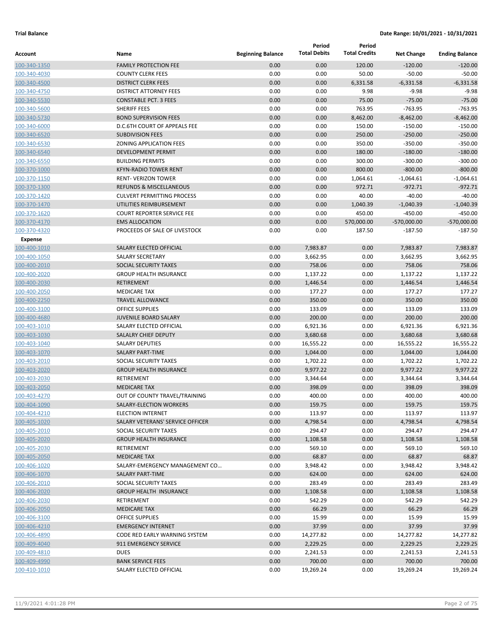|                                |                                    |                          | Period              | Period               |                   |                       |
|--------------------------------|------------------------------------|--------------------------|---------------------|----------------------|-------------------|-----------------------|
| Account                        | Name                               | <b>Beginning Balance</b> | <b>Total Debits</b> | <b>Total Credits</b> | <b>Net Change</b> | <b>Ending Balance</b> |
| 100-340-1350                   | <b>FAMILY PROTECTION FEE</b>       | 0.00                     | 0.00                | 120.00               | $-120.00$         | $-120.00$             |
| 100-340-4030                   | <b>COUNTY CLERK FEES</b>           | 0.00                     | 0.00                | 50.00                | $-50.00$          | $-50.00$              |
| 100-340-4500                   | <b>DISTRICT CLERK FEES</b>         | 0.00                     | 0.00                | 6,331.58             | $-6,331.58$       | $-6,331.58$           |
| 100-340-4750                   | <b>DISTRICT ATTORNEY FEES</b>      | 0.00                     | 0.00                | 9.98                 | $-9.98$           | $-9.98$               |
| 100-340-5530                   | <b>CONSTABLE PCT. 3 FEES</b>       | 0.00                     | 0.00                | 75.00                | $-75.00$          | $-75.00$              |
| 100-340-5600                   | SHERIFF FEES                       | 0.00                     | 0.00                | 763.95               | $-763.95$         | $-763.95$             |
| 100-340-5730                   | <b>BOND SUPERVISION FEES</b>       | 0.00                     | 0.00                | 8,462.00             | $-8,462.00$       | $-8,462.00$           |
| 100-340-6000                   | D.C.6TH COURT OF APPEALS FEE       | 0.00                     | 0.00                | 150.00               | $-150.00$         | $-150.00$             |
| 100-340-6520                   | <b>SUBDIVISION FEES</b>            | 0.00                     | 0.00                | 250.00               | $-250.00$         | $-250.00$             |
| 100-340-6530                   | ZONING APPLICATION FEES            | 0.00                     | 0.00                | 350.00               | $-350.00$         | $-350.00$             |
| 100-340-6540                   | <b>DEVELOPMENT PERMIT</b>          | 0.00                     | 0.00                | 180.00               | $-180.00$         | $-180.00$             |
| 100-340-6550                   | <b>BUILDING PERMITS</b>            | 0.00                     | 0.00                | 300.00               | $-300.00$         | $-300.00$             |
| 100-370-1000                   | <b>KFYN-RADIO TOWER RENT</b>       | 0.00                     | 0.00                | 800.00               | $-800.00$         | $-800.00$             |
| 100-370-1150                   | <b>RENT- VERIZON TOWER</b>         | 0.00                     | 0.00                | 1,064.61             | $-1,064.61$       | $-1,064.61$           |
| 100-370-1300                   | <b>REFUNDS &amp; MISCELLANEOUS</b> | 0.00                     | 0.00                | 972.71               | $-972.71$         | $-972.71$             |
| 100-370-1420                   | <b>CULVERT PERMITTING PROCESS</b>  | 0.00                     | 0.00                | 40.00                | $-40.00$          | $-40.00$              |
| 100-370-1470                   | UTILITIES REIMBURSEMENT            | 0.00                     | 0.00                | 1,040.39             | $-1,040.39$       | $-1,040.39$           |
| 100-370-1620                   | <b>COURT REPORTER SERVICE FEE</b>  | 0.00                     | 0.00                | 450.00               | $-450.00$         | $-450.00$             |
| 100-370-4170                   | <b>EMS ALLOCATION</b>              | 0.00                     | 0.00                | 570,000.00           | $-570,000.00$     | $-570,000.00$         |
| 100-370-4320<br><b>Expense</b> | PROCEEDS OF SALE OF LIVESTOCK      | 0.00                     | 0.00                | 187.50               | $-187.50$         | $-187.50$             |
| 100-400-1010                   | <b>SALARY ELECTED OFFICIAL</b>     | 0.00                     | 7,983.87            | 0.00                 | 7,983.87          | 7,983.87              |
| 100-400-1050                   | <b>SALARY SECRETARY</b>            | 0.00                     | 3,662.95            | 0.00                 | 3,662.95          | 3,662.95              |
| 100-400-2010                   | <b>SOCIAL SECURITY TAXES</b>       | 0.00                     | 758.06              | 0.00                 | 758.06            | 758.06                |
| 100-400-2020                   | <b>GROUP HEALTH INSURANCE</b>      | 0.00                     | 1,137.22            | 0.00                 | 1,137.22          | 1,137.22              |
| 100-400-2030                   | <b>RETIREMENT</b>                  | 0.00                     | 1,446.54            | 0.00                 | 1,446.54          | 1,446.54              |
| 100-400-2050                   | <b>MEDICARE TAX</b>                | 0.00                     | 177.27              | 0.00                 | 177.27            | 177.27                |
| 100-400-2250                   | <b>TRAVEL ALLOWANCE</b>            | 0.00                     | 350.00              | 0.00                 | 350.00            | 350.00                |
| 100-400-3100                   | <b>OFFICE SUPPLIES</b>             | 0.00                     | 133.09              | 0.00                 | 133.09            | 133.09                |
| 100-400-4680                   | <b>JUVENILE BOARD SALARY</b>       | 0.00                     | 200.00              | 0.00                 | 200.00            | 200.00                |
| 100-403-1010                   | SALARY ELECTED OFFICIAL            | 0.00                     | 6,921.36            | 0.00                 | 6,921.36          | 6,921.36              |
| 100-403-1030                   | SALALRY CHIEF DEPUTY               | 0.00                     | 3,680.68            | 0.00                 | 3,680.68          | 3,680.68              |
| 100-403-1040                   | <b>SALARY DEPUTIES</b>             | 0.00                     | 16,555.22           | 0.00                 | 16,555.22         | 16,555.22             |
| 100-403-1070                   | <b>SALARY PART-TIME</b>            | 0.00                     | 1,044.00            | 0.00                 | 1,044.00          | 1,044.00              |
| 100-403-2010                   | <b>SOCIAL SECURITY TAXES</b>       | 0.00                     | 1,702.22            | 0.00                 | 1,702.22          | 1,702.22              |
| 100-403-2020                   | <b>GROUP HEALTH INSURANCE</b>      | 0.00                     | 9,977.22            | 0.00                 | 9,977.22          | 9,977.22              |
| 100-403-2030                   | RETIREMENT                         | 0.00                     | 3,344.64            | 0.00                 | 3,344.64          | 3,344.64              |
| 100-403-2050                   | <b>MEDICARE TAX</b>                | 0.00                     | 398.09              | 0.00                 | 398.09            | 398.09                |
| 100-403-4270                   | OUT OF COUNTY TRAVEL/TRAINING      | 0.00                     | 400.00              | 0.00                 | 400.00            | 400.00                |
| 100-404-1090                   | SALARY-ELECTION WORKERS            | 0.00                     | 159.75              | 0.00                 | 159.75            | 159.75                |
| 100-404-4210                   | <b>ELECTION INTERNET</b>           | 0.00                     | 113.97              | 0.00                 | 113.97            | 113.97                |
| 100-405-1020                   | SALARY VETERANS' SERVICE OFFICER   | 0.00                     | 4,798.54            | 0.00                 | 4,798.54          | 4,798.54              |
| 100-405-2010                   | SOCIAL SECURITY TAXES              | 0.00                     | 294.47              | 0.00                 | 294.47            | 294.47                |
| 100-405-2020                   | <b>GROUP HEALTH INSURANCE</b>      | 0.00                     | 1,108.58            | 0.00                 | 1,108.58          | 1,108.58              |
| 100-405-2030                   | RETIREMENT                         | 0.00                     | 569.10              | 0.00                 | 569.10            | 569.10                |
| 100-405-2050                   | <b>MEDICARE TAX</b>                | 0.00                     | 68.87               | 0.00                 | 68.87             | 68.87                 |
| 100-406-1020                   | SALARY-EMERGENCY MANAGEMENT CO     | 0.00                     | 3,948.42            | 0.00                 | 3,948.42          | 3,948.42              |
| 100-406-1070                   | <b>SALARY PART-TIME</b>            | 0.00                     | 624.00              | 0.00                 | 624.00            | 624.00                |
| 100-406-2010                   | SOCIAL SECURITY TAXES              | 0.00                     | 283.49              | 0.00                 | 283.49            | 283.49                |
| 100-406-2020                   | <b>GROUP HEALTH INSURANCE</b>      | 0.00                     | 1,108.58            | 0.00                 | 1,108.58          | 1,108.58              |
| 100-406-2030                   | RETIREMENT                         | 0.00                     | 542.29              | 0.00                 | 542.29            | 542.29                |
| 100-406-2050                   | <b>MEDICARE TAX</b>                | 0.00                     | 66.29               | 0.00                 | 66.29             | 66.29                 |
| 100-406-3100                   | <b>OFFICE SUPPLIES</b>             | 0.00                     | 15.99               | 0.00                 | 15.99             | 15.99                 |
| 100-406-4210                   | <b>EMERGENCY INTERNET</b>          | 0.00                     | 37.99               | 0.00                 | 37.99             | 37.99                 |
| 100-406-4890                   | CODE RED EARLY WARNING SYSTEM      | 0.00                     | 14,277.82           | 0.00                 | 14,277.82         | 14,277.82             |
| 100-409-4040                   | 911 EMERGENCY SERVICE              | 0.00                     | 2,229.25            | 0.00                 | 2,229.25          | 2,229.25              |
| 100-409-4810                   | <b>DUES</b>                        | 0.00                     | 2,241.53            | 0.00                 | 2,241.53          | 2,241.53              |
| 100-409-4990                   | <b>BANK SERVICE FEES</b>           | 0.00                     | 700.00              | 0.00                 | 700.00            | 700.00                |
| 100-410-1010                   | SALARY ELECTED OFFICIAL            | 0.00                     | 19,269.24           | 0.00                 | 19,269.24         | 19,269.24             |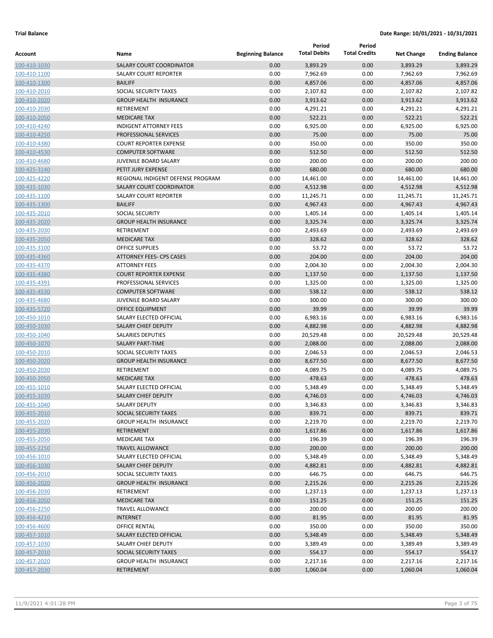|                              |                                                        |                          | Period               | Period               |                      |                       |
|------------------------------|--------------------------------------------------------|--------------------------|----------------------|----------------------|----------------------|-----------------------|
| Account                      | Name                                                   | <b>Beginning Balance</b> | <b>Total Debits</b>  | <b>Total Credits</b> | <b>Net Change</b>    | <b>Ending Balance</b> |
| 100-410-1030                 | <b>SALARY COURT COORDINATOR</b>                        | 0.00                     | 3,893.29             | 0.00                 | 3,893.29             | 3,893.29              |
| 100-410-1100                 | <b>SALARY COURT REPORTER</b>                           | 0.00                     | 7,962.69             | 0.00                 | 7,962.69             | 7,962.69              |
| 100-410-1300                 | <b>BAILIFF</b>                                         | 0.00                     | 4,857.06             | 0.00                 | 4,857.06             | 4,857.06              |
| 100-410-2010                 | SOCIAL SECURITY TAXES                                  | 0.00                     | 2,107.82             | 0.00                 | 2,107.82             | 2,107.82              |
| 100-410-2020                 | <b>GROUP HEALTH INSURANCE</b>                          | 0.00                     | 3,913.62             | 0.00                 | 3,913.62             | 3,913.62              |
| 100-410-2030                 | RETIREMENT                                             | 0.00                     | 4,291.21             | 0.00                 | 4,291.21             | 4,291.21              |
| 100-410-2050                 | <b>MEDICARE TAX</b>                                    | 0.00                     | 522.21               | 0.00                 | 522.21               | 522.21                |
| 100-410-4240                 | <b>INDIGENT ATTORNEY FEES</b>                          | 0.00                     | 6,925.00             | 0.00                 | 6,925.00             | 6,925.00              |
| 100-410-4250                 | PROFESSIONAL SERVICES                                  | 0.00                     | 75.00                | 0.00                 | 75.00                | 75.00                 |
| 100-410-4380                 | <b>COURT REPORTER EXPENSE</b>                          | 0.00                     | 350.00               | 0.00                 | 350.00               | 350.00                |
| 100-410-4530                 | <b>COMPUTER SOFTWARE</b>                               | 0.00                     | 512.50               | 0.00                 | 512.50               | 512.50                |
| 100-410-4680                 | JUVENILE BOARD SALARY                                  | 0.00                     | 200.00               | 0.00                 | 200.00               | 200.00                |
| 100-425-3140                 | PETIT JURY EXPENSE                                     | 0.00                     | 680.00               | 0.00                 | 680.00               | 680.00                |
| 100-425-4220                 | REGIONAL INDIGENT DEFENSE PROGRAM                      | 0.00                     | 14,461.00            | 0.00                 | 14,461.00            | 14,461.00             |
| 100-435-1030                 | <b>SALARY COURT COORDINATOR</b>                        | 0.00                     | 4,512.98             | 0.00                 | 4,512.98             | 4,512.98              |
| 100-435-1100                 | <b>SALARY COURT REPORTER</b>                           | 0.00                     | 11,245.71            | 0.00                 | 11,245.71            | 11,245.71             |
| 100-435-1300                 | <b>BAILIFF</b>                                         | 0.00                     | 4,967.43             | 0.00                 | 4,967.43             | 4,967.43              |
| 100-435-2010                 | <b>SOCIAL SECURITY</b>                                 | 0.00                     | 1,405.14             | 0.00                 | 1,405.14             | 1,405.14              |
| 100-435-2020                 | <b>GROUP HEALTH INSURANCE</b>                          | 0.00                     | 3,325.74             | 0.00                 | 3,325.74             | 3,325.74              |
| 100-435-2030                 | <b>RETIREMENT</b>                                      | 0.00                     | 2,493.69             | 0.00                 | 2,493.69             | 2,493.69              |
| 100-435-2050                 | <b>MEDICARE TAX</b>                                    | 0.00                     | 328.62               | 0.00                 | 328.62               | 328.62                |
| 100-435-3100                 | <b>OFFICE SUPPLIES</b>                                 | 0.00                     | 53.72                | 0.00                 | 53.72                | 53.72                 |
| 100-435-4360                 | <b>ATTORNEY FEES- CPS CASES</b>                        | 0.00                     | 204.00               | 0.00                 | 204.00               | 204.00                |
| 100-435-4370                 | <b>ATTORNEY FEES</b>                                   | 0.00                     | 2,004.30             | 0.00                 | 2,004.30             | 2,004.30              |
| 100-435-4380                 | <b>COURT REPORTER EXPENSE</b>                          | 0.00                     | 1,137.50             | 0.00                 | 1,137.50             | 1,137.50              |
| 100-435-4391                 | PROFESSIONAL SERVICES                                  | 0.00                     | 1,325.00             | 0.00                 | 1,325.00             | 1,325.00              |
| 100-435-4530                 | <b>COMPUTER SOFTWARE</b>                               | 0.00                     | 538.12               | 0.00                 | 538.12               | 538.12                |
| 100-435-4680                 | JUVENILE BOARD SALARY                                  | 0.00                     | 300.00               | 0.00                 | 300.00               | 300.00                |
| 100-435-5720                 | OFFICE EQUIPMENT                                       | 0.00                     | 39.99                | 0.00                 | 39.99                | 39.99                 |
| 100-450-1010                 | SALARY ELECTED OFFICIAL                                | 0.00                     | 6,983.16             | 0.00                 | 6,983.16             | 6,983.16              |
| 100-450-1030                 | <b>SALARY CHIEF DEPUTY</b>                             | 0.00                     | 4,882.98             | 0.00                 | 4,882.98             | 4,882.98              |
| 100-450-1040                 | <b>SALARIES DEPUTIES</b>                               | 0.00                     | 20,529.48            | 0.00                 | 20,529.48            | 20,529.48             |
| 100-450-1070                 | <b>SALARY PART-TIME</b>                                | 0.00                     | 2,088.00             | 0.00                 | 2,088.00             | 2,088.00              |
| 100-450-2010                 | <b>SOCIAL SECURITY TAXES</b>                           | 0.00                     | 2,046.53             | 0.00                 | 2,046.53             | 2,046.53              |
| 100-450-2020                 | <b>GROUP HEALTH INSURANCE</b>                          | 0.00                     | 8,677.50             | 0.00                 | 8,677.50             | 8,677.50              |
| 100-450-2030                 | RETIREMENT                                             | 0.00                     | 4,089.75             | 0.00                 | 4,089.75             | 4,089.75              |
| 100-450-2050                 | <b>MEDICARE TAX</b>                                    | 0.00                     | 478.63               | 0.00                 | 478.63               | 478.63                |
| 100-455-1010                 | SALARY ELECTED OFFICIAL<br><b>SALARY CHIEF DEPUTY</b>  | 0.00<br>0.00             | 5,348.49             | 0.00<br>0.00         | 5,348.49             | 5,348.49              |
| 100-455-1030<br>100-455-1040 | SALARY DEPUTY                                          | 0.00                     | 4,746.03<br>3,346.83 | 0.00                 | 4,746.03<br>3,346.83 | 4,746.03<br>3,346.83  |
|                              |                                                        |                          |                      |                      |                      | 839.71                |
| 100-455-2010                 | SOCIAL SECURITY TAXES<br><b>GROUP HEALTH INSURANCE</b> | 0.00                     | 839.71               | 0.00                 | 839.71               |                       |
| 100-455-2020<br>100-455-2030 | RETIREMENT                                             | 0.00<br>0.00             | 2,219.70<br>1,617.86 | 0.00<br>0.00         | 2,219.70<br>1,617.86 | 2,219.70<br>1,617.86  |
| 100-455-2050                 | MEDICARE TAX                                           | 0.00                     | 196.39               | 0.00                 | 196.39               | 196.39                |
| 100-455-2250                 | <b>TRAVEL ALLOWANCE</b>                                | 0.00                     | 200.00               | 0.00                 | 200.00               | 200.00                |
| 100-456-1010                 | SALARY ELECTED OFFICIAL                                | 0.00                     | 5,348.49             | 0.00                 | 5,348.49             | 5,348.49              |
| 100-456-1030                 | <b>SALARY CHIEF DEPUTY</b>                             | 0.00                     | 4,882.81             | 0.00                 | 4,882.81             | 4,882.81              |
| 100-456-2010                 | SOCIAL SECURITY TAXES                                  | 0.00                     | 646.75               | 0.00                 | 646.75               | 646.75                |
| 100-456-2020                 | <b>GROUP HEALTH INSURANCE</b>                          | 0.00                     | 2,215.26             | 0.00                 | 2,215.26             | 2,215.26              |
| 100-456-2030                 | RETIREMENT                                             | 0.00                     | 1,237.13             | 0.00                 | 1,237.13             | 1,237.13              |
| 100-456-2050                 | <b>MEDICARE TAX</b>                                    | 0.00                     | 151.25               | 0.00                 | 151.25               | 151.25                |
| 100-456-2250                 | <b>TRAVEL ALLOWANCE</b>                                | 0.00                     | 200.00               | 0.00                 | 200.00               | 200.00                |
| 100-456-4210                 | <b>INTERNET</b>                                        | 0.00                     | 81.95                | 0.00                 | 81.95                | 81.95                 |
| 100-456-4600                 | <b>OFFICE RENTAL</b>                                   | 0.00                     | 350.00               | 0.00                 | 350.00               | 350.00                |
| 100-457-1010                 | SALARY ELECTED OFFICIAL                                | 0.00                     | 5,348.49             | 0.00                 | 5,348.49             | 5,348.49              |
| 100-457-1030                 | SALARY CHIEF DEPUTY                                    | 0.00                     | 3,389.49             | 0.00                 | 3,389.49             | 3,389.49              |
| 100-457-2010                 | SOCIAL SECURITY TAXES                                  | 0.00                     | 554.17               | 0.00                 | 554.17               | 554.17                |
| 100-457-2020                 | <b>GROUP HEALTH INSURANCE</b>                          | 0.00                     | 2,217.16             | 0.00                 | 2,217.16             | 2,217.16              |
| 100-457-2030                 | RETIREMENT                                             | 0.00                     | 1,060.04             | 0.00                 | 1,060.04             | 1,060.04              |
|                              |                                                        |                          |                      |                      |                      |                       |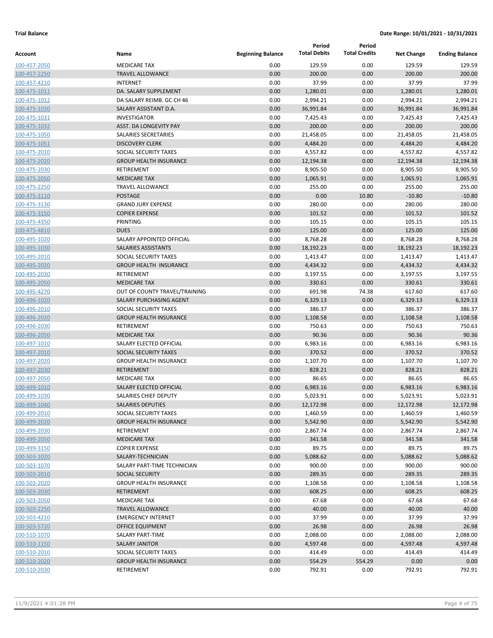|              |                               |                          | Period              | Period               |                   |                       |
|--------------|-------------------------------|--------------------------|---------------------|----------------------|-------------------|-----------------------|
| Account      | Name                          | <b>Beginning Balance</b> | <b>Total Debits</b> | <b>Total Credits</b> | <b>Net Change</b> | <b>Ending Balance</b> |
| 100-457-2050 | <b>MEDICARE TAX</b>           | 0.00                     | 129.59              | 0.00                 | 129.59            | 129.59                |
| 100-457-2250 | <b>TRAVEL ALLOWANCE</b>       | 0.00                     | 200.00              | 0.00                 | 200.00            | 200.00                |
| 100-457-4210 | <b>INTERNET</b>               | 0.00                     | 37.99               | 0.00                 | 37.99             | 37.99                 |
| 100-475-1011 | DA. SALARY SUPPLEMENT         | 0.00                     | 1,280.01            | 0.00                 | 1,280.01          | 1,280.01              |
| 100-475-1012 | DA SALARY REIMB. GC CH 46     | 0.00                     | 2,994.21            | 0.00                 | 2,994.21          | 2,994.21              |
| 100-475-1030 | SALARY ASSISTANT D.A.         | 0.00                     | 36,991.84           | 0.00                 | 36,991.84         | 36,991.84             |
| 100-475-1031 | <b>INVESTIGATOR</b>           | 0.00                     | 7,425.43            | 0.00                 | 7,425.43          | 7,425.43              |
| 100-475-1032 | ASST. DA LONGEVITY PAY        | 0.00                     | 200.00              | 0.00                 | 200.00            | 200.00                |
| 100-475-1050 | SALARIES SECRETARIES          | 0.00                     | 21,458.05           | 0.00                 | 21,458.05         | 21,458.05             |
| 100-475-1051 | <b>DISCOVERY CLERK</b>        | 0.00                     | 4,484.20            | 0.00                 | 4,484.20          | 4,484.20              |
| 100-475-2010 | SOCIAL SECURITY TAXES         | 0.00                     | 4,557.82            | 0.00                 | 4,557.82          | 4,557.82              |
| 100-475-2020 | <b>GROUP HEALTH INSURANCE</b> | 0.00                     | 12,194.38           | 0.00                 | 12,194.38         | 12,194.38             |
| 100-475-2030 | RETIREMENT                    | 0.00                     | 8,905.50            | 0.00                 | 8,905.50          | 8,905.50              |
| 100-475-2050 | <b>MEDICARE TAX</b>           | 0.00                     | 1,065.91            | 0.00                 | 1,065.91          | 1,065.91              |
| 100-475-2250 | <b>TRAVEL ALLOWANCE</b>       | 0.00                     | 255.00              | 0.00                 | 255.00            | 255.00                |
| 100-475-3110 | <b>POSTAGE</b>                | 0.00                     | 0.00                | 10.80                | $-10.80$          | $-10.80$              |
| 100-475-3130 | <b>GRAND JURY EXPENSE</b>     | 0.00                     | 280.00              | 0.00                 | 280.00            | 280.00                |
| 100-475-3150 | <b>COPIER EXPENSE</b>         | 0.00                     | 101.52              | 0.00                 | 101.52            | 101.52                |
| 100-475-4350 | PRINTING                      | 0.00                     | 105.15              | 0.00                 | 105.15            | 105.15                |
| 100-475-4810 | <b>DUES</b>                   | 0.00                     | 125.00              | 0.00                 | 125.00            | 125.00                |
| 100-495-1020 | SALARY APPOINTED OFFICIAL     | 0.00                     | 8,768.28            | 0.00                 | 8,768.28          | 8,768.28              |
| 100-495-1030 | SALARIES ASSISTANTS           | 0.00                     | 18,192.23           | 0.00                 | 18,192.23         | 18,192.23             |
| 100-495-2010 | SOCIAL SECURITY TAXES         | 0.00                     | 1,413.47            | 0.00                 | 1,413.47          | 1,413.47              |
| 100-495-2020 | <b>GROUP HEALTH INSURANCE</b> | 0.00                     | 4,434.32            | 0.00                 | 4,434.32          | 4,434.32              |
| 100-495-2030 | RETIREMENT                    | 0.00                     | 3,197.55            | 0.00                 | 3,197.55          | 3,197.55              |
| 100-495-2050 | <b>MEDICARE TAX</b>           | 0.00                     | 330.61              | 0.00                 | 330.61            | 330.61                |
| 100-495-4270 | OUT OF COUNTY TRAVEL/TRAINING | 0.00                     | 691.98              | 74.38                | 617.60            | 617.60                |
| 100-496-1020 | SALARY PURCHASING AGENT       | 0.00                     | 6,329.13            | 0.00                 | 6,329.13          | 6,329.13              |
| 100-496-2010 | SOCIAL SECURITY TAXES         | 0.00                     | 386.37              | 0.00                 | 386.37            | 386.37                |
| 100-496-2020 | <b>GROUP HEALTH INSURANCE</b> | 0.00                     | 1,108.58            | 0.00                 | 1,108.58          | 1,108.58              |
| 100-496-2030 | RETIREMENT                    | 0.00                     | 750.63              | 0.00                 | 750.63            | 750.63                |
| 100-496-2050 | <b>MEDICARE TAX</b>           | 0.00                     | 90.36               | 0.00                 | 90.36             | 90.36                 |
| 100-497-1010 | SALARY ELECTED OFFICIAL       | 0.00                     | 6,983.16            | 0.00                 | 6,983.16          | 6,983.16              |
| 100-497-2010 | SOCIAL SECURITY TAXES         | 0.00                     | 370.52              | 0.00                 | 370.52            | 370.52                |
| 100-497-2020 | <b>GROUP HEALTH INSURANCE</b> | 0.00                     | 1,107.70            | 0.00                 | 1,107.70          | 1,107.70              |
| 100-497-2030 | <b>RETIREMENT</b>             | 0.00                     | 828.21              | 0.00                 | 828.21            | 828.21                |
| 100-497-2050 | <b>MEDICARE TAX</b>           | 0.00                     | 86.65               | 0.00                 | 86.65             | 86.65                 |
| 100-499-1010 | SALARY ELECTED OFFICIAL       | 0.00                     | 6,983.16            | 0.00                 | 6,983.16          | 6,983.16              |
| 100-499-1030 | <b>SALARIES CHIEF DEPUTY</b>  | 0.00                     | 5,023.91            | 0.00                 | 5,023.91          | 5,023.91              |
| 100-499-1040 | SALARIES DEPUTIES             | 0.00                     | 12,172.98           | 0.00                 | 12,172.98         | 12,172.98             |
| 100-499-2010 | SOCIAL SECURITY TAXES         | 0.00                     | 1,460.59            | 0.00                 | 1,460.59          | 1,460.59              |
| 100-499-2020 | <b>GROUP HEALTH INSURANCE</b> | 0.00                     | 5,542.90            | 0.00                 | 5,542.90          | 5,542.90              |
| 100-499-2030 | RETIREMENT                    | 0.00                     | 2,867.74            | 0.00                 | 2,867.74          | 2,867.74              |
| 100-499-2050 | <b>MEDICARE TAX</b>           | 0.00                     | 341.58              | 0.00                 | 341.58            | 341.58                |
| 100-499-3150 | <b>COPIER EXPENSE</b>         | 0.00                     | 89.75               | 0.00                 | 89.75             | 89.75                 |
| 100-503-1020 | SALARY-TECHNICIAN             | 0.00                     | 5,088.62            | 0.00                 | 5,088.62          | 5,088.62              |
| 100-503-1070 | SALARY PART-TIME TECHNICIAN   | 0.00                     | 900.00              | 0.00                 | 900.00            | 900.00                |
| 100-503-2010 | <b>SOCIAL SECURITY</b>        | 0.00                     | 289.35              | 0.00                 | 289.35            | 289.35                |
| 100-503-2020 | <b>GROUP HEALTH INSURANCE</b> | 0.00                     | 1,108.58            | 0.00                 | 1,108.58          | 1,108.58              |
| 100-503-2030 | <b>RETIREMENT</b>             | 0.00                     | 608.25              | 0.00                 | 608.25            | 608.25                |
| 100-503-2050 | <b>MEDICARE TAX</b>           | 0.00                     | 67.68               | 0.00                 | 67.68             | 67.68                 |
| 100-503-2250 | <b>TRAVEL ALLOWANCE</b>       | 0.00                     | 40.00               | 0.00                 | 40.00             | 40.00                 |
| 100-503-4210 | <b>EMERGENCY INTERNET</b>     | 0.00                     | 37.99               | 0.00                 | 37.99             | 37.99                 |
| 100-503-5720 | OFFICE EQUIPMENT              | 0.00                     | 26.98               | 0.00                 | 26.98             | 26.98                 |
| 100-510-1070 | SALARY PART-TIME              | 0.00                     | 2,088.00            | 0.00                 | 2,088.00          | 2,088.00              |
| 100-510-1150 | <b>SALARY JANITOR</b>         | 0.00                     | 4,597.48            | 0.00                 | 4,597.48          | 4,597.48              |
| 100-510-2010 | SOCIAL SECURITY TAXES         | 0.00                     | 414.49              | 0.00                 | 414.49            | 414.49                |
| 100-510-2020 | <b>GROUP HEALTH INSURANCE</b> | 0.00                     | 554.29              | 554.29               | 0.00              | 0.00                  |
| 100-510-2030 | RETIREMENT                    | 0.00                     | 792.91              | 0.00                 | 792.91            | 792.91                |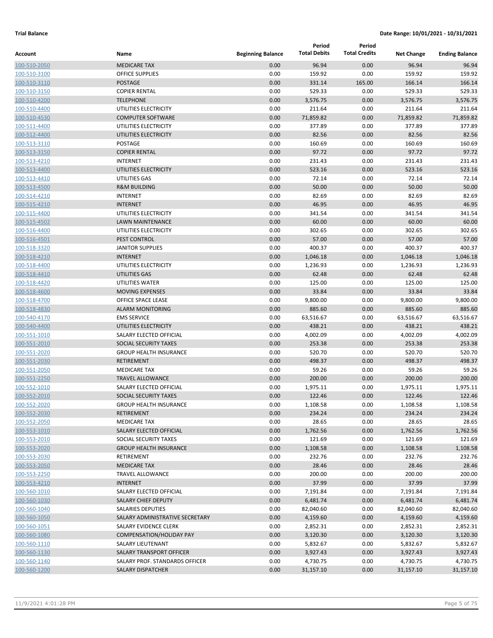| Account                      | Name                                                    | <b>Beginning Balance</b> | Period<br><b>Total Debits</b> | Period<br><b>Total Credits</b> | <b>Net Change</b>  | <b>Ending Balance</b> |
|------------------------------|---------------------------------------------------------|--------------------------|-------------------------------|--------------------------------|--------------------|-----------------------|
| 100-510-2050                 | <b>MEDICARE TAX</b>                                     | 0.00                     | 96.94                         | 0.00                           | 96.94              | 96.94                 |
| 100-510-3100                 | <b>OFFICE SUPPLIES</b>                                  | 0.00                     | 159.92                        | 0.00                           | 159.92             | 159.92                |
| 100-510-3110                 | POSTAGE                                                 | 0.00                     | 331.14                        | 165.00                         | 166.14             | 166.14                |
| 100-510-3150                 | <b>COPIER RENTAL</b>                                    | 0.00                     | 529.33                        | 0.00                           | 529.33             | 529.33                |
| 100-510-4200                 | <b>TELEPHONE</b>                                        | 0.00                     | 3,576.75                      | 0.00                           | 3,576.75           | 3,576.75              |
| 100-510-4400                 | UTILITIES ELECTRICITY                                   | 0.00                     | 211.64                        | 0.00                           | 211.64             | 211.64                |
| 100-510-4530                 | <b>COMPUTER SOFTWARE</b>                                | 0.00                     | 71,859.82                     | 0.00                           | 71,859.82          | 71,859.82             |
| 100-511-4400                 | UTILITIES ELECTRICITY                                   | 0.00                     | 377.89                        | 0.00                           | 377.89             | 377.89                |
| 100-512-4400                 | UTILITIES ELECTRICITY                                   | 0.00                     | 82.56                         | 0.00                           | 82.56              | 82.56                 |
| 100-513-3110                 | <b>POSTAGE</b>                                          | 0.00                     | 160.69                        | 0.00                           | 160.69             | 160.69                |
| 100-513-3150                 | <b>COPIER RENTAL</b>                                    | 0.00                     | 97.72                         | 0.00                           | 97.72              | 97.72                 |
| 100-513-4210                 | <b>INTERNET</b>                                         | 0.00                     | 231.43                        | 0.00                           | 231.43             | 231.43                |
| 100-513-4400                 | UTILITIES ELECTRICITY                                   | 0.00                     | 523.16                        | 0.00                           | 523.16             | 523.16                |
| 100-513-4410                 | UTILITIES GAS                                           | 0.00                     | 72.14                         | 0.00                           | 72.14              | 72.14                 |
| 100-513-4500                 | <b>R&amp;M BUILDING</b>                                 | 0.00                     | 50.00                         | 0.00                           | 50.00              | 50.00                 |
| 100-514-4210                 | <b>INTERNET</b>                                         | 0.00                     | 82.69                         | 0.00                           | 82.69              | 82.69                 |
| 100-515-4210                 | <b>INTERNET</b>                                         | 0.00                     | 46.95                         | 0.00                           | 46.95              | 46.95                 |
| 100-515-4400                 | UTILITIES ELECTRICITY                                   | 0.00                     | 341.54                        | 0.00                           | 341.54             | 341.54                |
| 100-515-4502                 | <b>LAWN MAINTENANCE</b>                                 | 0.00                     | 60.00                         | 0.00                           | 60.00              | 60.00                 |
| 100-516-4400                 | UTILITIES ELECTRICITY                                   | 0.00                     | 302.65                        | 0.00                           | 302.65             | 302.65                |
| 100-516-4501                 | PEST CONTROL                                            | 0.00                     | 57.00                         | 0.00                           | 57.00              | 57.00                 |
| 100-518-3320                 | <b>JANITOR SUPPLIES</b>                                 | 0.00                     | 400.37                        | 0.00                           | 400.37             | 400.37                |
| 100-518-4210                 | <b>INTERNET</b>                                         | 0.00                     | 1,046.18                      | 0.00                           | 1,046.18           | 1,046.18              |
| 100-518-4400                 | UTILITIES ELECTRICITY                                   | 0.00                     | 1,236.93                      | 0.00                           | 1,236.93           | 1,236.93              |
| 100-518-4410                 | <b>UTILITIES GAS</b>                                    | 0.00                     | 62.48                         | 0.00                           | 62.48              | 62.48                 |
| 100-518-4420                 | UTILITIES WATER                                         | 0.00                     | 125.00                        | 0.00                           | 125.00             | 125.00                |
| 100-518-4600                 | <b>MOVING EXPENSES</b>                                  | 0.00                     | 33.84                         | 0.00                           | 33.84              | 33.84                 |
| 100-518-4700                 | OFFICE SPACE LEASE                                      | 0.00                     | 9,800.00                      | 0.00                           | 9,800.00           | 9,800.00              |
| 100-518-4830                 | <b>ALARM MONITORING</b>                                 | 0.00                     | 885.60                        | 0.00                           | 885.60             | 885.60                |
| 100-540-4170                 | <b>EMS SERVICE</b>                                      | 0.00                     | 63,516.67                     | 0.00                           | 63,516.67          | 63,516.67             |
| 100-540-4400                 | UTILITIES ELECTRICITY                                   | 0.00                     | 438.21                        | 0.00                           | 438.21             | 438.21                |
| 100-551-1010                 | SALARY ELECTED OFFICIAL                                 | 0.00                     | 4,002.09                      | 0.00                           | 4,002.09           | 4,002.09              |
| 100-551-2010                 | <b>SOCIAL SECURITY TAXES</b>                            | 0.00                     | 253.38                        | 0.00                           | 253.38             | 253.38                |
| 100-551-2020                 | <b>GROUP HEALTH INSURANCE</b>                           | 0.00                     | 520.70                        | 0.00                           | 520.70             | 520.70                |
| 100-551-2030                 | <b>RETIREMENT</b>                                       | 0.00                     | 498.37                        | 0.00                           | 498.37             | 498.37                |
| 100-551-2050                 | <b>MEDICARE TAX</b>                                     | 0.00                     | 59.26                         | 0.00                           | 59.26              | 59.26                 |
| 100-551-2250                 | <b>TRAVEL ALLOWANCE</b>                                 | 0.00                     | 200.00                        | 0.00                           | 200.00             | 200.00                |
| 100-552-1010                 | SALARY ELECTED OFFICIAL<br><b>SOCIAL SECURITY TAXES</b> | 0.00                     | 1,975.11                      | 0.00                           | 1,975.11           | 1,975.11<br>122.46    |
| 100-552-2010                 |                                                         | 0.00                     | 122.46                        | 0.00                           | 122.46             |                       |
| 100-552-2020<br>100-552-2030 | <b>GROUP HEALTH INSURANCE</b><br>RETIREMENT             | 0.00<br>0.00             | 1,108.58<br>234.24            | 0.00<br>0.00                   | 1,108.58<br>234.24 | 1,108.58<br>234.24    |
| 100-552-2050                 | <b>MEDICARE TAX</b>                                     | 0.00                     | 28.65                         | 0.00                           | 28.65              | 28.65                 |
| 100-553-1010                 | SALARY ELECTED OFFICIAL                                 | 0.00                     | 1,762.56                      | 0.00                           | 1,762.56           | 1,762.56              |
| 100-553-2010                 | SOCIAL SECURITY TAXES                                   | 0.00                     | 121.69                        | 0.00                           | 121.69             | 121.69                |
| 100-553-2020                 | <b>GROUP HEALTH INSURANCE</b>                           | 0.00                     | 1,108.58                      | 0.00                           | 1,108.58           | 1,108.58              |
| 100-553-2030                 | RETIREMENT                                              | 0.00                     | 232.76                        | 0.00                           | 232.76             | 232.76                |
| 100-553-2050                 | <b>MEDICARE TAX</b>                                     | 0.00                     | 28.46                         | 0.00                           | 28.46              | 28.46                 |
| 100-553-2250                 | TRAVEL ALLOWANCE                                        | 0.00                     | 200.00                        | 0.00                           | 200.00             | 200.00                |
| 100-553-4210                 | <b>INTERNET</b>                                         | 0.00                     | 37.99                         | 0.00                           | 37.99              | 37.99                 |
| 100-560-1010                 | SALARY ELECTED OFFICIAL                                 | 0.00                     | 7,191.84                      | 0.00                           | 7,191.84           | 7,191.84              |
| 100-560-1030                 | <b>SALARY CHIEF DEPUTY</b>                              | 0.00                     | 6,481.74                      | 0.00                           | 6,481.74           | 6,481.74              |
| 100-560-1040                 | SALARIES DEPUTIES                                       | 0.00                     | 82,040.60                     | 0.00                           | 82,040.60          | 82,040.60             |
| 100-560-1050                 | SALARY ADMINISTRATIVE SECRETARY                         | 0.00                     | 4,159.60                      | 0.00                           | 4,159.60           | 4,159.60              |
| 100-560-1051                 | SALARY EVIDENCE CLERK                                   | 0.00                     | 2,852.31                      | 0.00                           | 2,852.31           | 2,852.31              |
| 100-560-1080                 | <b>COMPENSATION/HOLIDAY PAY</b>                         | 0.00                     | 3,120.30                      | 0.00                           | 3,120.30           | 3,120.30              |
| 100-560-1110                 | SALARY LIEUTENANT                                       | 0.00                     | 5,832.67                      | 0.00                           | 5,832.67           | 5,832.67              |
| 100-560-1130                 | SALARY TRANSPORT OFFICER                                | 0.00                     | 3,927.43                      | 0.00                           | 3,927.43           | 3,927.43              |
| 100-560-1140                 | SALARY PROF. STANDARDS OFFICER                          | 0.00                     | 4,730.75                      | 0.00                           | 4,730.75           | 4,730.75              |
| 100-560-1200                 | <b>SALARY DISPATCHER</b>                                | 0.00                     | 31,157.10                     | 0.00                           | 31,157.10          | 31,157.10             |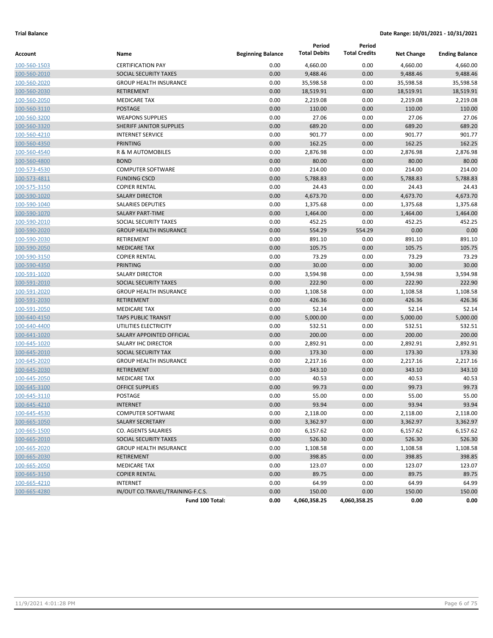|              |                                  |                          | Period              | Period               |                   |                       |
|--------------|----------------------------------|--------------------------|---------------------|----------------------|-------------------|-----------------------|
| Account      | Name                             | <b>Beginning Balance</b> | <b>Total Debits</b> | <b>Total Credits</b> | <b>Net Change</b> | <b>Ending Balance</b> |
| 100-560-1503 | <b>CERTIFICATION PAY</b>         | 0.00                     | 4,660.00            | 0.00                 | 4,660.00          | 4,660.00              |
| 100-560-2010 | SOCIAL SECURITY TAXES            | 0.00                     | 9,488.46            | 0.00                 | 9,488.46          | 9,488.46              |
| 100-560-2020 | <b>GROUP HEALTH INSURANCE</b>    | 0.00                     | 35,598.58           | 0.00                 | 35,598.58         | 35,598.58             |
| 100-560-2030 | <b>RETIREMENT</b>                | 0.00                     | 18,519.91           | 0.00                 | 18,519.91         | 18,519.91             |
| 100-560-2050 | <b>MEDICARE TAX</b>              | 0.00                     | 2,219.08            | 0.00                 | 2,219.08          | 2,219.08              |
| 100-560-3110 | <b>POSTAGE</b>                   | 0.00                     | 110.00              | 0.00                 | 110.00            | 110.00                |
| 100-560-3200 | <b>WEAPONS SUPPLIES</b>          | 0.00                     | 27.06               | 0.00                 | 27.06             | 27.06                 |
| 100-560-3320 | <b>SHERIFF JANITOR SUPPLIES</b>  | 0.00                     | 689.20              | 0.00                 | 689.20            | 689.20                |
| 100-560-4210 | <b>INTERNET SERVICE</b>          | 0.00                     | 901.77              | 0.00                 | 901.77            | 901.77                |
| 100-560-4350 | <b>PRINTING</b>                  | 0.00                     | 162.25              | 0.00                 | 162.25            | 162.25                |
| 100-560-4540 | R & M AUTOMOBILES                | 0.00                     | 2,876.98            | 0.00                 | 2,876.98          | 2,876.98              |
| 100-560-4800 | <b>BOND</b>                      | 0.00                     | 80.00               | 0.00                 | 80.00             | 80.00                 |
| 100-573-4530 | <b>COMPUTER SOFTWARE</b>         | 0.00                     | 214.00              | 0.00                 | 214.00            | 214.00                |
| 100-573-4811 | <b>FUNDING CSCD</b>              | 0.00                     | 5,788.83            | 0.00                 | 5,788.83          | 5,788.83              |
| 100-575-3150 | <b>COPIER RENTAL</b>             | 0.00                     | 24.43               | 0.00                 | 24.43             | 24.43                 |
| 100-590-1020 | <b>SALARY DIRECTOR</b>           | 0.00                     | 4,673.70            | 0.00                 | 4,673.70          | 4,673.70              |
| 100-590-1040 | <b>SALARIES DEPUTIES</b>         | 0.00                     | 1,375.68            | 0.00                 | 1,375.68          | 1,375.68              |
| 100-590-1070 | <b>SALARY PART-TIME</b>          | 0.00                     | 1,464.00            | 0.00                 | 1,464.00          | 1,464.00              |
| 100-590-2010 | SOCIAL SECURITY TAXES            | 0.00                     | 452.25              | 0.00                 | 452.25            | 452.25                |
| 100-590-2020 | <b>GROUP HEALTH INSURANCE</b>    | 0.00                     | 554.29              | 554.29               | 0.00              | 0.00                  |
| 100-590-2030 | RETIREMENT                       | 0.00                     | 891.10              | 0.00                 | 891.10            | 891.10                |
| 100-590-2050 | <b>MEDICARE TAX</b>              | 0.00                     | 105.75              | 0.00                 | 105.75            | 105.75                |
| 100-590-3150 | <b>COPIER RENTAL</b>             | 0.00                     | 73.29               | 0.00                 | 73.29             | 73.29                 |
| 100-590-4350 | <b>PRINTING</b>                  | 0.00                     | 30.00               | 0.00                 | 30.00             | 30.00                 |
| 100-591-1020 | <b>SALARY DIRECTOR</b>           | 0.00                     | 3,594.98            | 0.00                 | 3,594.98          | 3,594.98              |
| 100-591-2010 | SOCIAL SECURITY TAXES            | 0.00                     | 222.90              | 0.00                 | 222.90            | 222.90                |
| 100-591-2020 | <b>GROUP HEALTH INSURANCE</b>    | 0.00                     | 1,108.58            | 0.00                 | 1,108.58          | 1,108.58              |
| 100-591-2030 | <b>RETIREMENT</b>                | 0.00                     | 426.36              | 0.00                 | 426.36            | 426.36                |
| 100-591-2050 | <b>MEDICARE TAX</b>              | 0.00                     | 52.14               | 0.00                 | 52.14             | 52.14                 |
| 100-640-4150 | <b>TAPS PUBLIC TRANSIT</b>       | 0.00                     | 5,000.00            | 0.00                 | 5,000.00          | 5,000.00              |
| 100-640-4400 | UTILITIES ELECTRICITY            | 0.00                     | 532.51              | 0.00                 | 532.51            | 532.51                |
| 100-641-1020 | SALARY APPOINTED OFFICIAL        | 0.00                     | 200.00              | 0.00                 | 200.00            | 200.00                |
| 100-645-1020 | SALARY IHC DIRECTOR              | 0.00                     | 2,892.91            | 0.00                 | 2,892.91          | 2,892.91              |
| 100-645-2010 | SOCIAL SECURITY TAX              | 0.00                     | 173.30              | 0.00                 | 173.30            | 173.30                |
| 100-645-2020 | <b>GROUP HEALTH INSURANCE</b>    | 0.00                     | 2,217.16            | 0.00                 | 2,217.16          | 2,217.16              |
| 100-645-2030 | <b>RETIREMENT</b>                | 0.00                     | 343.10              | 0.00                 | 343.10            | 343.10                |
| 100-645-2050 | <b>MEDICARE TAX</b>              | 0.00                     | 40.53               | 0.00                 | 40.53             | 40.53                 |
| 100-645-3100 | <b>OFFICE SUPPLIES</b>           | 0.00                     | 99.73               | 0.00                 | 99.73             | 99.73                 |
| 100-645-3110 | POSTAGE                          | 0.00                     | 55.00               | 0.00                 | 55.00             | 55.00                 |
| 100-645-4210 | <b>INTERNET</b>                  | 0.00                     | 93.94               | 0.00                 | 93.94             | 93.94                 |
| 100-645-4530 | <b>COMPUTER SOFTWARE</b>         | 0.00                     | 2,118.00            | 0.00                 | 2,118.00          | 2,118.00              |
| 100-665-1050 | <b>SALARY SECRETARY</b>          | 0.00                     | 3,362.97            | 0.00                 | 3,362.97          | 3,362.97              |
| 100-665-1500 | CO. AGENTS SALARIES              | 0.00                     | 6,157.62            | 0.00                 | 6,157.62          | 6,157.62              |
| 100-665-2010 | SOCIAL SECURITY TAXES            | 0.00                     | 526.30              | 0.00                 | 526.30            | 526.30                |
| 100-665-2020 | <b>GROUP HEALTH INSURANCE</b>    | 0.00                     | 1,108.58            | 0.00                 | 1,108.58          | 1,108.58              |
| 100-665-2030 | RETIREMENT                       | 0.00                     | 398.85              | 0.00                 | 398.85            | 398.85                |
| 100-665-2050 | <b>MEDICARE TAX</b>              | 0.00                     | 123.07              | 0.00                 | 123.07            | 123.07                |
| 100-665-3150 | <b>COPIER RENTAL</b>             | 0.00                     | 89.75               | 0.00                 | 89.75             | 89.75                 |
| 100-665-4210 | <b>INTERNET</b>                  | 0.00                     | 64.99               | 0.00                 | 64.99             | 64.99                 |
| 100-665-4280 | IN/OUT CO.TRAVEL/TRAINING-F.C.S. | 0.00                     | 150.00              | 0.00                 | 150.00            | 150.00                |
|              | Fund 100 Total:                  | 0.00                     | 4,060,358.25        | 4,060,358.25         | 0.00              | 0.00                  |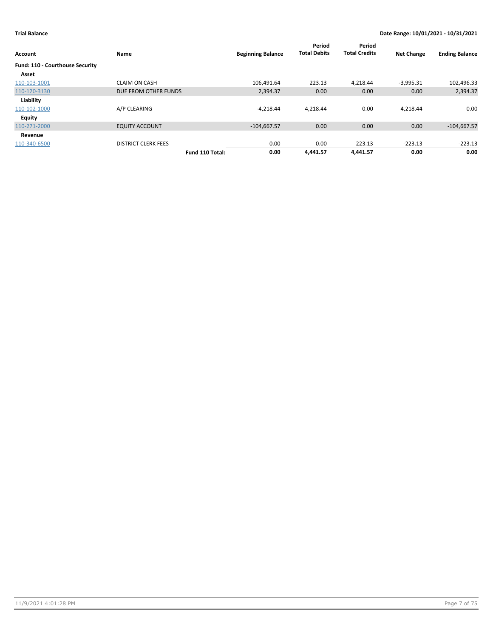| Account                         | Name                       |                 | <b>Beginning Balance</b> | Period<br><b>Total Debits</b> | Period<br><b>Total Credits</b> | <b>Net Change</b> | <b>Ending Balance</b> |
|---------------------------------|----------------------------|-----------------|--------------------------|-------------------------------|--------------------------------|-------------------|-----------------------|
| Fund: 110 - Courthouse Security |                            |                 |                          |                               |                                |                   |                       |
| Asset                           |                            |                 |                          |                               |                                |                   |                       |
| 110-103-1001                    | <b>CLAIM ON CASH</b>       |                 | 106.491.64               | 223.13                        | 4,218.44                       | $-3,995.31$       | 102,496.33            |
| 110-120-3130                    | DUE FROM OTHER FUNDS       |                 | 2.394.37                 | 0.00                          | 0.00                           | 0.00              | 2,394.37              |
| Liability                       |                            |                 |                          |                               |                                |                   |                       |
| 110-102-1000                    | A/P CLEARING               |                 | $-4.218.44$              | 4.218.44                      | 0.00                           | 4,218.44          | 0.00                  |
| Equity                          |                            |                 |                          |                               |                                |                   |                       |
| 110-271-2000                    | <b>EQUITY ACCOUNT</b>      |                 | $-104,667.57$            | 0.00                          | 0.00                           | 0.00              | $-104,667.57$         |
| Revenue                         |                            |                 |                          |                               |                                |                   |                       |
| 110-340-6500                    | <b>DISTRICT CLERK FEES</b> |                 | 0.00                     | 0.00                          | 223.13                         | $-223.13$         | $-223.13$             |
|                                 |                            | Fund 110 Total: | 0.00                     | 4.441.57                      | 4.441.57                       | 0.00              | 0.00                  |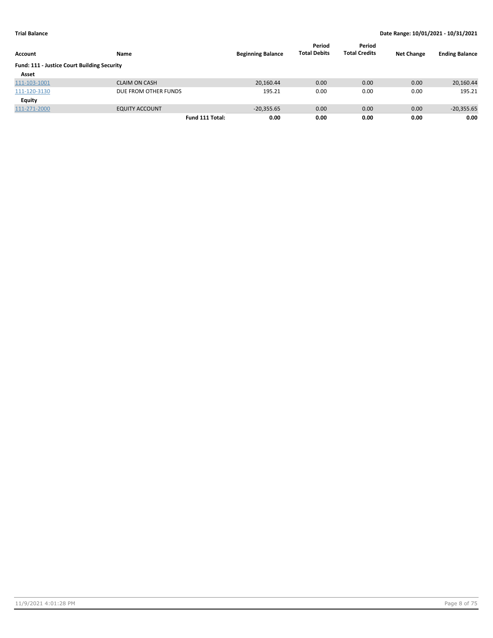| Account                                            | Name                  | <b>Beginning Balance</b> | Period<br><b>Total Debits</b> | Period<br><b>Total Credits</b> | <b>Net Change</b> | <b>Ending Balance</b> |
|----------------------------------------------------|-----------------------|--------------------------|-------------------------------|--------------------------------|-------------------|-----------------------|
| <b>Fund: 111 - Justice Court Building Security</b> |                       |                          |                               |                                |                   |                       |
| Asset                                              |                       |                          |                               |                                |                   |                       |
| 111-103-1001                                       | <b>CLAIM ON CASH</b>  | 20,160.44                | 0.00                          | 0.00                           | 0.00              | 20,160.44             |
| 111-120-3130                                       | DUE FROM OTHER FUNDS  | 195.21                   | 0.00                          | 0.00                           | 0.00              | 195.21                |
| Equity                                             |                       |                          |                               |                                |                   |                       |
| 111-271-2000                                       | <b>EQUITY ACCOUNT</b> | $-20,355.65$             | 0.00                          | 0.00                           | 0.00              | $-20,355.65$          |
|                                                    | Fund 111 Total:       | 0.00                     | 0.00                          | 0.00                           | 0.00              | 0.00                  |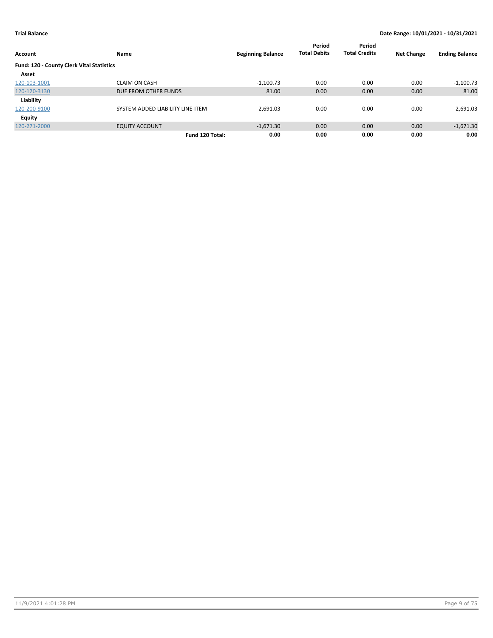| Account                                   | Name                             | <b>Beginning Balance</b> | Period<br><b>Total Debits</b> | Period<br><b>Total Credits</b> | <b>Net Change</b> | <b>Ending Balance</b> |
|-------------------------------------------|----------------------------------|--------------------------|-------------------------------|--------------------------------|-------------------|-----------------------|
| Fund: 120 - County Clerk Vital Statistics |                                  |                          |                               |                                |                   |                       |
| Asset                                     |                                  |                          |                               |                                |                   |                       |
| 120-103-1001                              | <b>CLAIM ON CASH</b>             | $-1.100.73$              | 0.00                          | 0.00                           | 0.00              | $-1,100.73$           |
| 120-120-3130                              | DUE FROM OTHER FUNDS             | 81.00                    | 0.00                          | 0.00                           | 0.00              | 81.00                 |
| Liability                                 |                                  |                          |                               |                                |                   |                       |
| 120-200-9100                              | SYSTEM ADDED LIABILITY LINE-ITEM | 2,691.03                 | 0.00                          | 0.00                           | 0.00              | 2,691.03              |
| Equity                                    |                                  |                          |                               |                                |                   |                       |
| 120-271-2000                              | <b>EQUITY ACCOUNT</b>            | $-1,671.30$              | 0.00                          | 0.00                           | 0.00              | $-1,671.30$           |
|                                           | Fund 120 Total:                  | 0.00                     | 0.00                          | 0.00                           | 0.00              | 0.00                  |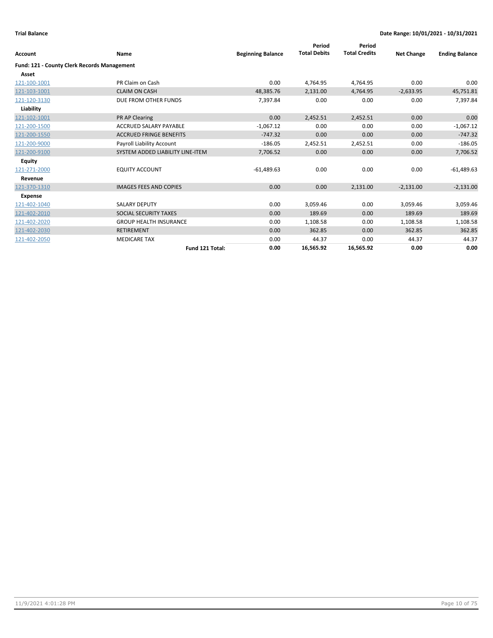|                                                    |                                  |                          | Period              | Period               |                   |                       |
|----------------------------------------------------|----------------------------------|--------------------------|---------------------|----------------------|-------------------|-----------------------|
| <b>Account</b>                                     | Name                             | <b>Beginning Balance</b> | <b>Total Debits</b> | <b>Total Credits</b> | <b>Net Change</b> | <b>Ending Balance</b> |
| <b>Fund: 121 - County Clerk Records Management</b> |                                  |                          |                     |                      |                   |                       |
| Asset                                              |                                  |                          |                     |                      |                   |                       |
| 121-100-1001                                       | PR Claim on Cash                 | 0.00                     | 4,764.95            | 4,764.95             | 0.00              | 0.00                  |
| 121-103-1001                                       | <b>CLAIM ON CASH</b>             | 48,385.76                | 2,131.00            | 4,764.95             | $-2,633.95$       | 45,751.81             |
| 121-120-3130                                       | DUE FROM OTHER FUNDS             | 7,397.84                 | 0.00                | 0.00                 | 0.00              | 7,397.84              |
| Liability                                          |                                  |                          |                     |                      |                   |                       |
| 121-102-1001                                       | PR AP Clearing                   | 0.00                     | 2,452.51            | 2,452.51             | 0.00              | 0.00                  |
| 121-200-1500                                       | <b>ACCRUED SALARY PAYABLE</b>    | $-1,067.12$              | 0.00                | 0.00                 | 0.00              | $-1,067.12$           |
| 121-200-1550                                       | <b>ACCRUED FRINGE BENEFITS</b>   | $-747.32$                | 0.00                | 0.00                 | 0.00              | $-747.32$             |
| 121-200-9000                                       | Payroll Liability Account        | $-186.05$                | 2,452.51            | 2,452.51             | 0.00              | $-186.05$             |
| 121-200-9100                                       | SYSTEM ADDED LIABILITY LINE-ITEM | 7,706.52                 | 0.00                | 0.00                 | 0.00              | 7,706.52              |
| <b>Equity</b>                                      |                                  |                          |                     |                      |                   |                       |
| 121-271-2000                                       | <b>EQUITY ACCOUNT</b>            | $-61,489.63$             | 0.00                | 0.00                 | 0.00              | $-61,489.63$          |
| Revenue                                            |                                  |                          |                     |                      |                   |                       |
| 121-370-1310                                       | <b>IMAGES FEES AND COPIES</b>    | 0.00                     | 0.00                | 2,131.00             | $-2,131.00$       | $-2,131.00$           |
| <b>Expense</b>                                     |                                  |                          |                     |                      |                   |                       |
| 121-402-1040                                       | <b>SALARY DEPUTY</b>             | 0.00                     | 3,059.46            | 0.00                 | 3,059.46          | 3,059.46              |
| 121-402-2010                                       | SOCIAL SECURITY TAXES            | 0.00                     | 189.69              | 0.00                 | 189.69            | 189.69                |
| 121-402-2020                                       | <b>GROUP HEALTH INSURANCE</b>    | 0.00                     | 1,108.58            | 0.00                 | 1,108.58          | 1,108.58              |
| 121-402-2030                                       | <b>RETIREMENT</b>                | 0.00                     | 362.85              | 0.00                 | 362.85            | 362.85                |
| 121-402-2050                                       | <b>MEDICARE TAX</b>              | 0.00                     | 44.37               | 0.00                 | 44.37             | 44.37                 |
|                                                    | Fund 121 Total:                  | 0.00                     | 16,565.92           | 16,565.92            | 0.00              | 0.00                  |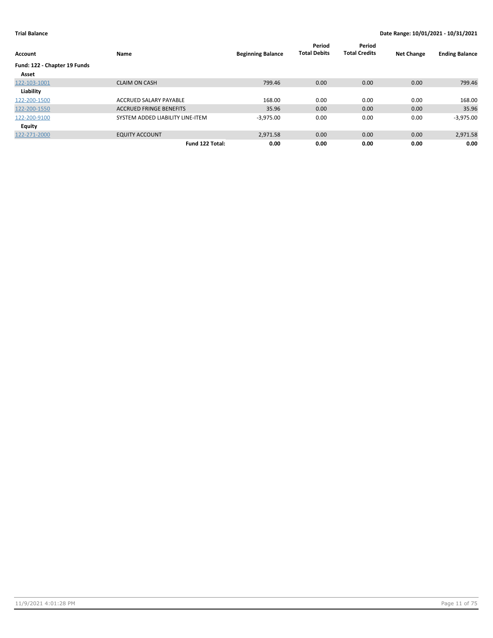| Account                      | Name                             | <b>Beginning Balance</b> | Period<br><b>Total Debits</b> | Period<br><b>Total Credits</b> | <b>Net Change</b> | <b>Ending Balance</b> |
|------------------------------|----------------------------------|--------------------------|-------------------------------|--------------------------------|-------------------|-----------------------|
| Fund: 122 - Chapter 19 Funds |                                  |                          |                               |                                |                   |                       |
| Asset                        |                                  |                          |                               |                                |                   |                       |
| 122-103-1001                 | <b>CLAIM ON CASH</b>             | 799.46                   | 0.00                          | 0.00                           | 0.00              | 799.46                |
| Liability                    |                                  |                          |                               |                                |                   |                       |
| 122-200-1500                 | ACCRUED SALARY PAYABLE           | 168.00                   | 0.00                          | 0.00                           | 0.00              | 168.00                |
| 122-200-1550                 | <b>ACCRUED FRINGE BENEFITS</b>   | 35.96                    | 0.00                          | 0.00                           | 0.00              | 35.96                 |
| 122-200-9100                 | SYSTEM ADDED LIABILITY LINE-ITEM | $-3,975.00$              | 0.00                          | 0.00                           | 0.00              | $-3,975.00$           |
| Equity                       |                                  |                          |                               |                                |                   |                       |
| 122-271-2000                 | <b>EQUITY ACCOUNT</b>            | 2,971.58                 | 0.00                          | 0.00                           | 0.00              | 2,971.58              |
|                              | Fund 122 Total:                  | 0.00                     | 0.00                          | 0.00                           | 0.00              | 0.00                  |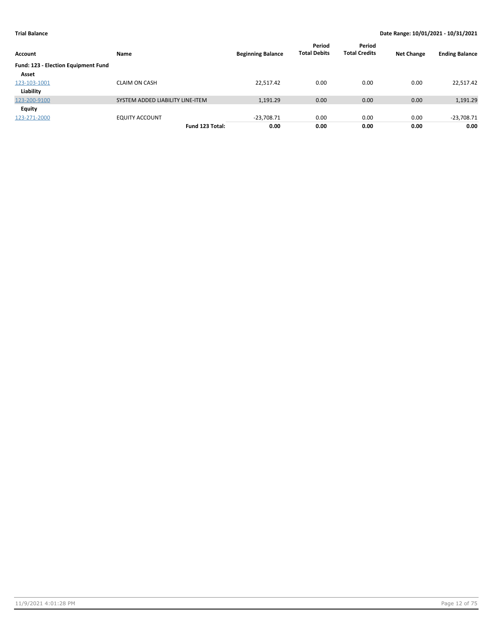| Account                             | Name                             | <b>Beginning Balance</b> | Period<br><b>Total Debits</b> | Period<br><b>Total Credits</b> | <b>Net Change</b> | <b>Ending Balance</b> |
|-------------------------------------|----------------------------------|--------------------------|-------------------------------|--------------------------------|-------------------|-----------------------|
| Fund: 123 - Election Equipment Fund |                                  |                          |                               |                                |                   |                       |
| Asset                               |                                  |                          |                               |                                |                   |                       |
| 123-103-1001                        | <b>CLAIM ON CASH</b>             | 22.517.42                | 0.00                          | 0.00                           | 0.00              | 22,517.42             |
| Liability                           |                                  |                          |                               |                                |                   |                       |
| 123-200-9100                        | SYSTEM ADDED LIABILITY LINE-ITEM | 1,191.29                 | 0.00                          | 0.00                           | 0.00              | 1,191.29              |
| Equity                              |                                  |                          |                               |                                |                   |                       |
| 123-271-2000                        | <b>EQUITY ACCOUNT</b>            | $-23,708.71$             | 0.00                          | 0.00                           | 0.00              | $-23,708.71$          |
|                                     | Fund 123 Total:                  | 0.00                     | 0.00                          | 0.00                           | 0.00              | 0.00                  |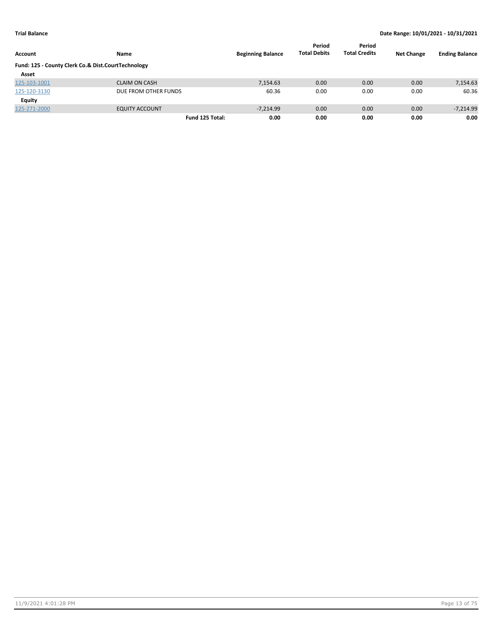| Account                                            | Name                  | <b>Beginning Balance</b> | Period<br><b>Total Debits</b> | Period<br><b>Total Credits</b> | <b>Net Change</b> | <b>Ending Balance</b> |
|----------------------------------------------------|-----------------------|--------------------------|-------------------------------|--------------------------------|-------------------|-----------------------|
| Fund: 125 - County Clerk Co.& Dist.CourtTechnology |                       |                          |                               |                                |                   |                       |
| Asset                                              |                       |                          |                               |                                |                   |                       |
| 125-103-1001                                       | <b>CLAIM ON CASH</b>  | 7,154.63                 | 0.00                          | 0.00                           | 0.00              | 7,154.63              |
| 125-120-3130                                       | DUE FROM OTHER FUNDS  | 60.36                    | 0.00                          | 0.00                           | 0.00              | 60.36                 |
| Equity                                             |                       |                          |                               |                                |                   |                       |
| 125-271-2000                                       | <b>EQUITY ACCOUNT</b> | $-7.214.99$              | 0.00                          | 0.00                           | 0.00              | $-7,214.99$           |
|                                                    | Fund 125 Total:       | 0.00                     | 0.00                          | 0.00                           | 0.00              | 0.00                  |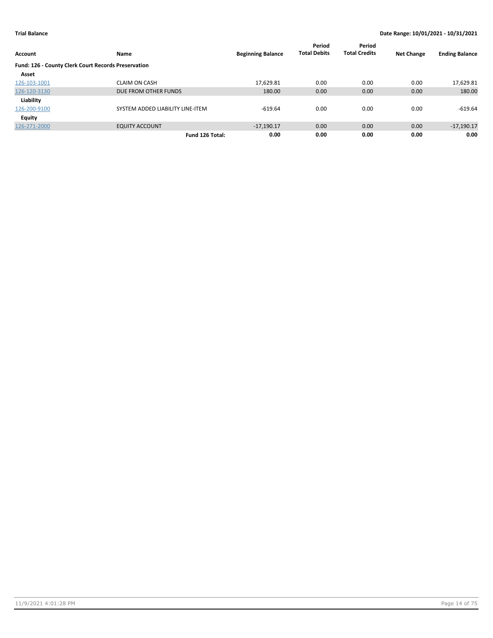| Account                                             | Name                             | <b>Beginning Balance</b> | Period<br><b>Total Debits</b> | Period<br><b>Total Credits</b> | <b>Net Change</b> | <b>Ending Balance</b> |
|-----------------------------------------------------|----------------------------------|--------------------------|-------------------------------|--------------------------------|-------------------|-----------------------|
| Fund: 126 - County Clerk Court Records Preservation |                                  |                          |                               |                                |                   |                       |
| Asset                                               |                                  |                          |                               |                                |                   |                       |
| 126-103-1001                                        | <b>CLAIM ON CASH</b>             | 17,629.81                | 0.00                          | 0.00                           | 0.00              | 17,629.81             |
| 126-120-3130                                        | DUE FROM OTHER FUNDS             | 180.00                   | 0.00                          | 0.00                           | 0.00              | 180.00                |
| Liability                                           |                                  |                          |                               |                                |                   |                       |
| 126-200-9100                                        | SYSTEM ADDED LIABILITY LINE-ITEM | $-619.64$                | 0.00                          | 0.00                           | 0.00              | $-619.64$             |
| Equity                                              |                                  |                          |                               |                                |                   |                       |
| 126-271-2000                                        | <b>EQUITY ACCOUNT</b>            | $-17.190.17$             | 0.00                          | 0.00                           | 0.00              | $-17,190.17$          |
|                                                     | Fund 126 Total:                  | 0.00                     | 0.00                          | 0.00                           | 0.00              | 0.00                  |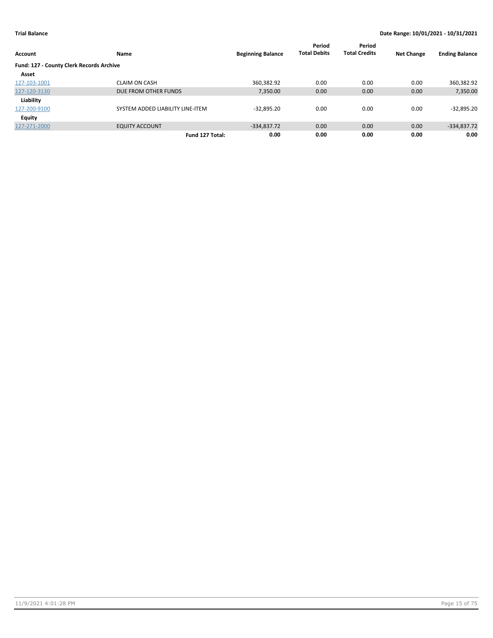| Account                                  | <b>Name</b>                      | <b>Beginning Balance</b> | Period<br><b>Total Debits</b> | Period<br><b>Total Credits</b> | <b>Net Change</b> | <b>Ending Balance</b> |
|------------------------------------------|----------------------------------|--------------------------|-------------------------------|--------------------------------|-------------------|-----------------------|
| Fund: 127 - County Clerk Records Archive |                                  |                          |                               |                                |                   |                       |
| Asset                                    |                                  |                          |                               |                                |                   |                       |
| 127-103-1001                             | <b>CLAIM ON CASH</b>             | 360,382.92               | 0.00                          | 0.00                           | 0.00              | 360,382.92            |
| 127-120-3130                             | DUE FROM OTHER FUNDS             | 7,350.00                 | 0.00                          | 0.00                           | 0.00              | 7,350.00              |
| Liability                                |                                  |                          |                               |                                |                   |                       |
| 127-200-9100                             | SYSTEM ADDED LIABILITY LINE-ITEM | $-32,895.20$             | 0.00                          | 0.00                           | 0.00              | $-32,895.20$          |
| Equity                                   |                                  |                          |                               |                                |                   |                       |
| 127-271-2000                             | <b>EQUITY ACCOUNT</b>            | $-334,837.72$            | 0.00                          | 0.00                           | 0.00              | $-334,837.72$         |
|                                          | Fund 127 Total:                  | 0.00                     | 0.00                          | 0.00                           | 0.00              | 0.00                  |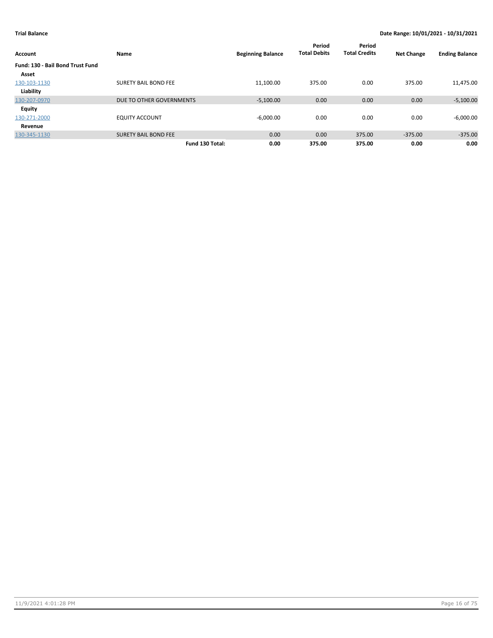| Account                          | Name                        | <b>Beginning Balance</b> | Period<br><b>Total Debits</b> | Period<br><b>Total Credits</b> | <b>Net Change</b> | <b>Ending Balance</b> |
|----------------------------------|-----------------------------|--------------------------|-------------------------------|--------------------------------|-------------------|-----------------------|
| Fund: 130 - Bail Bond Trust Fund |                             |                          |                               |                                |                   |                       |
| Asset                            |                             |                          |                               |                                |                   |                       |
| 130-103-1130                     | <b>SURETY BAIL BOND FEE</b> | 11,100.00                | 375.00                        | 0.00                           | 375.00            | 11,475.00             |
| Liability                        |                             |                          |                               |                                |                   |                       |
| 130-207-0970                     | DUE TO OTHER GOVERNMENTS    | $-5,100.00$              | 0.00                          | 0.00                           | 0.00              | $-5,100.00$           |
| Equity                           |                             |                          |                               |                                |                   |                       |
| 130-271-2000                     | <b>EQUITY ACCOUNT</b>       | $-6,000.00$              | 0.00                          | 0.00                           | 0.00              | $-6,000.00$           |
| Revenue                          |                             |                          |                               |                                |                   |                       |
| 130-345-1130                     | <b>SURETY BAIL BOND FEE</b> | 0.00                     | 0.00                          | 375.00                         | $-375.00$         | $-375.00$             |
|                                  | Fund 130 Total:             | 0.00                     | 375.00                        | 375.00                         | 0.00              | 0.00                  |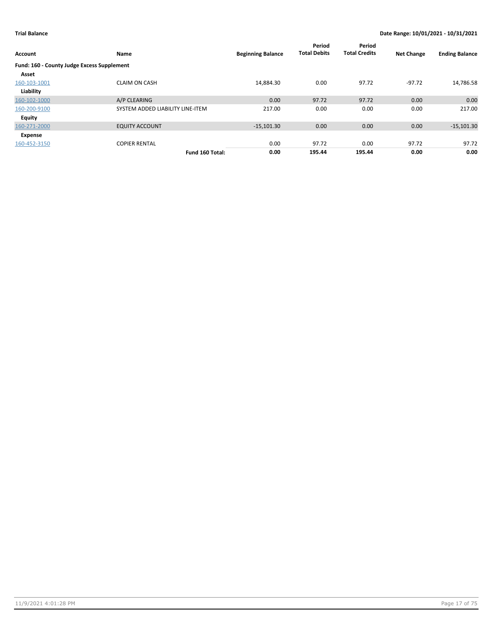| Account                                    | Name                             | <b>Beginning Balance</b> | Period<br><b>Total Debits</b> | Period<br><b>Total Credits</b> | <b>Net Change</b> | <b>Ending Balance</b> |
|--------------------------------------------|----------------------------------|--------------------------|-------------------------------|--------------------------------|-------------------|-----------------------|
| Fund: 160 - County Judge Excess Supplement |                                  |                          |                               |                                |                   |                       |
| Asset                                      |                                  |                          |                               |                                |                   |                       |
| 160-103-1001                               | <b>CLAIM ON CASH</b>             | 14,884.30                | 0.00                          | 97.72                          | $-97.72$          | 14,786.58             |
| Liability                                  |                                  |                          |                               |                                |                   |                       |
| 160-102-1000                               | A/P CLEARING                     | 0.00                     | 97.72                         | 97.72                          | 0.00              | 0.00                  |
| 160-200-9100                               | SYSTEM ADDED LIABILITY LINE-ITEM | 217.00                   | 0.00                          | 0.00                           | 0.00              | 217.00                |
| <b>Equity</b>                              |                                  |                          |                               |                                |                   |                       |
| 160-271-2000                               | <b>EQUITY ACCOUNT</b>            | $-15,101.30$             | 0.00                          | 0.00                           | 0.00              | $-15,101.30$          |
| Expense                                    |                                  |                          |                               |                                |                   |                       |
| 160-452-3150                               | <b>COPIER RENTAL</b>             | 0.00                     | 97.72                         | 0.00                           | 97.72             | 97.72                 |
|                                            | Fund 160 Total:                  | 0.00                     | 195.44                        | 195.44                         | 0.00              | 0.00                  |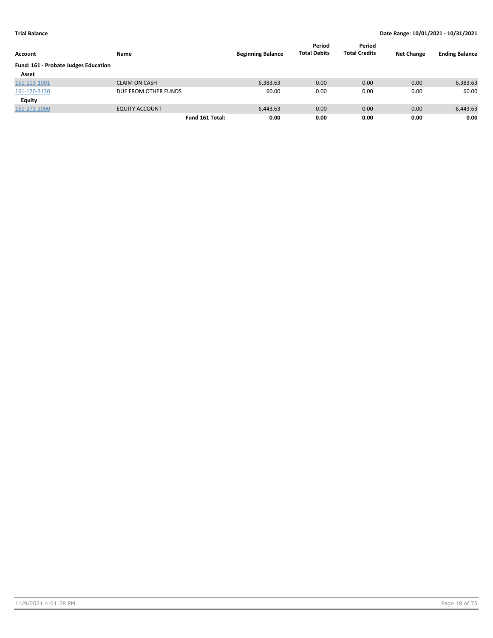| Account                              | Name                  | <b>Beginning Balance</b> | Period<br><b>Total Debits</b> | Period<br><b>Total Credits</b> | <b>Net Change</b> | <b>Ending Balance</b> |
|--------------------------------------|-----------------------|--------------------------|-------------------------------|--------------------------------|-------------------|-----------------------|
| Fund: 161 - Probate Judges Education |                       |                          |                               |                                |                   |                       |
| Asset                                |                       |                          |                               |                                |                   |                       |
| 161-103-1001                         | <b>CLAIM ON CASH</b>  | 6,383.63                 | 0.00                          | 0.00                           | 0.00              | 6,383.63              |
| 161-120-3130                         | DUE FROM OTHER FUNDS  | 60.00                    | 0.00                          | 0.00                           | 0.00              | 60.00                 |
| Equity                               |                       |                          |                               |                                |                   |                       |
| 161-271-2000                         | <b>EQUITY ACCOUNT</b> | $-6,443.63$              | 0.00                          | 0.00                           | 0.00              | $-6,443.63$           |
|                                      | Fund 161 Total:       | 0.00                     | 0.00                          | 0.00                           | 0.00              | 0.00                  |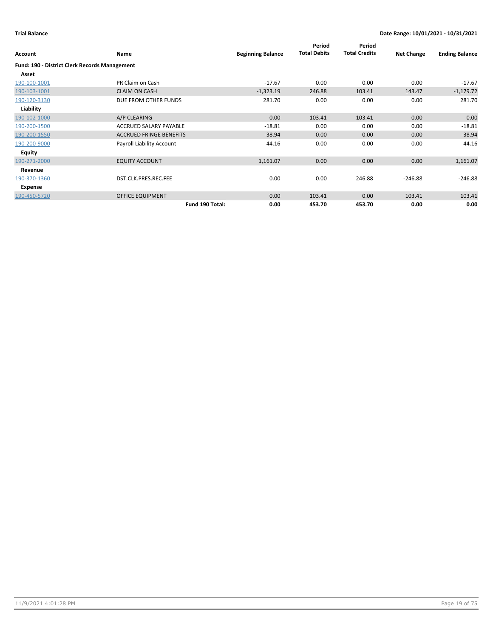| Account                                       | Name                           | <b>Beginning Balance</b> | Period<br><b>Total Debits</b> | Period<br><b>Total Credits</b> | <b>Net Change</b> | <b>Ending Balance</b> |
|-----------------------------------------------|--------------------------------|--------------------------|-------------------------------|--------------------------------|-------------------|-----------------------|
| Fund: 190 - District Clerk Records Management |                                |                          |                               |                                |                   |                       |
| Asset                                         |                                |                          |                               |                                |                   |                       |
| 190-100-1001                                  | PR Claim on Cash               | $-17.67$                 | 0.00                          | 0.00                           | 0.00              | $-17.67$              |
| 190-103-1001                                  | <b>CLAIM ON CASH</b>           | $-1,323.19$              | 246.88                        | 103.41                         | 143.47            | $-1,179.72$           |
| 190-120-3130                                  | DUE FROM OTHER FUNDS           | 281.70                   | 0.00                          | 0.00                           | 0.00              | 281.70                |
| Liability                                     |                                |                          |                               |                                |                   |                       |
| 190-102-1000                                  | A/P CLEARING                   | 0.00                     | 103.41                        | 103.41                         | 0.00              | 0.00                  |
| 190-200-1500                                  | ACCRUED SALARY PAYABLE         | $-18.81$                 | 0.00                          | 0.00                           | 0.00              | $-18.81$              |
| 190-200-1550                                  | <b>ACCRUED FRINGE BENEFITS</b> | $-38.94$                 | 0.00                          | 0.00                           | 0.00              | $-38.94$              |
| 190-200-9000                                  | Payroll Liability Account      | $-44.16$                 | 0.00                          | 0.00                           | 0.00              | $-44.16$              |
| Equity                                        |                                |                          |                               |                                |                   |                       |
| 190-271-2000                                  | <b>EQUITY ACCOUNT</b>          | 1,161.07                 | 0.00                          | 0.00                           | 0.00              | 1,161.07              |
| Revenue                                       |                                |                          |                               |                                |                   |                       |
| 190-370-1360                                  | DST.CLK.PRES.REC.FEE           | 0.00                     | 0.00                          | 246.88                         | $-246.88$         | $-246.88$             |
| Expense                                       |                                |                          |                               |                                |                   |                       |
| 190-450-5720                                  | <b>OFFICE EQUIPMENT</b>        | 0.00                     | 103.41                        | 0.00                           | 103.41            | 103.41                |
|                                               | Fund 190 Total:                | 0.00                     | 453.70                        | 453.70                         | 0.00              | 0.00                  |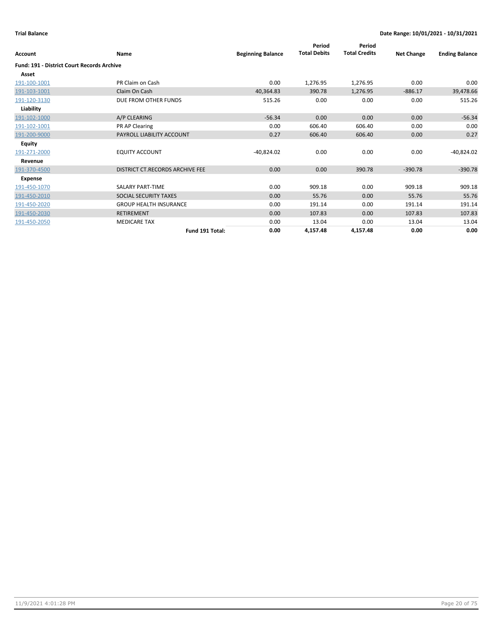| Account                                           | Name                            | <b>Beginning Balance</b> | Period<br><b>Total Debits</b> | Period<br><b>Total Credits</b> | <b>Net Change</b> | <b>Ending Balance</b> |
|---------------------------------------------------|---------------------------------|--------------------------|-------------------------------|--------------------------------|-------------------|-----------------------|
| <b>Fund: 191 - District Court Records Archive</b> |                                 |                          |                               |                                |                   |                       |
| Asset                                             |                                 |                          |                               |                                |                   |                       |
| 191-100-1001                                      | PR Claim on Cash                | 0.00                     | 1,276.95                      | 1,276.95                       | 0.00              | 0.00                  |
| 191-103-1001                                      | Claim On Cash                   | 40,364.83                | 390.78                        | 1,276.95                       | $-886.17$         | 39,478.66             |
| 191-120-3130                                      | DUE FROM OTHER FUNDS            | 515.26                   | 0.00                          | 0.00                           | 0.00              | 515.26                |
| Liability                                         |                                 |                          |                               |                                |                   |                       |
| 191-102-1000                                      | A/P CLEARING                    | $-56.34$                 | 0.00                          | 0.00                           | 0.00              | $-56.34$              |
| 191-102-1001                                      | PR AP Clearing                  | 0.00                     | 606.40                        | 606.40                         | 0.00              | 0.00                  |
| 191-200-9000                                      | PAYROLL LIABILITY ACCOUNT       | 0.27                     | 606.40                        | 606.40                         | 0.00              | 0.27                  |
| <b>Equity</b>                                     |                                 |                          |                               |                                |                   |                       |
| 191-271-2000                                      | <b>EQUITY ACCOUNT</b>           | $-40,824.02$             | 0.00                          | 0.00                           | 0.00              | $-40,824.02$          |
| Revenue                                           |                                 |                          |                               |                                |                   |                       |
| 191-370-4500                                      | DISTRICT CT.RECORDS ARCHIVE FEE | 0.00                     | 0.00                          | 390.78                         | $-390.78$         | $-390.78$             |
| Expense                                           |                                 |                          |                               |                                |                   |                       |
| 191-450-1070                                      | <b>SALARY PART-TIME</b>         | 0.00                     | 909.18                        | 0.00                           | 909.18            | 909.18                |
| 191-450-2010                                      | SOCIAL SECURITY TAXES           | 0.00                     | 55.76                         | 0.00                           | 55.76             | 55.76                 |
| 191-450-2020                                      | <b>GROUP HEALTH INSURANCE</b>   | 0.00                     | 191.14                        | 0.00                           | 191.14            | 191.14                |
| 191-450-2030                                      | <b>RETIREMENT</b>               | 0.00                     | 107.83                        | 0.00                           | 107.83            | 107.83                |
| 191-450-2050                                      | <b>MEDICARE TAX</b>             | 0.00                     | 13.04                         | 0.00                           | 13.04             | 13.04                 |
|                                                   | Fund 191 Total:                 | 0.00                     | 4,157.48                      | 4,157.48                       | 0.00              | 0.00                  |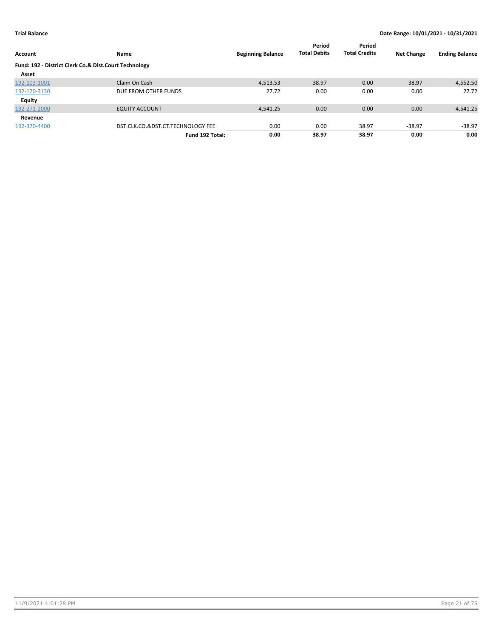| Account                                               | Name                              | <b>Beginning Balance</b> | Period<br><b>Total Debits</b> | Period<br><b>Total Credits</b> | <b>Net Change</b> | <b>Ending Balance</b> |
|-------------------------------------------------------|-----------------------------------|--------------------------|-------------------------------|--------------------------------|-------------------|-----------------------|
| Fund: 192 - District Clerk Co.& Dist.Court Technology |                                   |                          |                               |                                |                   |                       |
| Asset                                                 |                                   |                          |                               |                                |                   |                       |
| 192-103-1001                                          | Claim On Cash                     | 4,513.53                 | 38.97                         | 0.00                           | 38.97             | 4,552.50              |
| 192-120-3130                                          | DUE FROM OTHER FUNDS              | 27.72                    | 0.00                          | 0.00                           | 0.00              | 27.72                 |
| Equity                                                |                                   |                          |                               |                                |                   |                       |
| 192-271-2000                                          | <b>EQUITY ACCOUNT</b>             | $-4,541.25$              | 0.00                          | 0.00                           | 0.00              | $-4,541.25$           |
| Revenue                                               |                                   |                          |                               |                                |                   |                       |
| 192-370-4400                                          | DST.CLK.CO.&DST.CT.TECHNOLOGY FEE | 0.00                     | 0.00                          | 38.97                          | $-38.97$          | $-38.97$              |
|                                                       | Fund 192 Total:                   | 0.00                     | 38.97                         | 38.97                          | 0.00              | 0.00                  |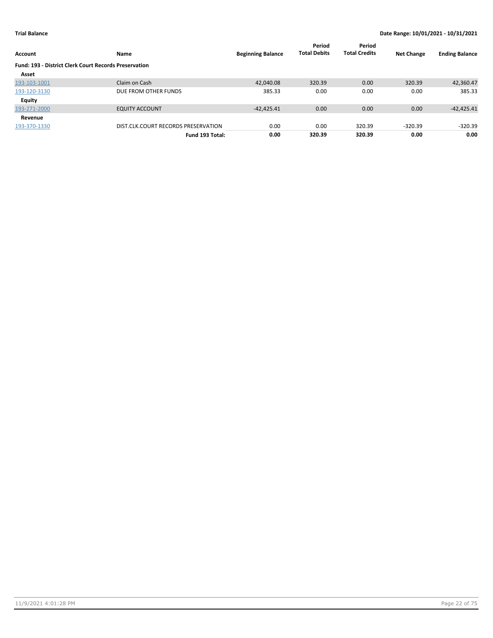| Account                                                      | Name                                | <b>Beginning Balance</b> | Period<br><b>Total Debits</b> | Period<br><b>Total Credits</b> | <b>Net Change</b> | <b>Ending Balance</b> |
|--------------------------------------------------------------|-------------------------------------|--------------------------|-------------------------------|--------------------------------|-------------------|-----------------------|
| <b>Fund: 193 - District Clerk Court Records Preservation</b> |                                     |                          |                               |                                |                   |                       |
| Asset                                                        |                                     |                          |                               |                                |                   |                       |
| 193-103-1001                                                 | Claim on Cash                       | 42,040.08                | 320.39                        | 0.00                           | 320.39            | 42,360.47             |
| 193-120-3130                                                 | DUE FROM OTHER FUNDS                | 385.33                   | 0.00                          | 0.00                           | 0.00              | 385.33                |
| <b>Equity</b>                                                |                                     |                          |                               |                                |                   |                       |
| 193-271-2000                                                 | <b>EQUITY ACCOUNT</b>               | $-42,425.41$             | 0.00                          | 0.00                           | 0.00              | $-42,425.41$          |
| Revenue                                                      |                                     |                          |                               |                                |                   |                       |
| 193-370-1330                                                 | DIST.CLK.COURT RECORDS PRESERVATION | 0.00                     | 0.00                          | 320.39                         | $-320.39$         | $-320.39$             |
|                                                              | Fund 193 Total:                     | 0.00                     | 320.39                        | 320.39                         | 0.00              | 0.00                  |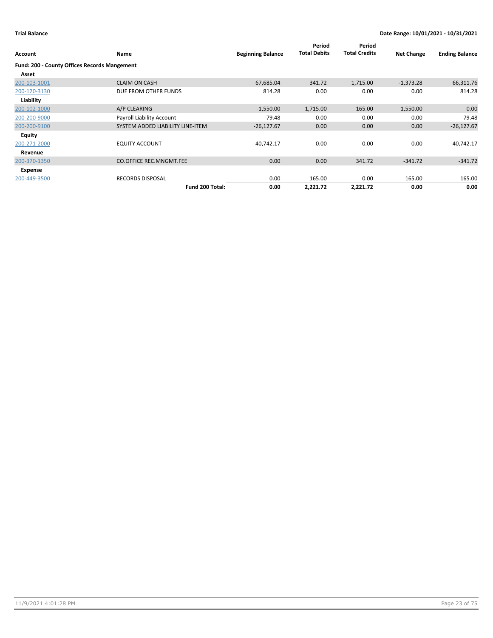| <b>Account</b>                                      | Name                             | <b>Beginning Balance</b> | Period<br><b>Total Debits</b> | Period<br><b>Total Credits</b> | <b>Net Change</b> | <b>Ending Balance</b> |
|-----------------------------------------------------|----------------------------------|--------------------------|-------------------------------|--------------------------------|-------------------|-----------------------|
| <b>Fund: 200 - County Offices Records Mangement</b> |                                  |                          |                               |                                |                   |                       |
| Asset                                               |                                  |                          |                               |                                |                   |                       |
| 200-103-1001                                        | <b>CLAIM ON CASH</b>             | 67,685.04                | 341.72                        | 1,715.00                       | $-1,373.28$       | 66,311.76             |
| 200-120-3130                                        | DUE FROM OTHER FUNDS             | 814.28                   | 0.00                          | 0.00                           | 0.00              | 814.28                |
| Liability                                           |                                  |                          |                               |                                |                   |                       |
| 200-102-1000                                        | A/P CLEARING                     | $-1,550.00$              | 1,715.00                      | 165.00                         | 1,550.00          | 0.00                  |
| 200-200-9000                                        | Payroll Liability Account        | $-79.48$                 | 0.00                          | 0.00                           | 0.00              | $-79.48$              |
| 200-200-9100                                        | SYSTEM ADDED LIABILITY LINE-ITEM | $-26,127.67$             | 0.00                          | 0.00                           | 0.00              | $-26,127.67$          |
| Equity                                              |                                  |                          |                               |                                |                   |                       |
| 200-271-2000                                        | <b>EQUITY ACCOUNT</b>            | $-40,742.17$             | 0.00                          | 0.00                           | 0.00              | $-40,742.17$          |
| Revenue                                             |                                  |                          |                               |                                |                   |                       |
| 200-370-1350                                        | <b>CO.OFFICE REC.MNGMT.FEE</b>   | 0.00                     | 0.00                          | 341.72                         | $-341.72$         | $-341.72$             |
| Expense                                             |                                  |                          |                               |                                |                   |                       |
| 200-449-3500                                        | <b>RECORDS DISPOSAL</b>          | 0.00                     | 165.00                        | 0.00                           | 165.00            | 165.00                |
|                                                     | Fund 200 Total:                  | 0.00                     | 2,221.72                      | 2,221.72                       | 0.00              | 0.00                  |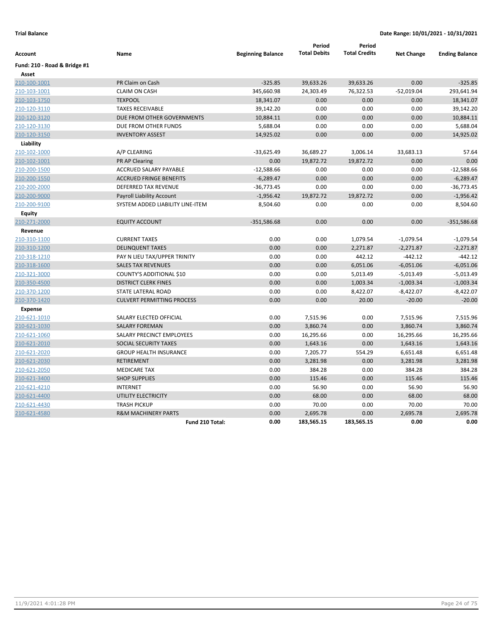|                              |                                   |                          | Period              | Period               |                   |                       |
|------------------------------|-----------------------------------|--------------------------|---------------------|----------------------|-------------------|-----------------------|
| Account                      | Name                              | <b>Beginning Balance</b> | <b>Total Debits</b> | <b>Total Credits</b> | <b>Net Change</b> | <b>Ending Balance</b> |
| Fund: 210 - Road & Bridge #1 |                                   |                          |                     |                      |                   |                       |
| Asset                        |                                   |                          |                     |                      |                   |                       |
| 210-100-1001                 | PR Claim on Cash                  | $-325.85$                | 39,633.26           | 39,633.26            | 0.00              | $-325.85$             |
| 210-103-1001                 | <b>CLAIM ON CASH</b>              | 345,660.98               | 24,303.49           | 76,322.53            | $-52,019.04$      | 293,641.94            |
| 210-103-1750                 | <b>TEXPOOL</b>                    | 18,341.07                | 0.00                | 0.00                 | 0.00              | 18,341.07             |
| 210-120-3110                 | <b>TAXES RECEIVABLE</b>           | 39,142.20                | 0.00                | 0.00                 | 0.00              | 39,142.20             |
| 210-120-3120                 | DUE FROM OTHER GOVERNMENTS        | 10,884.11                | 0.00                | 0.00                 | 0.00              | 10,884.11             |
| 210-120-3130                 | DUE FROM OTHER FUNDS              | 5,688.04                 | 0.00                | 0.00                 | 0.00              | 5,688.04              |
| 210-120-3150                 | <b>INVENTORY ASSEST</b>           | 14,925.02                | 0.00                | 0.00                 | 0.00              | 14,925.02             |
| Liability                    |                                   |                          |                     |                      |                   |                       |
| 210-102-1000                 | A/P CLEARING                      | $-33,625.49$             | 36,689.27           | 3,006.14             | 33,683.13         | 57.64                 |
| 210-102-1001                 | <b>PR AP Clearing</b>             | 0.00                     | 19,872.72           | 19,872.72            | 0.00              | 0.00                  |
| 210-200-1500                 | ACCRUED SALARY PAYABLE            | $-12,588.66$             | 0.00                | 0.00                 | 0.00              | $-12,588.66$          |
| 210-200-1550                 | <b>ACCRUED FRINGE BENEFITS</b>    | $-6,289.47$              | 0.00                | 0.00                 | 0.00              | $-6,289.47$           |
| 210-200-2000                 | DEFERRED TAX REVENUE              | $-36,773.45$             | 0.00                | 0.00                 | 0.00              | $-36,773.45$          |
| 210-200-9000                 | Payroll Liability Account         | $-1,956.42$              | 19,872.72           | 19,872.72            | 0.00              | $-1,956.42$           |
| 210-200-9100                 | SYSTEM ADDED LIABILITY LINE-ITEM  | 8,504.60                 | 0.00                | 0.00                 | 0.00              | 8,504.60              |
| Equity                       |                                   |                          |                     |                      |                   |                       |
| 210-271-2000                 | <b>EQUITY ACCOUNT</b>             | $-351,586.68$            | 0.00                | 0.00                 | 0.00              | $-351,586.68$         |
| Revenue                      |                                   |                          |                     |                      |                   |                       |
| 210-310-1100                 | <b>CURRENT TAXES</b>              | 0.00                     | 0.00                | 1,079.54             | $-1,079.54$       | $-1,079.54$           |
| 210-310-1200                 | <b>DELINQUENT TAXES</b>           | 0.00                     | 0.00                | 2,271.87             | $-2,271.87$       | $-2,271.87$           |
| 210-318-1210                 | PAY N LIEU TAX/UPPER TRINITY      | 0.00                     | 0.00                | 442.12               | $-442.12$         | $-442.12$             |
| 210-318-1600                 | <b>SALES TAX REVENUES</b>         | 0.00                     | 0.00                | 6,051.06             | $-6,051.06$       | $-6,051.06$           |
| 210-321-3000                 | COUNTY'S ADDITIONAL \$10          | 0.00                     | 0.00                | 5,013.49             | $-5,013.49$       | $-5,013.49$           |
| 210-350-4500                 | <b>DISTRICT CLERK FINES</b>       | 0.00                     | 0.00                | 1,003.34             | $-1,003.34$       | $-1,003.34$           |
| 210-370-1200                 | <b>STATE LATERAL ROAD</b>         | 0.00                     | 0.00                | 8,422.07             | $-8,422.07$       | $-8,422.07$           |
| 210-370-1420                 | <b>CULVERT PERMITTING PROCESS</b> | 0.00                     | 0.00                | 20.00                | $-20.00$          | $-20.00$              |
| <b>Expense</b>               |                                   |                          |                     |                      |                   |                       |
| 210-621-1010                 | SALARY ELECTED OFFICIAL           | 0.00                     | 7,515.96            | 0.00                 | 7,515.96          | 7,515.96              |
| 210-621-1030                 | <b>SALARY FOREMAN</b>             | 0.00                     | 3,860.74            | 0.00                 | 3,860.74          | 3,860.74              |
| 210-621-1060                 | SALARY PRECINCT EMPLOYEES         | 0.00                     | 16,295.66           | 0.00                 | 16,295.66         | 16,295.66             |
| 210-621-2010                 | <b>SOCIAL SECURITY TAXES</b>      | 0.00                     | 1,643.16            | 0.00                 | 1,643.16          | 1,643.16              |
| 210-621-2020                 | <b>GROUP HEALTH INSURANCE</b>     | 0.00                     | 7,205.77            | 554.29               | 6,651.48          | 6,651.48              |
| 210-621-2030                 | <b>RETIREMENT</b>                 | 0.00                     | 3,281.98            | 0.00                 | 3,281.98          | 3,281.98              |
| 210-621-2050                 | <b>MEDICARE TAX</b>               | 0.00                     | 384.28              | 0.00                 | 384.28            | 384.28                |
| 210-621-3400                 | <b>SHOP SUPPLIES</b>              | 0.00                     | 115.46              | 0.00                 | 115.46            | 115.46                |
| 210-621-4210                 | <b>INTERNET</b>                   | 0.00                     | 56.90               | 0.00                 | 56.90             | 56.90                 |
| 210-621-4400                 | UTILITY ELECTRICITY               | 0.00                     | 68.00               | 0.00                 | 68.00             | 68.00                 |
| 210-621-4430                 | <b>TRASH PICKUP</b>               | 0.00                     | 70.00               | 0.00                 | 70.00             | 70.00                 |
| 210-621-4580                 | <b>R&amp;M MACHINERY PARTS</b>    | 0.00                     | 2,695.78            | 0.00                 | 2,695.78          | 2,695.78              |
|                              | Fund 210 Total:                   | 0.00                     | 183,565.15          | 183,565.15           | 0.00              | 0.00                  |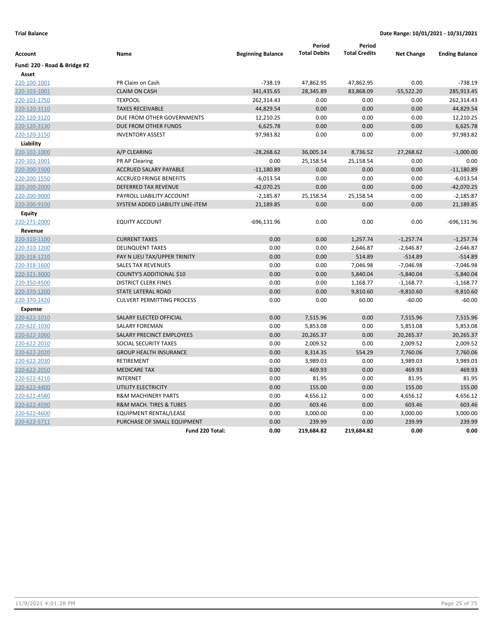| Account                      | Name                              | <b>Beginning Balance</b> | Period<br><b>Total Debits</b> | Period<br><b>Total Credits</b> | <b>Net Change</b> | <b>Ending Balance</b> |
|------------------------------|-----------------------------------|--------------------------|-------------------------------|--------------------------------|-------------------|-----------------------|
| Fund: 220 - Road & Bridge #2 |                                   |                          |                               |                                |                   |                       |
| Asset                        |                                   |                          |                               |                                |                   |                       |
| 220-100-1001                 | PR Claim on Cash                  | $-738.19$                | 47,862.95                     | 47,862.95                      | 0.00              | $-738.19$             |
| 220-103-1001                 | <b>CLAIM ON CASH</b>              | 341,435.65               | 28,345.89                     | 83,868.09                      | $-55,522.20$      | 285,913.45            |
| 220-103-1750                 | <b>TEXPOOL</b>                    | 262,314.43               | 0.00                          | 0.00                           | 0.00              | 262,314.43            |
| 220-120-3110                 | <b>TAXES RECEIVABLE</b>           | 44,829.54                | 0.00                          | 0.00                           | 0.00              | 44,829.54             |
| 220-120-3120                 | DUE FROM OTHER GOVERNMENTS        | 12,210.25                | 0.00                          | 0.00                           | 0.00              | 12,210.25             |
| 220-120-3130                 | DUE FROM OTHER FUNDS              | 6,625.78                 | 0.00                          | 0.00                           | 0.00              | 6,625.78              |
| 220-120-3150                 | <b>INVENTORY ASSEST</b>           | 97,983.82                | 0.00                          | 0.00                           | 0.00              | 97,983.82             |
| Liability                    |                                   |                          |                               |                                |                   |                       |
| 220-102-1000                 | A/P CLEARING                      | $-28,268.62$             | 36,005.14                     | 8,736.52                       | 27,268.62         | $-1,000.00$           |
| 220-102-1001                 | PR AP Clearing                    | 0.00                     | 25,158.54                     | 25,158.54                      | 0.00              | 0.00                  |
| 220-200-1500                 | ACCRUED SALARY PAYABLE            | $-11,180.89$             | 0.00                          | 0.00                           | 0.00              | $-11,180.89$          |
| 220-200-1550                 | <b>ACCRUED FRINGE BENEFITS</b>    | $-6,013.54$              | 0.00                          | 0.00                           | 0.00              | $-6,013.54$           |
| 220-200-2000                 | DEFERRED TAX REVENUE              | $-42,070.25$             | 0.00                          | 0.00                           | 0.00              | $-42,070.25$          |
| 220-200-9000                 | PAYROLL LIABILITY ACCOUNT         | $-2,185.87$              | 25,158.54                     | 25,158.54                      | 0.00              | $-2,185.87$           |
| 220-200-9100                 | SYSTEM ADDED LIABILITY LINE-ITEM  | 21,189.85                | 0.00                          | 0.00                           | 0.00              | 21,189.85             |
| <b>Equity</b>                |                                   |                          |                               |                                |                   |                       |
| 220-271-2000                 | <b>EQUITY ACCOUNT</b>             | $-696, 131.96$           | 0.00                          | 0.00                           | 0.00              | $-696, 131.96$        |
| Revenue                      |                                   |                          |                               |                                |                   |                       |
| 220-310-1100                 | <b>CURRENT TAXES</b>              | 0.00                     | 0.00                          | 1,257.74                       | $-1,257.74$       | $-1,257.74$           |
| 220-310-1200                 | <b>DELINQUENT TAXES</b>           | 0.00                     | 0.00                          | 2,646.87                       | $-2,646.87$       | $-2,646.87$           |
| 220-318-1210                 | PAY N LIEU TAX/UPPER TRINITY      | 0.00                     | 0.00                          | 514.89                         | $-514.89$         | $-514.89$             |
| 220-318-1600                 | <b>SALES TAX REVENUES</b>         | 0.00                     | 0.00                          | 7,046.98                       | $-7,046.98$       | $-7,046.98$           |
| 220-321-3000                 | <b>COUNTY'S ADDITIONAL \$10</b>   | 0.00                     | 0.00                          | 5,840.04                       | $-5,840.04$       | $-5,840.04$           |
| 220-350-4500                 | <b>DISTRICT CLERK FINES</b>       | 0.00                     | 0.00                          | 1,168.77                       | $-1,168.77$       | $-1,168.77$           |
| 220-370-1200                 | <b>STATE LATERAL ROAD</b>         | 0.00                     | 0.00                          | 9,810.60                       | $-9,810.60$       | $-9,810.60$           |
| 220-370-1420                 | <b>CULVERT PERMITTING PROCESS</b> | 0.00                     | 0.00                          | 60.00                          | $-60.00$          | $-60.00$              |
| <b>Expense</b>               |                                   |                          |                               |                                |                   |                       |
| 220-622-1010                 | SALARY ELECTED OFFICIAL           | 0.00                     | 7,515.96                      | 0.00                           | 7,515.96          | 7,515.96              |
| 220-622-1030                 | <b>SALARY FOREMAN</b>             | 0.00                     | 5,853.08                      | 0.00                           | 5,853.08          | 5,853.08              |
| 220-622-1060                 | <b>SALARY PRECINCT EMPLOYEES</b>  | 0.00                     | 20,265.37                     | 0.00                           | 20,265.37         | 20,265.37             |
| 220-622-2010                 | SOCIAL SECURITY TAXES             | 0.00                     | 2,009.52                      | 0.00                           | 2,009.52          | 2,009.52              |
| 220-622-2020                 | <b>GROUP HEALTH INSURANCE</b>     | 0.00                     | 8,314.35                      | 554.29                         | 7,760.06          | 7,760.06              |
| 220-622-2030                 | RETIREMENT                        | 0.00                     | 3,989.03                      | 0.00                           | 3,989.03          | 3,989.03              |
| 220-622-2050                 | <b>MEDICARE TAX</b>               | 0.00                     | 469.93                        | 0.00                           | 469.93            | 469.93                |
| 220-622-4210                 | <b>INTERNET</b>                   | 0.00                     | 81.95                         | 0.00                           | 81.95             | 81.95                 |
| 220-622-4400                 | UTILITY ELECTRICITY               | 0.00                     | 155.00                        | 0.00                           | 155.00            | 155.00                |
| 220-622-4580                 | <b>R&amp;M MACHINERY PARTS</b>    | 0.00                     | 4,656.12                      | 0.00                           | 4,656.12          | 4,656.12              |
| 220-622-4590                 | R&M MACH. TIRES & TUBES           | 0.00                     | 603.46                        | 0.00                           | 603.46            | 603.46                |
| 220-622-4600                 | EQUIPMENT RENTAL/LEASE            | 0.00                     | 3,000.00                      | 0.00                           | 3,000.00          | 3,000.00              |
| 220-622-5711                 | PURCHASE OF SMALL EQUIPMENT       | 0.00                     | 239.99                        | 0.00                           | 239.99            | 239.99                |
|                              | Fund 220 Total:                   | 0.00                     | 219,684.82                    | 219,684.82                     | 0.00              | 0.00                  |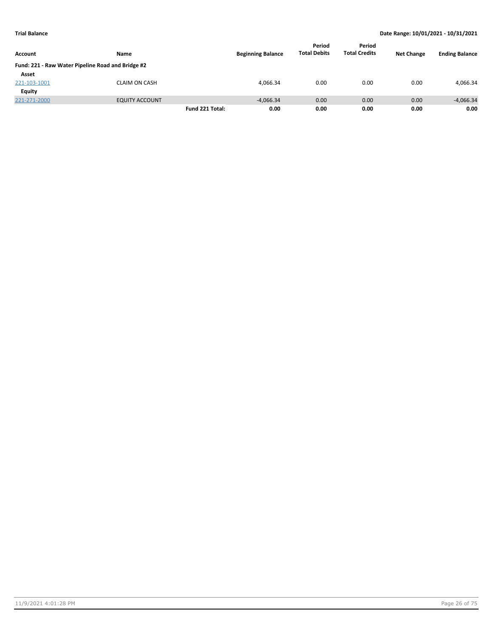|                                                   |                       |                 |                          | Period              | Period               |                   |                       |
|---------------------------------------------------|-----------------------|-----------------|--------------------------|---------------------|----------------------|-------------------|-----------------------|
| <b>Account</b>                                    | Name                  |                 | <b>Beginning Balance</b> | <b>Total Debits</b> | <b>Total Credits</b> | <b>Net Change</b> | <b>Ending Balance</b> |
| Fund: 221 - Raw Water Pipeline Road and Bridge #2 |                       |                 |                          |                     |                      |                   |                       |
| Asset                                             |                       |                 |                          |                     |                      |                   |                       |
| 221-103-1001                                      | <b>CLAIM ON CASH</b>  |                 | 4.066.34                 | 0.00                | 0.00                 | 0.00              | 4.066.34              |
| Equity                                            |                       |                 |                          |                     |                      |                   |                       |
| 221-271-2000                                      | <b>EQUITY ACCOUNT</b> |                 | $-4.066.34$              | 0.00                | 0.00                 | 0.00              | $-4,066.34$           |
|                                                   |                       | Fund 221 Total: | 0.00                     | 0.00                | 0.00                 | 0.00              | 0.00                  |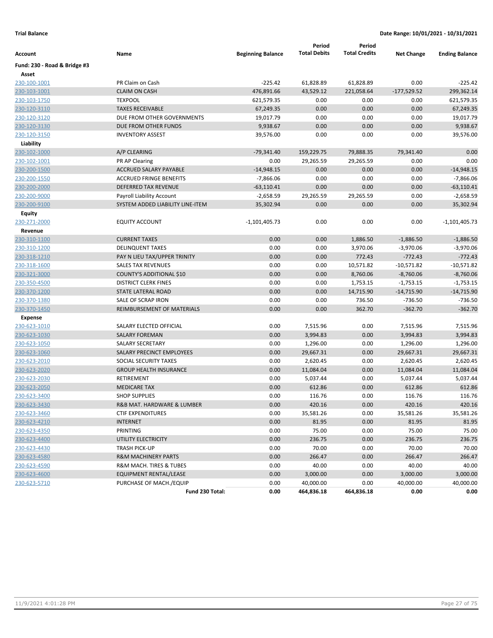| Account                      | Name                             | <b>Beginning Balance</b> | Period<br><b>Total Debits</b> | Period<br><b>Total Credits</b> | <b>Net Change</b> | <b>Ending Balance</b> |
|------------------------------|----------------------------------|--------------------------|-------------------------------|--------------------------------|-------------------|-----------------------|
| Fund: 230 - Road & Bridge #3 |                                  |                          |                               |                                |                   |                       |
| Asset                        |                                  |                          |                               |                                |                   |                       |
| 230-100-1001                 | PR Claim on Cash                 | $-225.42$                | 61,828.89                     | 61,828.89                      | 0.00              | $-225.42$             |
| 230-103-1001                 | <b>CLAIM ON CASH</b>             | 476,891.66               | 43,529.12                     | 221,058.64                     | $-177,529.52$     | 299,362.14            |
| 230-103-1750                 | <b>TEXPOOL</b>                   | 621,579.35               | 0.00                          | 0.00                           | 0.00              | 621,579.35            |
| 230-120-3110                 | <b>TAXES RECEIVABLE</b>          | 67,249.35                | 0.00                          | 0.00                           | 0.00              | 67,249.35             |
| 230-120-3120                 | DUE FROM OTHER GOVERNMENTS       | 19,017.79                | 0.00                          | 0.00                           | 0.00              | 19,017.79             |
| 230-120-3130                 | DUE FROM OTHER FUNDS             | 9,938.67                 | 0.00                          | 0.00                           | 0.00              | 9,938.67              |
| 230-120-3150                 | <b>INVENTORY ASSEST</b>          | 39,576.00                | 0.00                          | 0.00                           | 0.00              | 39,576.00             |
| Liability                    |                                  |                          |                               |                                |                   |                       |
| 230-102-1000                 | A/P CLEARING                     | $-79,341.40$             | 159,229.75                    | 79,888.35                      | 79,341.40         | 0.00                  |
| 230-102-1001                 | PR AP Clearing                   | 0.00                     | 29,265.59                     | 29,265.59                      | 0.00              | 0.00                  |
| 230-200-1500                 | ACCRUED SALARY PAYABLE           | $-14,948.15$             | 0.00                          | 0.00                           | 0.00              | $-14,948.15$          |
| 230-200-1550                 | <b>ACCRUED FRINGE BENEFITS</b>   | $-7,866.06$              | 0.00                          | 0.00                           | 0.00              | $-7,866.06$           |
| 230-200-2000                 | <b>DEFERRED TAX REVENUE</b>      | $-63,110.41$             | 0.00                          | 0.00                           | 0.00              | $-63,110.41$          |
| 230-200-9000                 | Payroll Liability Account        | $-2,658.59$              | 29,265.59                     | 29,265.59                      | 0.00              | $-2,658.59$           |
| 230-200-9100                 | SYSTEM ADDED LIABILITY LINE-ITEM | 35,302.94                | 0.00                          | 0.00                           | 0.00              | 35,302.94             |
| Equity                       |                                  |                          |                               |                                |                   |                       |
| 230-271-2000                 | <b>EQUITY ACCOUNT</b>            | -1,101,405.73            | 0.00                          | 0.00                           | 0.00              | $-1,101,405.73$       |
| Revenue                      |                                  |                          |                               |                                |                   |                       |
| 230-310-1100                 | <b>CURRENT TAXES</b>             | 0.00                     | 0.00                          | 1,886.50                       | $-1,886.50$       | $-1,886.50$           |
| 230-310-1200                 | <b>DELINQUENT TAXES</b>          | 0.00                     | 0.00                          | 3,970.06                       | $-3,970.06$       | $-3,970.06$           |
| 230-318-1210                 | PAY N LIEU TAX/UPPER TRINITY     | 0.00                     | 0.00                          | 772.43                         | $-772.43$         | $-772.43$             |
| 230-318-1600                 | <b>SALES TAX REVENUES</b>        | 0.00                     | 0.00                          | 10,571.82                      | $-10,571.82$      | $-10,571.82$          |
| 230-321-3000                 | COUNTY'S ADDITIONAL \$10         | 0.00                     | 0.00                          | 8,760.06                       | $-8,760.06$       | $-8,760.06$           |
| 230-350-4500                 | <b>DISTRICT CLERK FINES</b>      | 0.00                     | 0.00                          | 1,753.15                       | -1,753.15         | $-1,753.15$           |
| 230-370-1200                 | STATE LATERAL ROAD               | 0.00                     | 0.00                          | 14,715.90                      | $-14,715.90$      | $-14,715.90$          |
| 230-370-1380                 | SALE OF SCRAP IRON               | 0.00                     | 0.00                          | 736.50                         | $-736.50$         | $-736.50$             |
| 230-370-1450                 | REIMBURSEMENT OF MATERIALS       | 0.00                     | 0.00                          | 362.70                         | $-362.70$         | $-362.70$             |
| <b>Expense</b>               |                                  |                          |                               |                                |                   |                       |
| 230-623-1010                 | SALARY ELECTED OFFICIAL          | 0.00                     | 7,515.96                      | 0.00                           | 7,515.96          | 7,515.96              |
| 230-623-1030                 | <b>SALARY FOREMAN</b>            | 0.00                     | 3,994.83                      | 0.00                           | 3,994.83          | 3,994.83              |
| 230-623-1050                 | SALARY SECRETARY                 | 0.00                     | 1,296.00                      | 0.00                           | 1,296.00          | 1,296.00              |
| 230-623-1060                 | SALARY PRECINCT EMPLOYEES        | 0.00                     | 29,667.31                     | 0.00                           | 29,667.31         | 29,667.31             |
| 230-623-2010                 | SOCIAL SECURITY TAXES            | 0.00                     | 2,620.45                      | 0.00                           | 2,620.45          | 2,620.45              |
| 230-623-2020                 | <b>GROUP HEALTH INSURANCE</b>    | 0.00                     | 11,084.04                     | 0.00                           | 11,084.04         | 11,084.04             |
| 230-623-2030                 | RETIREMENT                       | 0.00                     | 5,037.44                      | 0.00                           | 5,037.44          | 5,037.44              |
| 230-623-2050                 | <b>MEDICARE TAX</b>              | 0.00                     | 612.86                        | 0.00                           | 612.86            | 612.86                |
| 230-623-3400                 | <b>SHOP SUPPLIES</b>             | 0.00                     | 116.76                        | 0.00                           | 116.76            | 116.76                |
| 230-623-3430                 | R&B MAT. HARDWARE & LUMBER       | 0.00                     | 420.16                        | 0.00                           | 420.16            | 420.16                |
| 230-623-3460                 | <b>CTIF EXPENDITURES</b>         | 0.00                     | 35,581.26                     | 0.00                           | 35,581.26         | 35,581.26             |
| 230-623-4210                 | <b>INTERNET</b>                  | 0.00                     | 81.95                         | 0.00                           | 81.95             | 81.95                 |
| 230-623-4350                 | PRINTING                         | 0.00                     | 75.00                         | 0.00                           | 75.00             | 75.00                 |
| 230-623-4400                 | UTILITY ELECTRICITY              | 0.00                     | 236.75                        | 0.00                           | 236.75            | 236.75                |
| 230-623-4430                 | <b>TRASH PICK-UP</b>             | 0.00                     | 70.00                         | 0.00                           | 70.00             | 70.00                 |
| 230-623-4580                 | <b>R&amp;M MACHINERY PARTS</b>   | 0.00                     | 266.47                        | 0.00                           | 266.47            | 266.47                |
| 230-623-4590                 | R&M MACH. TIRES & TUBES          | 0.00                     | 40.00                         | 0.00                           | 40.00             | 40.00                 |
| 230-623-4600                 | EQUIPMENT RENTAL/LEASE           | 0.00                     | 3,000.00                      | 0.00                           | 3,000.00          | 3,000.00              |
| 230-623-5710                 | PURCHASE OF MACH./EQUIP          | 0.00                     | 40,000.00                     | 0.00                           | 40,000.00         | 40,000.00             |
|                              | Fund 230 Total:                  | 0.00                     | 464,836.18                    | 464,836.18                     | 0.00              | 0.00                  |
|                              |                                  |                          |                               |                                |                   |                       |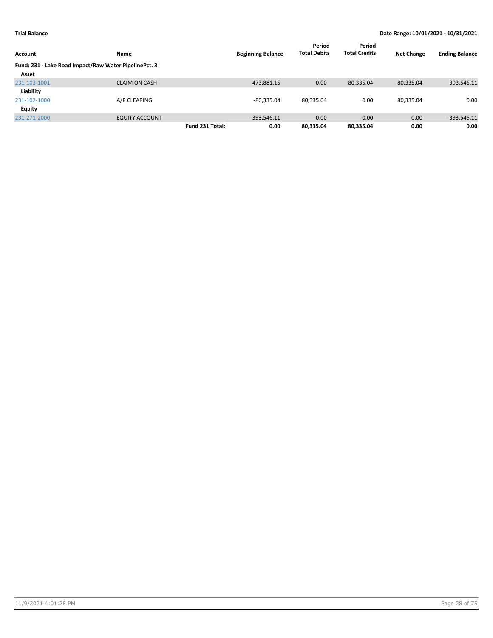| Account      | <b>Name</b>                                           |                 | <b>Beginning Balance</b> | Period<br><b>Total Debits</b> | Period<br><b>Total Credits</b> | <b>Net Change</b> | <b>Ending Balance</b> |
|--------------|-------------------------------------------------------|-----------------|--------------------------|-------------------------------|--------------------------------|-------------------|-----------------------|
|              |                                                       |                 |                          |                               |                                |                   |                       |
|              | Fund: 231 - Lake Road Impact/Raw Water PipelinePct. 3 |                 |                          |                               |                                |                   |                       |
| Asset        |                                                       |                 |                          |                               |                                |                   |                       |
| 231-103-1001 | <b>CLAIM ON CASH</b>                                  |                 | 473,881.15               | 0.00                          | 80,335.04                      | $-80,335.04$      | 393,546.11            |
| Liability    |                                                       |                 |                          |                               |                                |                   |                       |
| 231-102-1000 | A/P CLEARING                                          |                 | $-80,335.04$             | 80,335.04                     | 0.00                           | 80,335.04         | 0.00                  |
| Equity       |                                                       |                 |                          |                               |                                |                   |                       |
| 231-271-2000 | <b>EQUITY ACCOUNT</b>                                 |                 | $-393,546.11$            | 0.00                          | 0.00                           | 0.00              | $-393,546.11$         |
|              |                                                       | Fund 231 Total: | 0.00                     | 80,335.04                     | 80,335.04                      | 0.00              | 0.00                  |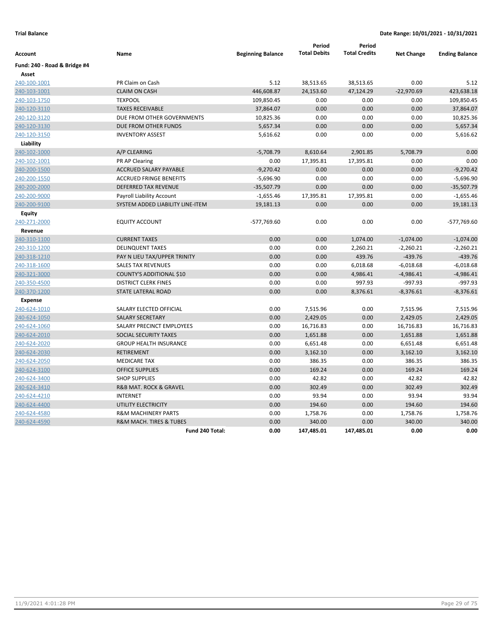| Account                      | Name                                  | <b>Beginning Balance</b> | Period<br><b>Total Debits</b> | Period<br><b>Total Credits</b> | <b>Net Change</b> | <b>Ending Balance</b> |
|------------------------------|---------------------------------------|--------------------------|-------------------------------|--------------------------------|-------------------|-----------------------|
| Fund: 240 - Road & Bridge #4 |                                       |                          |                               |                                |                   |                       |
| Asset                        |                                       |                          |                               |                                |                   |                       |
| 240-100-1001                 | PR Claim on Cash                      | 5.12                     | 38,513.65                     | 38,513.65                      | 0.00              | 5.12                  |
| 240-103-1001                 | <b>CLAIM ON CASH</b>                  | 446,608.87               | 24,153.60                     | 47,124.29                      | $-22,970.69$      | 423,638.18            |
| 240-103-1750                 | <b>TEXPOOL</b>                        | 109,850.45               | 0.00                          | 0.00                           | 0.00              | 109,850.45            |
| 240-120-3110                 | <b>TAXES RECEIVABLE</b>               | 37,864.07                | 0.00                          | 0.00                           | 0.00              | 37,864.07             |
| 240-120-3120                 | DUE FROM OTHER GOVERNMENTS            | 10,825.36                | 0.00                          | 0.00                           | 0.00              | 10,825.36             |
| 240-120-3130                 | DUE FROM OTHER FUNDS                  | 5,657.34                 | 0.00                          | 0.00                           | 0.00              | 5,657.34              |
| 240-120-3150                 | <b>INVENTORY ASSEST</b>               | 5,616.62                 | 0.00                          | 0.00                           | 0.00              | 5,616.62              |
| Liability                    |                                       |                          |                               |                                |                   |                       |
| 240-102-1000                 | A/P CLEARING                          | $-5,708.79$              | 8,610.64                      | 2,901.85                       | 5,708.79          | 0.00                  |
| 240-102-1001                 | PR AP Clearing                        | 0.00                     | 17,395.81                     | 17,395.81                      | 0.00              | 0.00                  |
| 240-200-1500                 | ACCRUED SALARY PAYABLE                | $-9,270.42$              | 0.00                          | 0.00                           | 0.00              | $-9,270.42$           |
| 240-200-1550                 | <b>ACCRUED FRINGE BENEFITS</b>        | $-5,696.90$              | 0.00                          | 0.00                           | 0.00              | $-5,696.90$           |
| 240-200-2000                 | <b>DEFERRED TAX REVENUE</b>           | $-35,507.79$             | 0.00                          | 0.00                           | 0.00              | $-35,507.79$          |
| 240-200-9000                 | Payroll Liability Account             | $-1,655.46$              | 17,395.81                     | 17,395.81                      | 0.00              | $-1,655.46$           |
| 240-200-9100                 | SYSTEM ADDED LIABILITY LINE-ITEM      | 19,181.13                | 0.00                          | 0.00                           | 0.00              | 19,181.13             |
| <b>Equity</b>                |                                       |                          |                               |                                |                   |                       |
| 240-271-2000                 | <b>EQUITY ACCOUNT</b>                 | -577,769.60              | 0.00                          | 0.00                           | 0.00              | -577,769.60           |
| Revenue                      |                                       |                          |                               |                                |                   |                       |
| 240-310-1100                 | <b>CURRENT TAXES</b>                  | 0.00                     | 0.00                          | 1,074.00                       | $-1,074.00$       | $-1,074.00$           |
| 240-310-1200                 | <b>DELINQUENT TAXES</b>               | 0.00                     | 0.00                          | 2,260.21                       | $-2,260.21$       | $-2,260.21$           |
| 240-318-1210                 | PAY N LIEU TAX/UPPER TRINITY          | 0.00                     | 0.00                          | 439.76                         | $-439.76$         | $-439.76$             |
| 240-318-1600                 | <b>SALES TAX REVENUES</b>             | 0.00                     | 0.00                          | 6,018.68                       | $-6,018.68$       | $-6,018.68$           |
| 240-321-3000                 | <b>COUNTY'S ADDITIONAL \$10</b>       | 0.00                     | 0.00                          | 4,986.41                       | $-4,986.41$       | $-4,986.41$           |
| 240-350-4500                 | <b>DISTRICT CLERK FINES</b>           | 0.00                     | 0.00                          | 997.93                         | $-997.93$         | $-997.93$             |
| 240-370-1200                 | <b>STATE LATERAL ROAD</b>             | 0.00                     | 0.00                          | 8,376.61                       | $-8,376.61$       | $-8,376.61$           |
| <b>Expense</b>               |                                       |                          |                               |                                |                   |                       |
| 240-624-1010                 | SALARY ELECTED OFFICIAL               | 0.00                     | 7,515.96                      | 0.00                           | 7,515.96          | 7,515.96              |
| 240-624-1050                 | <b>SALARY SECRETARY</b>               | 0.00                     | 2,429.05                      | 0.00                           | 2,429.05          | 2,429.05              |
| 240-624-1060                 | SALARY PRECINCT EMPLOYEES             | 0.00                     | 16,716.83                     | 0.00                           | 16,716.83         | 16,716.83             |
| 240-624-2010                 | <b>SOCIAL SECURITY TAXES</b>          | 0.00                     | 1,651.88                      | 0.00                           | 1,651.88          | 1,651.88              |
| 240-624-2020                 | <b>GROUP HEALTH INSURANCE</b>         | 0.00                     | 6,651.48                      | 0.00                           | 6,651.48          | 6,651.48              |
| 240-624-2030                 | <b>RETIREMENT</b>                     | 0.00                     | 3,162.10                      | 0.00                           | 3,162.10          | 3,162.10              |
| 240-624-2050                 | <b>MEDICARE TAX</b>                   | 0.00                     | 386.35                        | 0.00                           | 386.35            | 386.35                |
| 240-624-3100                 | <b>OFFICE SUPPLIES</b>                | 0.00                     | 169.24                        | 0.00                           | 169.24            | 169.24                |
| 240-624-3400                 | <b>SHOP SUPPLIES</b>                  | 0.00                     | 42.82                         | 0.00                           | 42.82             | 42.82                 |
| 240-624-3410                 | <b>R&amp;B MAT. ROCK &amp; GRAVEL</b> | 0.00                     | 302.49                        | 0.00                           | 302.49            | 302.49                |
| 240-624-4210                 | <b>INTERNET</b>                       | 0.00                     | 93.94                         | 0.00                           | 93.94             | 93.94                 |
| 240-624-4400                 | UTILITY ELECTRICITY                   | 0.00                     | 194.60                        | 0.00                           | 194.60            | 194.60                |
| 240-624-4580                 | <b>R&amp;M MACHINERY PARTS</b>        | 0.00                     | 1,758.76                      | 0.00                           | 1,758.76          | 1,758.76              |
| 240-624-4590                 | R&M MACH. TIRES & TUBES               | 0.00                     | 340.00                        | 0.00                           | 340.00            | 340.00                |
|                              | Fund 240 Total:                       | 0.00                     | 147,485.01                    | 147,485.01                     | 0.00              | 0.00                  |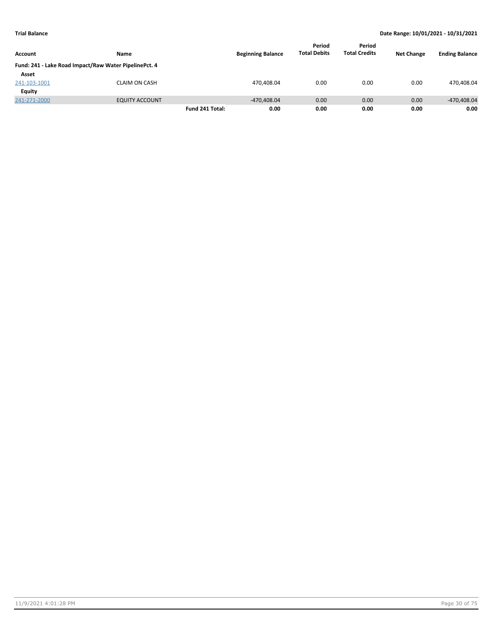|                |                                                       |                 |                          | Period              | Period               |                   |                       |
|----------------|-------------------------------------------------------|-----------------|--------------------------|---------------------|----------------------|-------------------|-----------------------|
| <b>Account</b> | Name                                                  |                 | <b>Beginning Balance</b> | <b>Total Debits</b> | <b>Total Credits</b> | <b>Net Change</b> | <b>Ending Balance</b> |
|                | Fund: 241 - Lake Road Impact/Raw Water PipelinePct. 4 |                 |                          |                     |                      |                   |                       |
| Asset          |                                                       |                 |                          |                     |                      |                   |                       |
| 241-103-1001   | <b>CLAIM ON CASH</b>                                  |                 | 470,408.04               | 0.00                | 0.00                 | 0.00              | 470,408.04            |
| Equity         |                                                       |                 |                          |                     |                      |                   |                       |
| 241-271-2000   | <b>EQUITY ACCOUNT</b>                                 |                 | $-470.408.04$            | 0.00                | 0.00                 | 0.00              | -470,408.04           |
|                |                                                       | Fund 241 Total: | 0.00                     | 0.00                | 0.00                 | 0.00              | 0.00                  |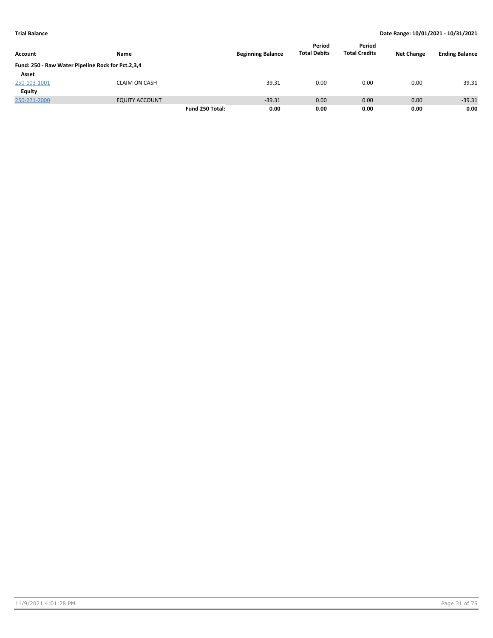|                                                   |                       |                 |                          | Period              | Period               |                   |                       |
|---------------------------------------------------|-----------------------|-----------------|--------------------------|---------------------|----------------------|-------------------|-----------------------|
| <b>Account</b>                                    | Name                  |                 | <b>Beginning Balance</b> | <b>Total Debits</b> | <b>Total Credits</b> | <b>Net Change</b> | <b>Ending Balance</b> |
| Fund: 250 - Raw Water Pipeline Rock for Pct.2,3,4 |                       |                 |                          |                     |                      |                   |                       |
| Asset                                             |                       |                 |                          |                     |                      |                   |                       |
| 250-103-1001                                      | <b>CLAIM ON CASH</b>  |                 | 39.31                    | 0.00                | 0.00                 | 0.00              | 39.31                 |
| <b>Equity</b>                                     |                       |                 |                          |                     |                      |                   |                       |
| 250-271-2000                                      | <b>EQUITY ACCOUNT</b> |                 | $-39.31$                 | 0.00                | 0.00                 | 0.00              | $-39.31$              |
|                                                   |                       | Fund 250 Total: | 0.00                     | 0.00                | 0.00                 | 0.00              | 0.00                  |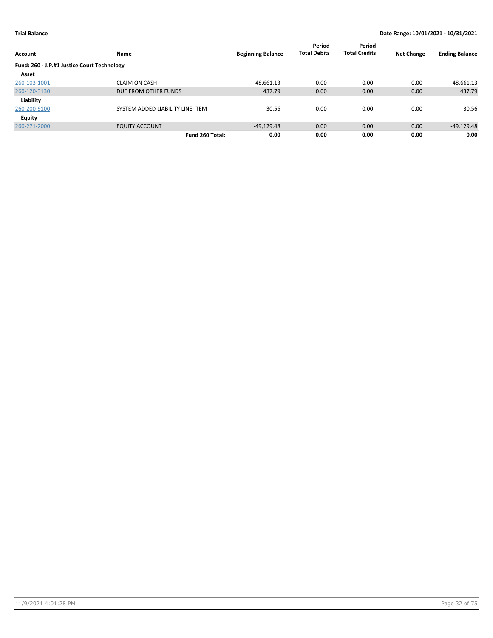| Account                                     | Name                             | <b>Beginning Balance</b> | Period<br><b>Total Debits</b> | Period<br><b>Total Credits</b> | <b>Net Change</b> | <b>Ending Balance</b> |
|---------------------------------------------|----------------------------------|--------------------------|-------------------------------|--------------------------------|-------------------|-----------------------|
| Fund: 260 - J.P.#1 Justice Court Technology |                                  |                          |                               |                                |                   |                       |
| Asset                                       |                                  |                          |                               |                                |                   |                       |
| 260-103-1001                                | <b>CLAIM ON CASH</b>             | 48,661.13                | 0.00                          | 0.00                           | 0.00              | 48,661.13             |
| 260-120-3130                                | DUE FROM OTHER FUNDS             | 437.79                   | 0.00                          | 0.00                           | 0.00              | 437.79                |
| Liability                                   |                                  |                          |                               |                                |                   |                       |
| 260-200-9100                                | SYSTEM ADDED LIABILITY LINE-ITEM | 30.56                    | 0.00                          | 0.00                           | 0.00              | 30.56                 |
| <b>Equity</b>                               |                                  |                          |                               |                                |                   |                       |
| 260-271-2000                                | <b>EQUITY ACCOUNT</b>            | $-49,129.48$             | 0.00                          | 0.00                           | 0.00              | $-49,129.48$          |
|                                             | Fund 260 Total:                  | 0.00                     | 0.00                          | 0.00                           | 0.00              | 0.00                  |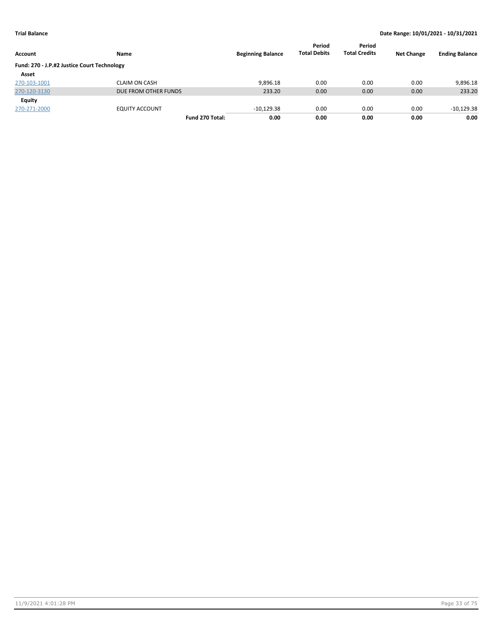| Account                                     | Name                  | <b>Beginning Balance</b> | Period<br><b>Total Debits</b> | Period<br><b>Total Credits</b> | <b>Net Change</b> | <b>Ending Balance</b> |
|---------------------------------------------|-----------------------|--------------------------|-------------------------------|--------------------------------|-------------------|-----------------------|
| Fund: 270 - J.P.#2 Justice Court Technology |                       |                          |                               |                                |                   |                       |
| Asset                                       |                       |                          |                               |                                |                   |                       |
| 270-103-1001                                | <b>CLAIM ON CASH</b>  | 9.896.18                 | 0.00                          | 0.00                           | 0.00              | 9,896.18              |
| 270-120-3130                                | DUE FROM OTHER FUNDS  | 233.20                   | 0.00                          | 0.00                           | 0.00              | 233.20                |
| Equity                                      |                       |                          |                               |                                |                   |                       |
| 270-271-2000                                | <b>EQUITY ACCOUNT</b> | $-10,129.38$             | 0.00                          | 0.00                           | 0.00              | $-10,129.38$          |
|                                             | Fund 270 Total:       | 0.00                     | 0.00                          | 0.00                           | 0.00              | 0.00                  |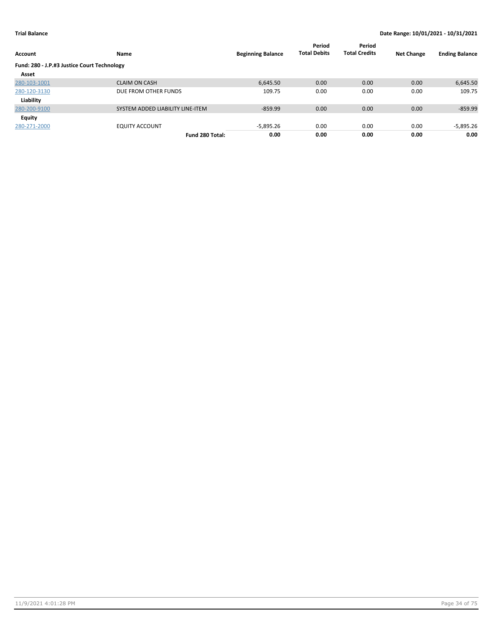| Account                                     | Name                             | <b>Beginning Balance</b> | Period<br><b>Total Debits</b> | Period<br><b>Total Credits</b> | <b>Net Change</b> | <b>Ending Balance</b> |
|---------------------------------------------|----------------------------------|--------------------------|-------------------------------|--------------------------------|-------------------|-----------------------|
|                                             |                                  |                          |                               |                                |                   |                       |
| Fund: 280 - J.P.#3 Justice Court Technology |                                  |                          |                               |                                |                   |                       |
| Asset                                       |                                  |                          |                               |                                |                   |                       |
| 280-103-1001                                | <b>CLAIM ON CASH</b>             | 6,645.50                 | 0.00                          | 0.00                           | 0.00              | 6,645.50              |
| 280-120-3130                                | DUE FROM OTHER FUNDS             | 109.75                   | 0.00                          | 0.00                           | 0.00              | 109.75                |
| Liability                                   |                                  |                          |                               |                                |                   |                       |
| 280-200-9100                                | SYSTEM ADDED LIABILITY LINE-ITEM | $-859.99$                | 0.00                          | 0.00                           | 0.00              | $-859.99$             |
| Equity                                      |                                  |                          |                               |                                |                   |                       |
| 280-271-2000                                | <b>EQUITY ACCOUNT</b>            | -5,895.26                | 0.00                          | 0.00                           | 0.00              | -5,895.26             |
|                                             | Fund 280 Total:                  | 0.00                     | 0.00                          | 0.00                           | 0.00              | 0.00                  |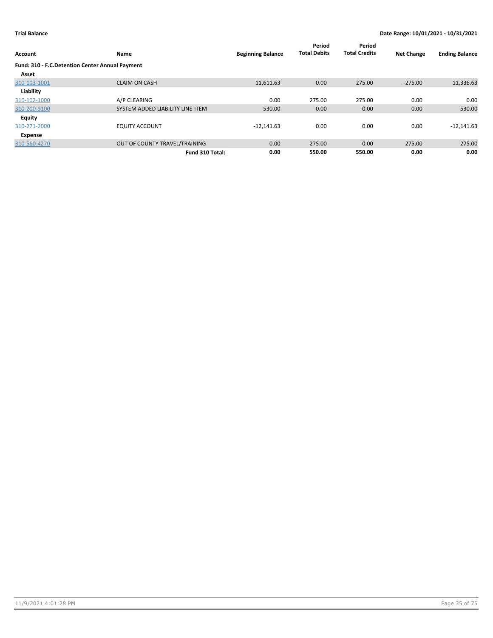| Account                                         | Name                             | <b>Beginning Balance</b> | Period<br><b>Total Debits</b> | Period<br><b>Total Credits</b> | <b>Net Change</b> | <b>Ending Balance</b> |
|-------------------------------------------------|----------------------------------|--------------------------|-------------------------------|--------------------------------|-------------------|-----------------------|
| Fund: 310 - F.C.Detention Center Annual Payment |                                  |                          |                               |                                |                   |                       |
| Asset                                           |                                  |                          |                               |                                |                   |                       |
| 310-103-1001                                    | <b>CLAIM ON CASH</b>             | 11,611.63                | 0.00                          | 275.00                         | $-275.00$         | 11,336.63             |
| Liability                                       |                                  |                          |                               |                                |                   |                       |
| 310-102-1000                                    | A/P CLEARING                     | 0.00                     | 275.00                        | 275.00                         | 0.00              | 0.00                  |
| 310-200-9100                                    | SYSTEM ADDED LIABILITY LINE-ITEM | 530.00                   | 0.00                          | 0.00                           | 0.00              | 530.00                |
| Equity                                          |                                  |                          |                               |                                |                   |                       |
| 310-271-2000                                    | <b>EQUITY ACCOUNT</b>            | $-12,141.63$             | 0.00                          | 0.00                           | 0.00              | $-12,141.63$          |
| Expense                                         |                                  |                          |                               |                                |                   |                       |
| 310-560-4270                                    | OUT OF COUNTY TRAVEL/TRAINING    | 0.00                     | 275.00                        | 0.00                           | 275.00            | 275.00                |
|                                                 | Fund 310 Total:                  | 0.00                     | 550.00                        | 550.00                         | 0.00              | 0.00                  |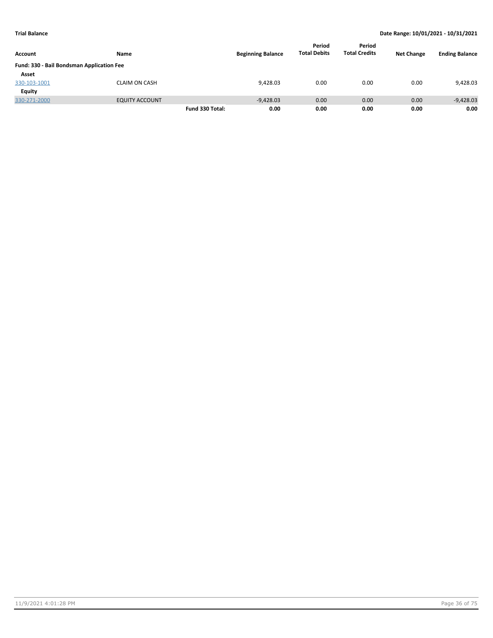|                                           |                       |                 |                          |                     | Period<br><b>Total Credits</b> | <b>Net Change</b> | <b>Ending Balance</b> |
|-------------------------------------------|-----------------------|-----------------|--------------------------|---------------------|--------------------------------|-------------------|-----------------------|
| Account                                   | Name                  |                 | <b>Beginning Balance</b> | <b>Total Debits</b> |                                |                   |                       |
| Fund: 330 - Bail Bondsman Application Fee |                       |                 |                          |                     |                                |                   |                       |
| Asset                                     |                       |                 |                          |                     |                                |                   |                       |
| 330-103-1001                              | <b>CLAIM ON CASH</b>  |                 | 9,428.03                 | 0.00                | 0.00                           | 0.00              | 9,428.03              |
| Equity                                    |                       |                 |                          |                     |                                |                   |                       |
| 330-271-2000                              | <b>EQUITY ACCOUNT</b> |                 | $-9,428.03$              | 0.00                | 0.00                           | 0.00              | $-9,428.03$           |
|                                           |                       | Fund 330 Total: | 0.00                     | 0.00                | 0.00                           | 0.00              | 0.00                  |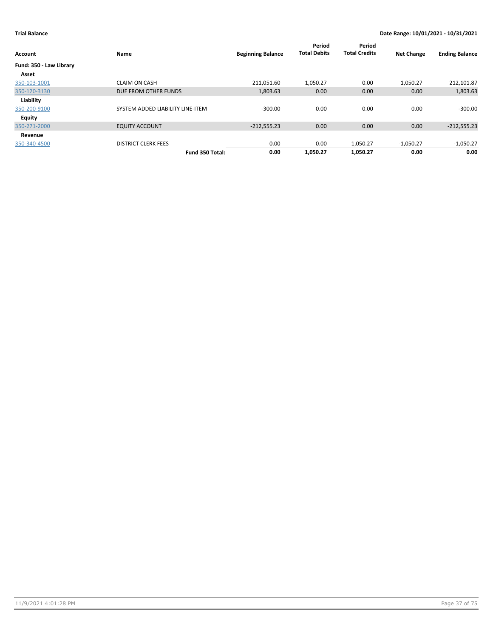| <b>Account</b>          | Name                             | <b>Beginning Balance</b> | Period<br><b>Total Debits</b> | Period<br><b>Total Credits</b> | <b>Net Change</b> | <b>Ending Balance</b> |
|-------------------------|----------------------------------|--------------------------|-------------------------------|--------------------------------|-------------------|-----------------------|
| Fund: 350 - Law Library |                                  |                          |                               |                                |                   |                       |
| Asset                   |                                  |                          |                               |                                |                   |                       |
| 350-103-1001            | <b>CLAIM ON CASH</b>             | 211,051.60               | 1,050.27                      | 0.00                           | 1,050.27          | 212,101.87            |
| 350-120-3130            | DUE FROM OTHER FUNDS             | 1,803.63                 | 0.00                          | 0.00                           | 0.00              | 1,803.63              |
| Liability               |                                  |                          |                               |                                |                   |                       |
| 350-200-9100            | SYSTEM ADDED LIABILITY LINE-ITEM | $-300.00$                | 0.00                          | 0.00                           | 0.00              | $-300.00$             |
| <b>Equity</b>           |                                  |                          |                               |                                |                   |                       |
| 350-271-2000            | <b>EQUITY ACCOUNT</b>            | $-212,555.23$            | 0.00                          | 0.00                           | 0.00              | $-212,555.23$         |
| Revenue                 |                                  |                          |                               |                                |                   |                       |
| 350-340-4500            | <b>DISTRICT CLERK FEES</b>       | 0.00                     | 0.00                          | 1,050.27                       | $-1,050.27$       | $-1,050.27$           |
|                         | Fund 350 Total:                  | 0.00                     | 1,050.27                      | 1,050.27                       | 0.00              | 0.00                  |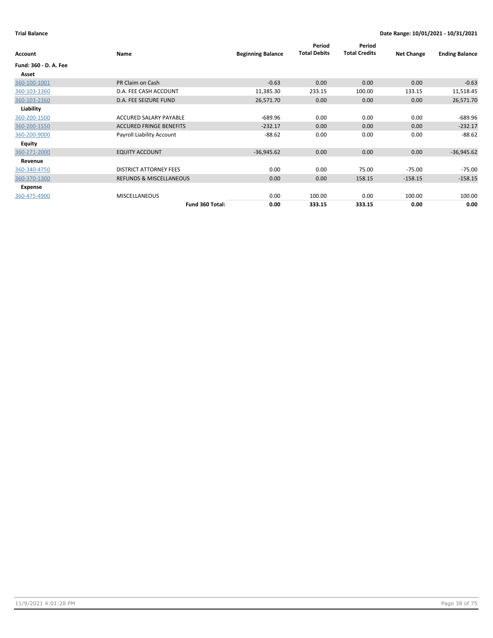| Account               | Name                               | <b>Beginning Balance</b> | Period<br><b>Total Debits</b> | Period<br><b>Total Credits</b> | <b>Net Change</b> | <b>Ending Balance</b> |
|-----------------------|------------------------------------|--------------------------|-------------------------------|--------------------------------|-------------------|-----------------------|
| Fund: 360 - D. A. Fee |                                    |                          |                               |                                |                   |                       |
| Asset                 |                                    |                          |                               |                                |                   |                       |
| 360-100-1001          | PR Claim on Cash                   | $-0.63$                  | 0.00                          | 0.00                           | 0.00              | $-0.63$               |
| 360-103-1360          | D.A. FEE CASH ACCOUNT              | 11,385.30                | 233.15                        | 100.00                         | 133.15            | 11,518.45             |
| 360-103-2360          | D.A. FEE SEIZURE FUND              | 26,571.70                | 0.00                          | 0.00                           | 0.00              | 26,571.70             |
| Liability             |                                    |                          |                               |                                |                   |                       |
| 360-200-1500          | ACCURED SALARY PAYABLE             | $-689.96$                | 0.00                          | 0.00                           | 0.00              | -689.96               |
| 360-200-1550          | <b>ACCURED FRINGE BENEFITS</b>     | $-232.17$                | 0.00                          | 0.00                           | 0.00              | $-232.17$             |
| 360-200-9000          | Payroll Liability Account          | $-88.62$                 | 0.00                          | 0.00                           | 0.00              | $-88.62$              |
| Equity                |                                    |                          |                               |                                |                   |                       |
| 360-271-2000          | <b>EQUITY ACCOUNT</b>              | $-36,945.62$             | 0.00                          | 0.00                           | 0.00              | $-36,945.62$          |
| Revenue               |                                    |                          |                               |                                |                   |                       |
| 360-340-4750          | <b>DISTRICT ATTORNEY FEES</b>      | 0.00                     | 0.00                          | 75.00                          | $-75.00$          | $-75.00$              |
| 360-370-1300          | <b>REFUNDS &amp; MISCELLANEOUS</b> | 0.00                     | 0.00                          | 158.15                         | $-158.15$         | $-158.15$             |
| Expense               |                                    |                          |                               |                                |                   |                       |
| 360-475-4900          | <b>MISCELLANEOUS</b>               | 0.00                     | 100.00                        | 0.00                           | 100.00            | 100.00                |
|                       | Fund 360 Total:                    | 0.00                     | 333.15                        | 333.15                         | 0.00              | 0.00                  |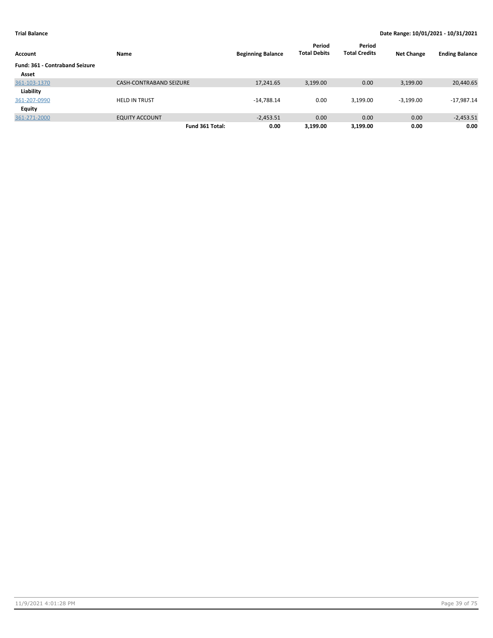| Account                               | Name                           | <b>Beginning Balance</b> | Period<br><b>Total Debits</b> | Period<br><b>Total Credits</b> | <b>Net Change</b> | <b>Ending Balance</b> |
|---------------------------------------|--------------------------------|--------------------------|-------------------------------|--------------------------------|-------------------|-----------------------|
| <b>Fund: 361 - Contraband Seizure</b> |                                |                          |                               |                                |                   |                       |
| Asset                                 |                                |                          |                               |                                |                   |                       |
| 361-103-1370                          | <b>CASH-CONTRABAND SEIZURE</b> | 17,241.65                | 3,199.00                      | 0.00                           | 3,199.00          | 20,440.65             |
| Liability                             |                                |                          |                               |                                |                   |                       |
| 361-207-0990                          | <b>HELD IN TRUST</b>           | $-14,788.14$             | 0.00                          | 3,199.00                       | $-3.199.00$       | $-17,987.14$          |
| <b>Equity</b>                         |                                |                          |                               |                                |                   |                       |
| 361-271-2000                          | <b>EQUITY ACCOUNT</b>          | $-2,453.51$              | 0.00                          | 0.00                           | 0.00              | $-2,453.51$           |
|                                       | Fund 361 Total:                | 0.00                     | 3,199.00                      | 3,199.00                       | 0.00              | 0.00                  |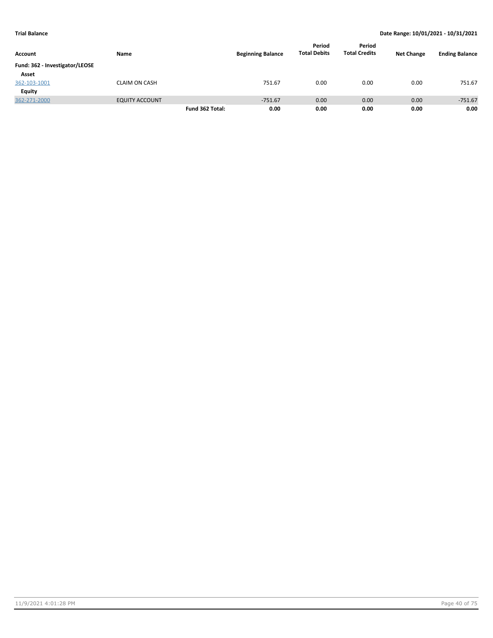| Account                        | Name                  |                 | <b>Beginning Balance</b> | Period<br><b>Total Debits</b> | Period<br><b>Total Credits</b> | <b>Net Change</b> | <b>Ending Balance</b> |
|--------------------------------|-----------------------|-----------------|--------------------------|-------------------------------|--------------------------------|-------------------|-----------------------|
| Fund: 362 - Investigator/LEOSE |                       |                 |                          |                               |                                |                   |                       |
| Asset                          |                       |                 |                          |                               |                                |                   |                       |
| 362-103-1001                   | <b>CLAIM ON CASH</b>  |                 | 751.67                   | 0.00                          | 0.00                           | 0.00              | 751.67                |
| Equity                         |                       |                 |                          |                               |                                |                   |                       |
| 362-271-2000                   | <b>EQUITY ACCOUNT</b> |                 | $-751.67$                | 0.00                          | 0.00                           | 0.00              | $-751.67$             |
|                                |                       | Fund 362 Total: | 0.00                     | 0.00                          | 0.00                           | 0.00              | 0.00                  |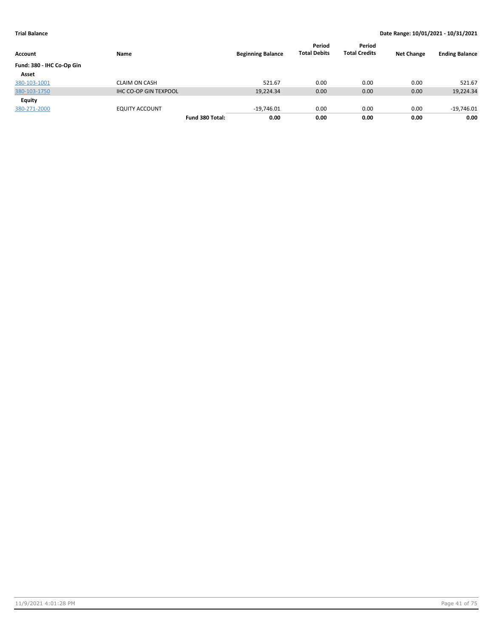| Account                   | Name                         | <b>Beginning Balance</b> | Period<br><b>Total Debits</b> | Period<br><b>Total Credits</b> | <b>Net Change</b> | <b>Ending Balance</b> |
|---------------------------|------------------------------|--------------------------|-------------------------------|--------------------------------|-------------------|-----------------------|
| Fund: 380 - IHC Co-Op Gin |                              |                          |                               |                                |                   |                       |
| Asset                     |                              |                          |                               |                                |                   |                       |
| 380-103-1001              | <b>CLAIM ON CASH</b>         | 521.67                   | 0.00                          | 0.00                           | 0.00              | 521.67                |
| 380-103-1750              | <b>IHC CO-OP GIN TEXPOOL</b> | 19,224.34                | 0.00                          | 0.00                           | 0.00              | 19,224.34             |
| Equity                    |                              |                          |                               |                                |                   |                       |
| 380-271-2000              | <b>EQUITY ACCOUNT</b>        | $-19,746.01$             | 0.00                          | 0.00                           | 0.00              | $-19,746.01$          |
|                           | Fund 380 Total:              | 0.00                     | 0.00                          | 0.00                           | 0.00              | 0.00                  |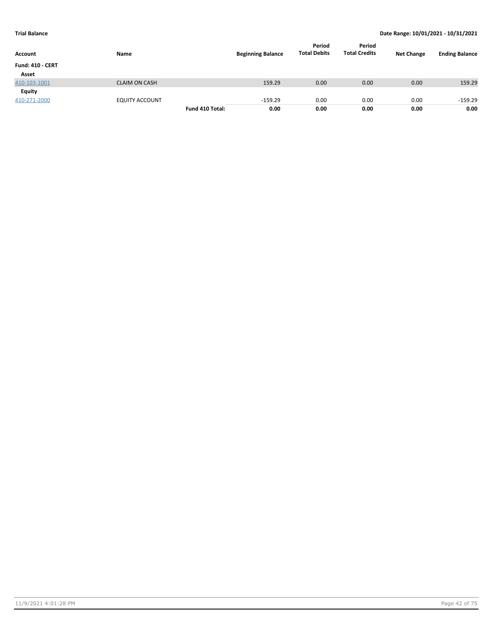| Account                 | Name                  |                 | <b>Beginning Balance</b> | Period<br><b>Total Debits</b> | Period<br><b>Total Credits</b> | <b>Net Change</b> | <b>Ending Balance</b> |
|-------------------------|-----------------------|-----------------|--------------------------|-------------------------------|--------------------------------|-------------------|-----------------------|
| <b>Fund: 410 - CERT</b> |                       |                 |                          |                               |                                |                   |                       |
| Asset                   |                       |                 |                          |                               |                                |                   |                       |
| 410-103-1001            | <b>CLAIM ON CASH</b>  |                 | 159.29                   | 0.00                          | 0.00                           | 0.00              | 159.29                |
| Equity                  |                       |                 |                          |                               |                                |                   |                       |
| 410-271-2000            | <b>EQUITY ACCOUNT</b> |                 | $-159.29$                | 0.00                          | 0.00                           | 0.00              | $-159.29$             |
|                         |                       | Fund 410 Total: | 0.00                     | 0.00                          | 0.00                           | 0.00              | 0.00                  |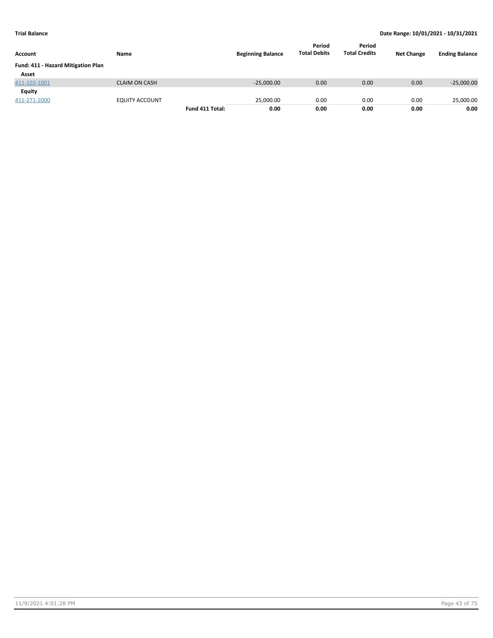| Account                            | Name                  |                 | <b>Beginning Balance</b> | Period<br><b>Total Debits</b> | Period<br><b>Total Credits</b> | <b>Net Change</b> | <b>Ending Balance</b> |
|------------------------------------|-----------------------|-----------------|--------------------------|-------------------------------|--------------------------------|-------------------|-----------------------|
| Fund: 411 - Hazard Mitigation Plan |                       |                 |                          |                               |                                |                   |                       |
| Asset                              |                       |                 |                          |                               |                                |                   |                       |
| 411-103-1001                       | <b>CLAIM ON CASH</b>  |                 | $-25,000.00$             | 0.00                          | 0.00                           | 0.00              | $-25,000.00$          |
| <b>Equity</b>                      |                       |                 |                          |                               |                                |                   |                       |
| 411-271-2000                       | <b>EQUITY ACCOUNT</b> |                 | 25.000.00                | 0.00                          | 0.00                           | 0.00              | 25,000.00             |
|                                    |                       | Fund 411 Total: | 0.00                     | 0.00                          | 0.00                           | 0.00              | 0.00                  |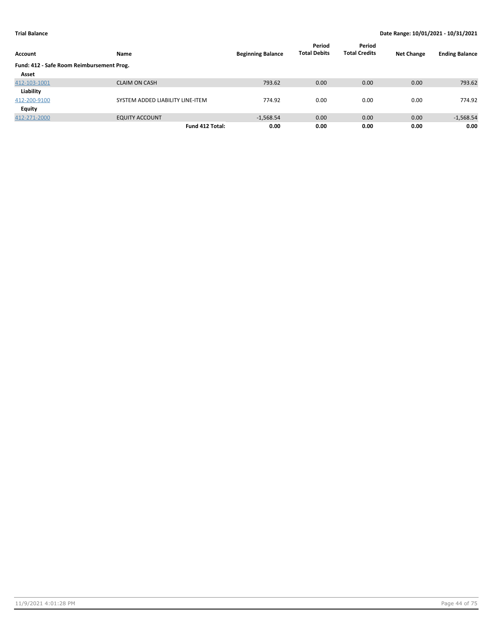| Account                                   | Name                             | <b>Beginning Balance</b> | Period<br><b>Total Debits</b> | Period<br><b>Total Credits</b> | <b>Net Change</b> | <b>Ending Balance</b> |
|-------------------------------------------|----------------------------------|--------------------------|-------------------------------|--------------------------------|-------------------|-----------------------|
| Fund: 412 - Safe Room Reimbursement Prog. |                                  |                          |                               |                                |                   |                       |
| Asset                                     |                                  |                          |                               |                                |                   |                       |
| 412-103-1001                              | <b>CLAIM ON CASH</b>             | 793.62                   | 0.00                          | 0.00                           | 0.00              | 793.62                |
| Liability                                 |                                  |                          |                               |                                |                   |                       |
| 412-200-9100                              | SYSTEM ADDED LIABILITY LINE-ITEM | 774.92                   | 0.00                          | 0.00                           | 0.00              | 774.92                |
| <b>Equity</b>                             |                                  |                          |                               |                                |                   |                       |
| 412-271-2000                              | <b>EQUITY ACCOUNT</b>            | $-1,568.54$              | 0.00                          | 0.00                           | 0.00              | $-1,568.54$           |
|                                           | Fund 412 Total:                  | 0.00                     | 0.00                          | 0.00                           | 0.00              | 0.00                  |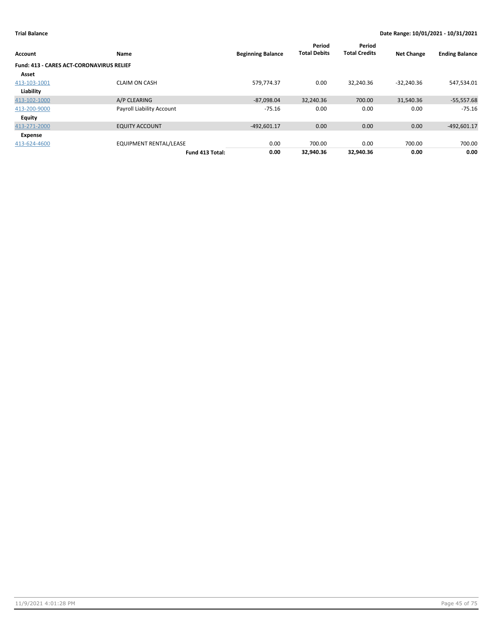| <b>Account</b>                                  | Name                             | <b>Beginning Balance</b> | Period<br><b>Total Debits</b> | Period<br><b>Total Credits</b> | <b>Net Change</b> | <b>Ending Balance</b> |
|-------------------------------------------------|----------------------------------|--------------------------|-------------------------------|--------------------------------|-------------------|-----------------------|
| <b>Fund: 413 - CARES ACT-CORONAVIRUS RELIEF</b> |                                  |                          |                               |                                |                   |                       |
| Asset                                           |                                  |                          |                               |                                |                   |                       |
| 413-103-1001                                    | <b>CLAIM ON CASH</b>             | 579,774.37               | 0.00                          | 32,240.36                      | $-32,240.36$      | 547,534.01            |
| Liability                                       |                                  |                          |                               |                                |                   |                       |
| 413-102-1000                                    | A/P CLEARING                     | $-87,098.04$             | 32,240.36                     | 700.00                         | 31,540.36         | $-55,557.68$          |
| 413-200-9000                                    | <b>Payroll Liability Account</b> | $-75.16$                 | 0.00                          | 0.00                           | 0.00              | -75.16                |
| Equity                                          |                                  |                          |                               |                                |                   |                       |
| 413-271-2000                                    | <b>EQUITY ACCOUNT</b>            | $-492,601.17$            | 0.00                          | 0.00                           | 0.00              | $-492,601.17$         |
| Expense                                         |                                  |                          |                               |                                |                   |                       |
| 413-624-4600                                    | <b>EQUIPMENT RENTAL/LEASE</b>    | 0.00                     | 700.00                        | 0.00                           | 700.00            | 700.00                |
|                                                 | Fund 413 Total:                  | 0.00                     | 32.940.36                     | 32,940.36                      | 0.00              | 0.00                  |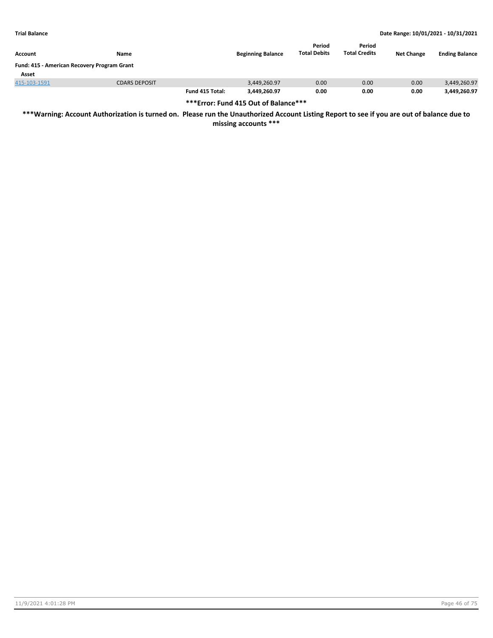| <b>Account</b>                              | Name                 |                 | <b>Beginning Balance</b> | Period<br><b>Total Debits</b> | Period<br><b>Total Credits</b> | <b>Net Change</b> | <b>Ending Balance</b> |  |  |
|---------------------------------------------|----------------------|-----------------|--------------------------|-------------------------------|--------------------------------|-------------------|-----------------------|--|--|
| Fund: 415 - American Recovery Program Grant |                      |                 |                          |                               |                                |                   |                       |  |  |
| Asset                                       |                      |                 |                          |                               |                                |                   |                       |  |  |
| 415-103-1591                                | <b>CDARS DEPOSIT</b> |                 | 3,449,260.97             | 0.00                          | 0.00                           | 0.00              | 3,449,260.97          |  |  |
|                                             |                      | Fund 415 Total: | 3,449,260.97             | 0.00                          | 0.00                           | 0.00              | 3,449,260.97          |  |  |

**\*\*\*Error: Fund 415 Out of Balance\*\*\***

**\*\*\*Warning: Account Authorization is turned on. Please run the Unauthorized Account Listing Report to see if you are out of balance due to**

**missing accounts \*\*\***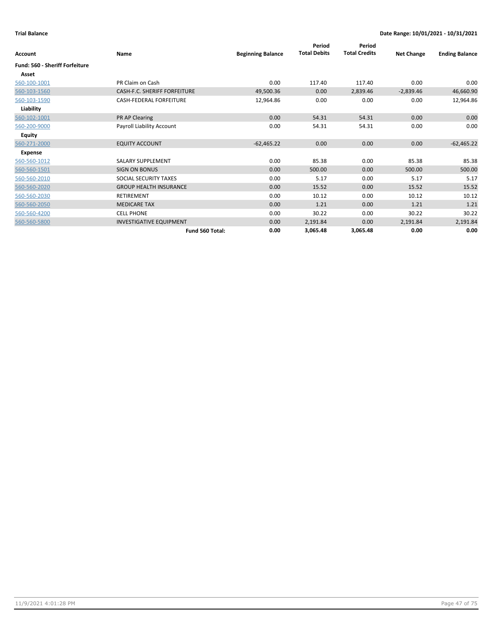| Account                        | Name                                | <b>Beginning Balance</b> | Period<br><b>Total Debits</b> | Period<br><b>Total Credits</b> | <b>Net Change</b> | <b>Ending Balance</b> |
|--------------------------------|-------------------------------------|--------------------------|-------------------------------|--------------------------------|-------------------|-----------------------|
|                                |                                     |                          |                               |                                |                   |                       |
| Fund: 560 - Sheriff Forfeiture |                                     |                          |                               |                                |                   |                       |
| Asset                          |                                     |                          |                               |                                |                   |                       |
| 560-100-1001                   | PR Claim on Cash                    | 0.00                     | 117.40                        | 117.40                         | 0.00              | 0.00                  |
| 560-103-1560                   | <b>CASH-F.C. SHERIFF FORFEITURE</b> | 49,500.36                | 0.00                          | 2,839.46                       | $-2,839.46$       | 46,660.90             |
| 560-103-1590                   | <b>CASH-FEDERAL FORFEITURE</b>      | 12,964.86                | 0.00                          | 0.00                           | 0.00              | 12,964.86             |
| Liability                      |                                     |                          |                               |                                |                   |                       |
| 560-102-1001                   | PR AP Clearing                      | 0.00                     | 54.31                         | 54.31                          | 0.00              | 0.00                  |
| 560-200-9000                   | Payroll Liability Account           | 0.00                     | 54.31                         | 54.31                          | 0.00              | 0.00                  |
| <b>Equity</b>                  |                                     |                          |                               |                                |                   |                       |
| 560-271-2000                   | <b>EQUITY ACCOUNT</b>               | $-62,465.22$             | 0.00                          | 0.00                           | 0.00              | $-62,465.22$          |
| <b>Expense</b>                 |                                     |                          |                               |                                |                   |                       |
| 560-560-1012                   | <b>SALARY SUPPLEMENT</b>            | 0.00                     | 85.38                         | 0.00                           | 85.38             | 85.38                 |
| 560-560-1501                   | <b>SIGN ON BONUS</b>                | 0.00                     | 500.00                        | 0.00                           | 500.00            | 500.00                |
| 560-560-2010                   | SOCIAL SECURITY TAXES               | 0.00                     | 5.17                          | 0.00                           | 5.17              | 5.17                  |
| 560-560-2020                   | <b>GROUP HEALTH INSURANCE</b>       | 0.00                     | 15.52                         | 0.00                           | 15.52             | 15.52                 |
| 560-560-2030                   | <b>RETIREMENT</b>                   | 0.00                     | 10.12                         | 0.00                           | 10.12             | 10.12                 |
| 560-560-2050                   | <b>MEDICARE TAX</b>                 | 0.00                     | 1.21                          | 0.00                           | 1.21              | 1.21                  |
| 560-560-4200                   | <b>CELL PHONE</b>                   | 0.00                     | 30.22                         | 0.00                           | 30.22             | 30.22                 |
| 560-560-5800                   | <b>INVESTIGATIVE EQUIPMENT</b>      | 0.00                     | 2,191.84                      | 0.00                           | 2,191.84          | 2,191.84              |
|                                | Fund 560 Total:                     | 0.00                     | 3,065.48                      | 3,065.48                       | 0.00              | 0.00                  |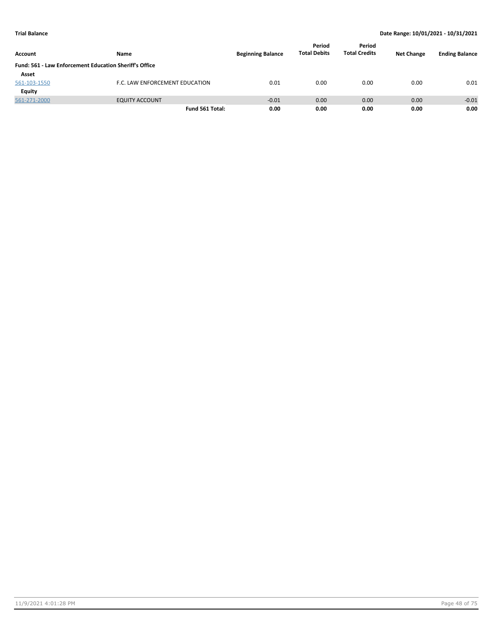| Account      | Name                                                   | <b>Beginning Balance</b> | Period<br><b>Total Debits</b> | Period<br><b>Total Credits</b> | <b>Net Change</b> | <b>Ending Balance</b> |
|--------------|--------------------------------------------------------|--------------------------|-------------------------------|--------------------------------|-------------------|-----------------------|
|              | Fund: 561 - Law Enforcement Education Sheriff's Office |                          |                               |                                |                   |                       |
| Asset        |                                                        |                          |                               |                                |                   |                       |
| 561-103-1550 | F.C. LAW ENFORCEMENT EDUCATION                         | 0.01                     | 0.00                          | 0.00                           | 0.00              | 0.01                  |
| Equity       |                                                        |                          |                               |                                |                   |                       |
| 561-271-2000 | <b>EQUITY ACCOUNT</b>                                  | $-0.01$                  | 0.00                          | 0.00                           | 0.00              | $-0.01$               |
|              | Fund 561 Total:                                        | 0.00                     | 0.00                          | 0.00                           | 0.00              | 0.00                  |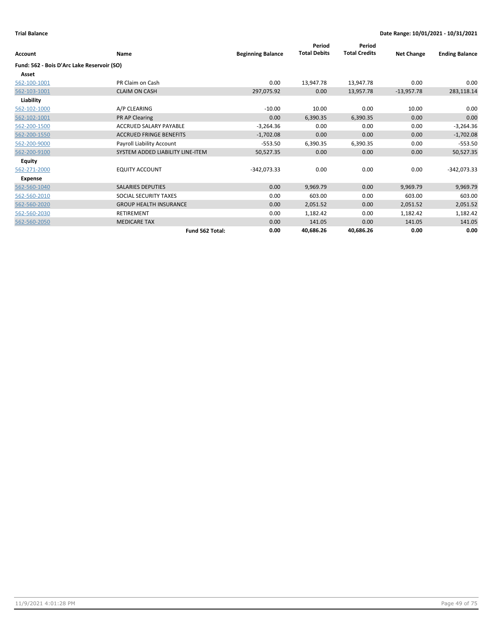| Account                                    | Name                             | <b>Beginning Balance</b> | Period<br><b>Total Debits</b> | Period<br><b>Total Credits</b> | <b>Net Change</b> | <b>Ending Balance</b> |
|--------------------------------------------|----------------------------------|--------------------------|-------------------------------|--------------------------------|-------------------|-----------------------|
| Fund: 562 - Bois D'Arc Lake Reservoir (SO) |                                  |                          |                               |                                |                   |                       |
| Asset                                      |                                  |                          |                               |                                |                   |                       |
| 562-100-1001                               | PR Claim on Cash                 | 0.00                     | 13,947.78                     | 13,947.78                      | 0.00              | 0.00                  |
| 562-103-1001                               | <b>CLAIM ON CASH</b>             | 297,075.92               | 0.00                          | 13,957.78                      | $-13,957.78$      | 283,118.14            |
| Liability                                  |                                  |                          |                               |                                |                   |                       |
| 562-102-1000                               | A/P CLEARING                     | $-10.00$                 | 10.00                         | 0.00                           | 10.00             | 0.00                  |
| 562-102-1001                               | PR AP Clearing                   | 0.00                     | 6,390.35                      | 6,390.35                       | 0.00              | 0.00                  |
| 562-200-1500                               | <b>ACCRUED SALARY PAYABLE</b>    | $-3,264.36$              | 0.00                          | 0.00                           | 0.00              | $-3,264.36$           |
| 562-200-1550                               | <b>ACCRUED FRINGE BENEFITS</b>   | $-1,702.08$              | 0.00                          | 0.00                           | 0.00              | $-1,702.08$           |
| 562-200-9000                               | Payroll Liability Account        | $-553.50$                | 6,390.35                      | 6,390.35                       | 0.00              | $-553.50$             |
| 562-200-9100                               | SYSTEM ADDED LIABILITY LINE-ITEM | 50,527.35                | 0.00                          | 0.00                           | 0.00              | 50,527.35             |
| <b>Equity</b>                              |                                  |                          |                               |                                |                   |                       |
| 562-271-2000                               | <b>EQUITY ACCOUNT</b>            | $-342,073.33$            | 0.00                          | 0.00                           | 0.00              | $-342,073.33$         |
| Expense                                    |                                  |                          |                               |                                |                   |                       |
| 562-560-1040                               | <b>SALARIES DEPUTIES</b>         | 0.00                     | 9,969.79                      | 0.00                           | 9,969.79          | 9,969.79              |
| 562-560-2010                               | SOCIAL SECURITY TAXES            | 0.00                     | 603.00                        | 0.00                           | 603.00            | 603.00                |
| 562-560-2020                               | <b>GROUP HEALTH INSURANCE</b>    | 0.00                     | 2,051.52                      | 0.00                           | 2,051.52          | 2,051.52              |
| 562-560-2030                               | <b>RETIREMENT</b>                | 0.00                     | 1,182.42                      | 0.00                           | 1,182.42          | 1,182.42              |
| 562-560-2050                               | <b>MEDICARE TAX</b>              | 0.00                     | 141.05                        | 0.00                           | 141.05            | 141.05                |
|                                            | Fund 562 Total:                  | 0.00                     | 40,686.26                     | 40,686.26                      | 0.00              | 0.00                  |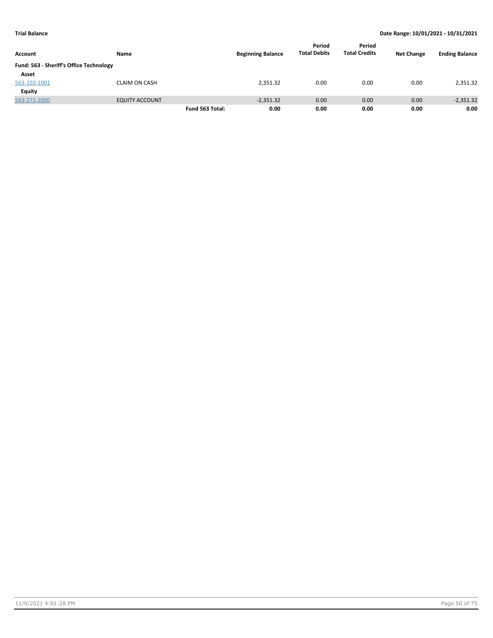| Account                                 | Name                  |                 | <b>Beginning Balance</b> | Period<br><b>Total Debits</b> | Period<br><b>Total Credits</b> | <b>Net Change</b> | <b>Ending Balance</b> |
|-----------------------------------------|-----------------------|-----------------|--------------------------|-------------------------------|--------------------------------|-------------------|-----------------------|
| Fund: 563 - Sheriff's Office Technology |                       |                 |                          |                               |                                |                   |                       |
| Asset                                   |                       |                 |                          |                               |                                |                   |                       |
| 563-103-1001                            | <b>CLAIM ON CASH</b>  |                 | 2,351.32                 | 0.00                          | 0.00                           | 0.00              | 2,351.32              |
| Equity                                  |                       |                 |                          |                               |                                |                   |                       |
| 563-271-2000                            | <b>EQUITY ACCOUNT</b> |                 | $-2,351.32$              | 0.00                          | 0.00                           | 0.00              | $-2,351.32$           |
|                                         |                       | Fund 563 Total: | 0.00                     | 0.00                          | 0.00                           | 0.00              | 0.00                  |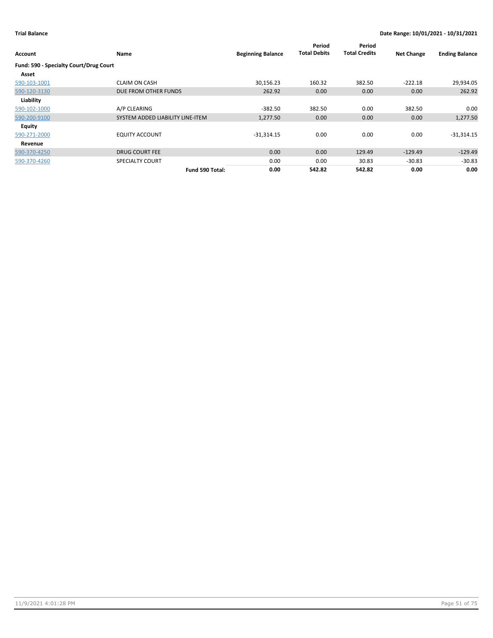| Account                                | <b>Name</b>                      | <b>Beginning Balance</b> | Period<br><b>Total Debits</b> | Period<br><b>Total Credits</b> | <b>Net Change</b> | <b>Ending Balance</b> |
|----------------------------------------|----------------------------------|--------------------------|-------------------------------|--------------------------------|-------------------|-----------------------|
| Fund: 590 - Specialty Court/Drug Court |                                  |                          |                               |                                |                   |                       |
| Asset                                  |                                  |                          |                               |                                |                   |                       |
| 590-103-1001                           | <b>CLAIM ON CASH</b>             | 30,156.23                | 160.32                        | 382.50                         | $-222.18$         | 29,934.05             |
| 590-120-3130                           | DUE FROM OTHER FUNDS             | 262.92                   | 0.00                          | 0.00                           | 0.00              | 262.92                |
| Liability                              |                                  |                          |                               |                                |                   |                       |
| 590-102-1000                           | A/P CLEARING                     | $-382.50$                | 382.50                        | 0.00                           | 382.50            | 0.00                  |
| 590-200-9100                           | SYSTEM ADDED LIABILITY LINE-ITEM | 1,277.50                 | 0.00                          | 0.00                           | 0.00              | 1,277.50              |
| <b>Equity</b>                          |                                  |                          |                               |                                |                   |                       |
| 590-271-2000                           | <b>EQUITY ACCOUNT</b>            | $-31,314.15$             | 0.00                          | 0.00                           | 0.00              | $-31,314.15$          |
| Revenue                                |                                  |                          |                               |                                |                   |                       |
| 590-370-4250                           | <b>DRUG COURT FEE</b>            | 0.00                     | 0.00                          | 129.49                         | $-129.49$         | $-129.49$             |
| 590-370-4260                           | SPECIALTY COURT                  | 0.00                     | 0.00                          | 30.83                          | $-30.83$          | $-30.83$              |
|                                        | Fund 590 Total:                  | 0.00                     | 542.82                        | 542.82                         | 0.00              | 0.00                  |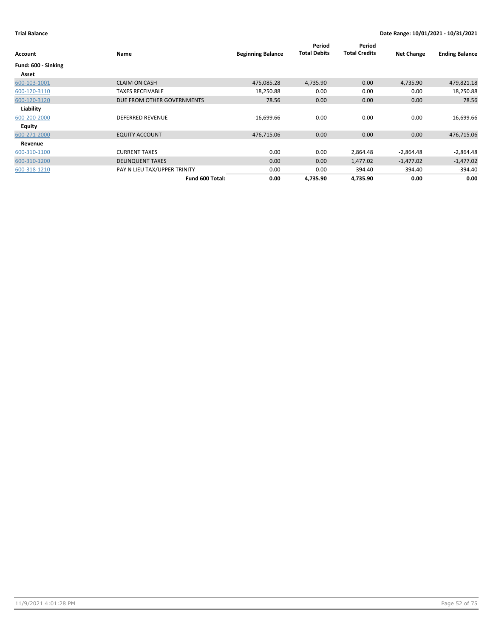| Account             | Name                         | <b>Beginning Balance</b> | Period<br><b>Total Debits</b> | Period<br><b>Total Credits</b> | <b>Net Change</b> | <b>Ending Balance</b> |
|---------------------|------------------------------|--------------------------|-------------------------------|--------------------------------|-------------------|-----------------------|
| Fund: 600 - Sinking |                              |                          |                               |                                |                   |                       |
| Asset               |                              |                          |                               |                                |                   |                       |
| 600-103-1001        | <b>CLAIM ON CASH</b>         | 475,085.28               | 4,735.90                      | 0.00                           | 4,735.90          | 479,821.18            |
| 600-120-3110        | <b>TAXES RECEIVABLE</b>      | 18,250.88                | 0.00                          | 0.00                           | 0.00              | 18,250.88             |
| 600-120-3120        | DUE FROM OTHER GOVERNMENTS   | 78.56                    | 0.00                          | 0.00                           | 0.00              | 78.56                 |
| Liability           |                              |                          |                               |                                |                   |                       |
| 600-200-2000        | <b>DEFERRED REVENUE</b>      | $-16,699.66$             | 0.00                          | 0.00                           | 0.00              | $-16,699.66$          |
| <b>Equity</b>       |                              |                          |                               |                                |                   |                       |
| 600-271-2000        | <b>EQUITY ACCOUNT</b>        | $-476,715.06$            | 0.00                          | 0.00                           | 0.00              | $-476,715.06$         |
| Revenue             |                              |                          |                               |                                |                   |                       |
| 600-310-1100        | <b>CURRENT TAXES</b>         | 0.00                     | 0.00                          | 2,864.48                       | $-2,864.48$       | $-2,864.48$           |
| 600-310-1200        | <b>DELINQUENT TAXES</b>      | 0.00                     | 0.00                          | 1,477.02                       | $-1,477.02$       | $-1,477.02$           |
| 600-318-1210        | PAY N LIEU TAX/UPPER TRINITY | 0.00                     | 0.00                          | 394.40                         | $-394.40$         | $-394.40$             |
|                     | Fund 600 Total:              | 0.00                     | 4,735.90                      | 4,735.90                       | 0.00              | 0.00                  |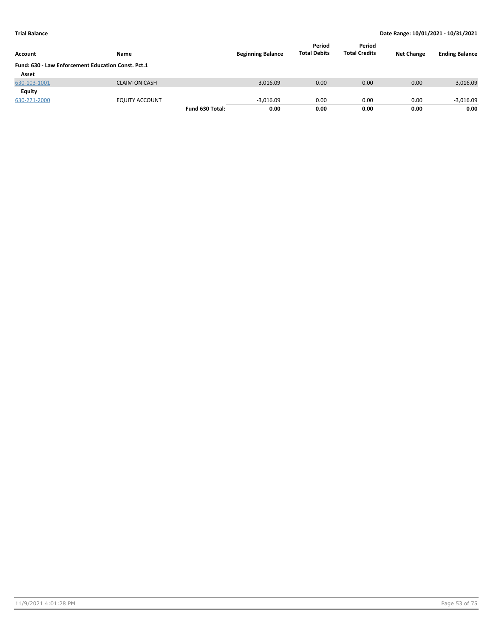| Account                                            | Name                  |                 | <b>Beginning Balance</b> | Period<br><b>Total Debits</b> | Period<br><b>Total Credits</b> | <b>Net Change</b> | <b>Ending Balance</b> |
|----------------------------------------------------|-----------------------|-----------------|--------------------------|-------------------------------|--------------------------------|-------------------|-----------------------|
| Fund: 630 - Law Enforcement Education Const. Pct.1 |                       |                 |                          |                               |                                |                   |                       |
| Asset                                              |                       |                 |                          |                               |                                |                   |                       |
| 630-103-1001                                       | <b>CLAIM ON CASH</b>  |                 | 3,016.09                 | 0.00                          | 0.00                           | 0.00              | 3,016.09              |
| Equity                                             |                       |                 |                          |                               |                                |                   |                       |
| 630-271-2000                                       | <b>EQUITY ACCOUNT</b> |                 | $-3.016.09$              | 0.00                          | 0.00                           | 0.00              | $-3,016.09$           |
|                                                    |                       | Fund 630 Total: | 0.00                     | 0.00                          | 0.00                           | 0.00              | 0.00                  |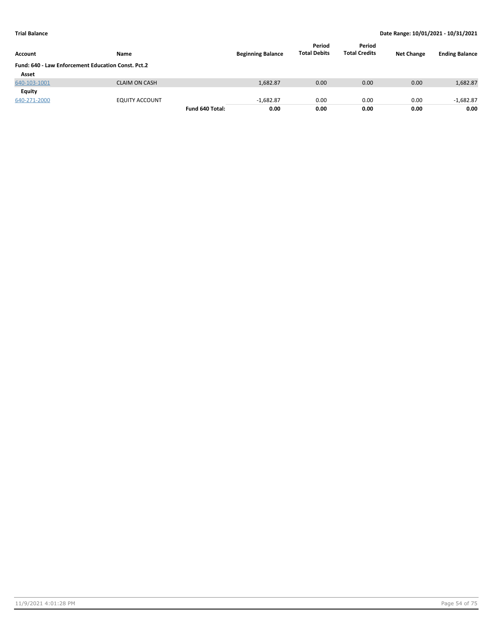| <b>Account</b>                                     | Name                  |                 | <b>Beginning Balance</b> | Period<br><b>Total Debits</b> | Period<br><b>Total Credits</b> | <b>Net Change</b> | <b>Ending Balance</b> |
|----------------------------------------------------|-----------------------|-----------------|--------------------------|-------------------------------|--------------------------------|-------------------|-----------------------|
| Fund: 640 - Law Enforcement Education Const. Pct.2 |                       |                 |                          |                               |                                |                   |                       |
| Asset                                              |                       |                 |                          |                               |                                |                   |                       |
| 640-103-1001                                       | <b>CLAIM ON CASH</b>  |                 | 1,682.87                 | 0.00                          | 0.00                           | 0.00              | 1,682.87              |
| Equity                                             |                       |                 |                          |                               |                                |                   |                       |
| 640-271-2000                                       | <b>EQUITY ACCOUNT</b> |                 | $-1,682.87$              | 0.00                          | 0.00                           | 0.00              | $-1,682.87$           |
|                                                    |                       | Fund 640 Total: | 0.00                     | 0.00                          | 0.00                           | 0.00              | 0.00                  |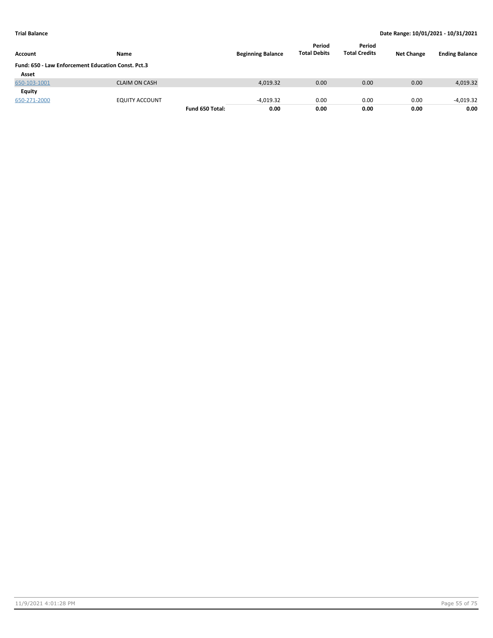| Account                                            | Name                  |                 | <b>Beginning Balance</b> | Period<br><b>Total Debits</b> | Period<br><b>Total Credits</b> | <b>Net Change</b> | <b>Ending Balance</b> |
|----------------------------------------------------|-----------------------|-----------------|--------------------------|-------------------------------|--------------------------------|-------------------|-----------------------|
| Fund: 650 - Law Enforcement Education Const. Pct.3 |                       |                 |                          |                               |                                |                   |                       |
| Asset                                              |                       |                 |                          |                               |                                |                   |                       |
| 650-103-1001                                       | <b>CLAIM ON CASH</b>  |                 | 4,019.32                 | 0.00                          | 0.00                           | 0.00              | 4,019.32              |
| Equity                                             |                       |                 |                          |                               |                                |                   |                       |
| 650-271-2000                                       | <b>EQUITY ACCOUNT</b> |                 | $-4.019.32$              | 0.00                          | 0.00                           | 0.00              | $-4,019.32$           |
|                                                    |                       | Fund 650 Total: | 0.00                     | 0.00                          | 0.00                           | 0.00              | 0.00                  |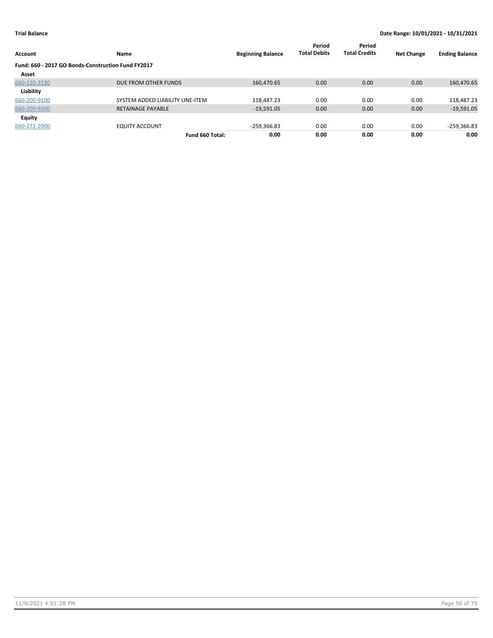| <b>Account</b>                                     | Name                             | <b>Beginning Balance</b> | Period<br><b>Total Debits</b> | Period<br><b>Total Credits</b> | <b>Net Change</b> | <b>Ending Balance</b> |
|----------------------------------------------------|----------------------------------|--------------------------|-------------------------------|--------------------------------|-------------------|-----------------------|
| Fund: 660 - 2017 GO Bonds-Construction Fund FY2017 |                                  |                          |                               |                                |                   |                       |
| Asset                                              |                                  |                          |                               |                                |                   |                       |
| 660-120-3130                                       | DUE FROM OTHER FUNDS             | 160,470.65               | 0.00                          | 0.00                           | 0.00              | 160,470.65            |
| Liability                                          |                                  |                          |                               |                                |                   |                       |
| 660-200-9100                                       | SYSTEM ADDED LIABILITY LINE-ITEM | 118.487.23               | 0.00                          | 0.00                           | 0.00              | 118,487.23            |
| 660-200-9200                                       | <b>RETAINAGE PAYABLE</b>         | $-19,591.05$             | 0.00                          | 0.00                           | 0.00              | $-19,591.05$          |
| <b>Equity</b>                                      |                                  |                          |                               |                                |                   |                       |
| 660-271-2000                                       | <b>EQUITY ACCOUNT</b>            | -259,366.83              | 0.00                          | 0.00                           | 0.00              | -259,366.83           |
|                                                    | Fund 660 Total:                  | 0.00                     | 0.00                          | 0.00                           | 0.00              | 0.00                  |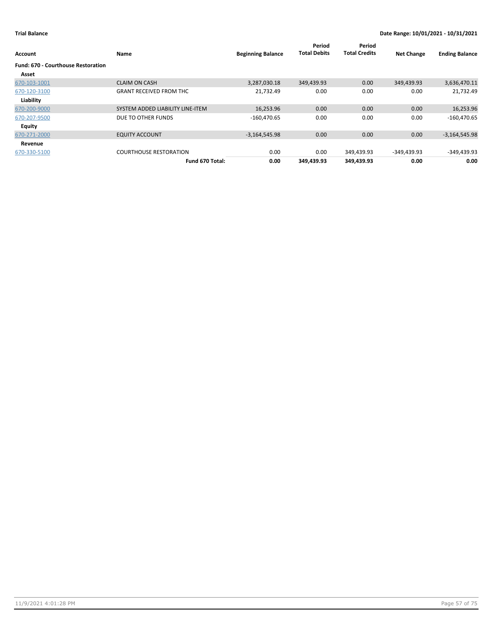| Account                                   | Name                             | <b>Beginning Balance</b> | Period<br><b>Total Debits</b> | Period<br><b>Total Credits</b> | <b>Net Change</b> | <b>Ending Balance</b> |
|-------------------------------------------|----------------------------------|--------------------------|-------------------------------|--------------------------------|-------------------|-----------------------|
| <b>Fund: 670 - Courthouse Restoration</b> |                                  |                          |                               |                                |                   |                       |
| Asset                                     |                                  |                          |                               |                                |                   |                       |
| 670-103-1001                              | <b>CLAIM ON CASH</b>             | 3,287,030.18             | 349,439.93                    | 0.00                           | 349,439.93        | 3,636,470.11          |
| 670-120-3100                              | <b>GRANT RECEIVED FROM THC</b>   | 21,732.49                | 0.00                          | 0.00                           | 0.00              | 21,732.49             |
| Liability                                 |                                  |                          |                               |                                |                   |                       |
| 670-200-9000                              | SYSTEM ADDED LIABILITY LINE-ITEM | 16,253.96                | 0.00                          | 0.00                           | 0.00              | 16,253.96             |
| 670-207-9500                              | DUE TO OTHER FUNDS               | $-160,470.65$            | 0.00                          | 0.00                           | 0.00              | $-160,470.65$         |
| Equity                                    |                                  |                          |                               |                                |                   |                       |
| 670-271-2000                              | <b>EQUITY ACCOUNT</b>            | $-3,164,545.98$          | 0.00                          | 0.00                           | 0.00              | $-3,164,545.98$       |
| Revenue                                   |                                  |                          |                               |                                |                   |                       |
| 670-330-5100                              | <b>COURTHOUSE RESTORATION</b>    | 0.00                     | 0.00                          | 349,439.93                     | -349,439.93       | $-349,439.93$         |
|                                           | Fund 670 Total:                  | 0.00                     | 349,439.93                    | 349,439.93                     | 0.00              | 0.00                  |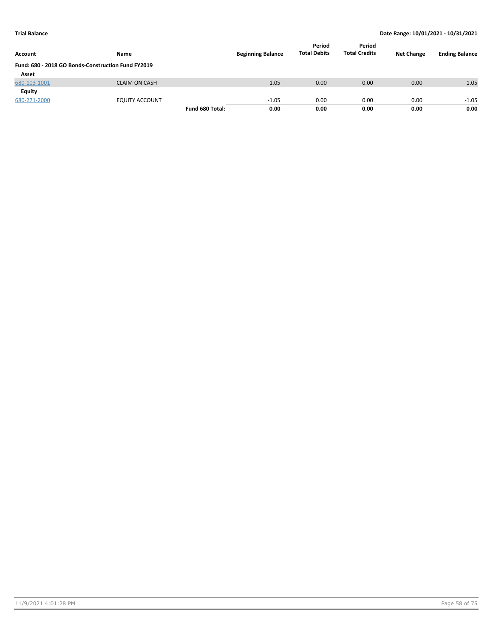| <b>Account</b>                                     | <b>Name</b>          |                 | <b>Beginning Balance</b> | Period<br><b>Total Debits</b> | Period<br><b>Total Credits</b> | <b>Net Change</b> | <b>Ending Balance</b> |
|----------------------------------------------------|----------------------|-----------------|--------------------------|-------------------------------|--------------------------------|-------------------|-----------------------|
| Fund: 680 - 2018 GO Bonds-Construction Fund FY2019 |                      |                 |                          |                               |                                |                   |                       |
| Asset                                              |                      |                 |                          |                               |                                |                   |                       |
| 680-103-1001                                       | <b>CLAIM ON CASH</b> |                 | 1.05                     | 0.00                          | 0.00                           | 0.00              | 1.05                  |
| Equity                                             |                      |                 |                          |                               |                                |                   |                       |
| 680-271-2000                                       | EQUITY ACCOUNT       |                 | $-1.05$                  | 0.00                          | 0.00                           | 0.00              | $-1.05$               |
|                                                    |                      | Fund 680 Total: | 0.00                     | 0.00                          | 0.00                           | 0.00              | 0.00                  |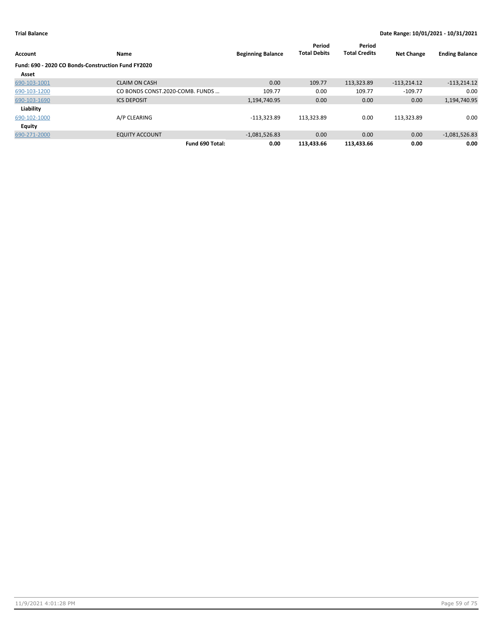| Account                                                     | Name                            | <b>Beginning Balance</b> | Period<br><b>Total Debits</b> | Period<br><b>Total Credits</b> | <b>Net Change</b> | <b>Ending Balance</b> |
|-------------------------------------------------------------|---------------------------------|--------------------------|-------------------------------|--------------------------------|-------------------|-----------------------|
| Fund: 690 - 2020 CO Bonds-Construction Fund FY2020<br>Asset |                                 |                          |                               |                                |                   |                       |
| 690-103-1001                                                | <b>CLAIM ON CASH</b>            | 0.00                     | 109.77                        | 113,323.89                     | $-113,214.12$     | $-113,214.12$         |
| 690-103-1200                                                | CO BONDS CONST.2020-COMB. FUNDS | 109.77                   | 0.00                          | 109.77                         | $-109.77$         | 0.00                  |
| 690-103-1690                                                | <b>ICS DEPOSIT</b>              | 1,194,740.95             | 0.00                          | 0.00                           | 0.00              | 1,194,740.95          |
| Liability                                                   |                                 |                          |                               |                                |                   |                       |
| 690-102-1000                                                | A/P CLEARING                    | $-113,323.89$            | 113,323.89                    | 0.00                           | 113.323.89        | 0.00                  |
| <b>Equity</b>                                               |                                 |                          |                               |                                |                   |                       |
| 690-271-2000                                                | <b>EQUITY ACCOUNT</b>           | $-1,081,526.83$          | 0.00                          | 0.00                           | 0.00              | $-1,081,526.83$       |
|                                                             | Fund 690 Total:                 | 0.00                     | 113.433.66                    | 113,433.66                     | 0.00              | 0.00                  |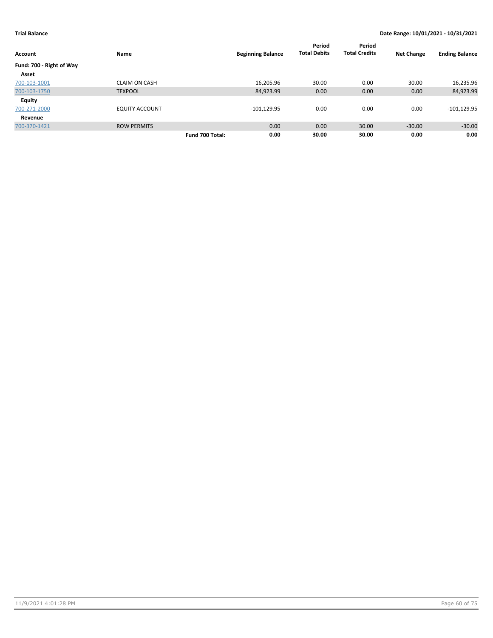|                          |                       |                 |                          | Period<br><b>Total Debits</b> | Period<br><b>Total Credits</b> |                   |                       |
|--------------------------|-----------------------|-----------------|--------------------------|-------------------------------|--------------------------------|-------------------|-----------------------|
| <b>Account</b>           | Name                  |                 | <b>Beginning Balance</b> |                               |                                | <b>Net Change</b> | <b>Ending Balance</b> |
| Fund: 700 - Right of Way |                       |                 |                          |                               |                                |                   |                       |
| Asset                    |                       |                 |                          |                               |                                |                   |                       |
| 700-103-1001             | <b>CLAIM ON CASH</b>  |                 | 16,205.96                | 30.00                         | 0.00                           | 30.00             | 16,235.96             |
| 700-103-1750             | <b>TEXPOOL</b>        |                 | 84,923.99                | 0.00                          | 0.00                           | 0.00              | 84,923.99             |
| <b>Equity</b>            |                       |                 |                          |                               |                                |                   |                       |
| 700-271-2000             | <b>EQUITY ACCOUNT</b> |                 | $-101, 129.95$           | 0.00                          | 0.00                           | 0.00              | $-101, 129.95$        |
| Revenue                  |                       |                 |                          |                               |                                |                   |                       |
| 700-370-1421             | <b>ROW PERMITS</b>    |                 | 0.00                     | 0.00                          | 30.00                          | $-30.00$          | $-30.00$              |
|                          |                       | Fund 700 Total: | 0.00                     | 30.00                         | 30.00                          | 0.00              | 0.00                  |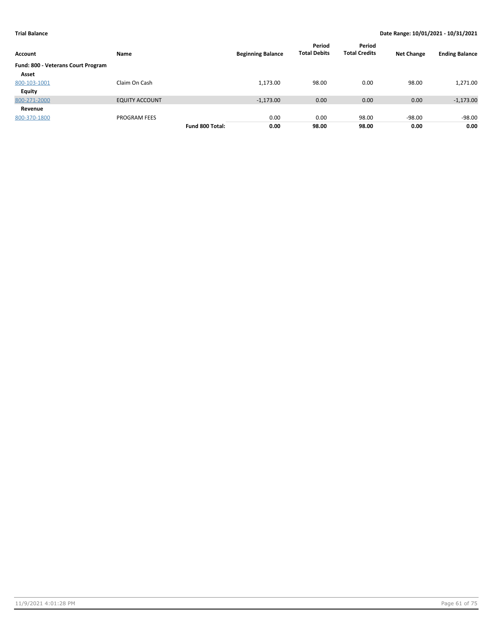| Account                            | Name                  |                 | <b>Beginning Balance</b> | Period<br><b>Total Debits</b> | Period<br><b>Total Credits</b> | <b>Net Change</b> | <b>Ending Balance</b> |
|------------------------------------|-----------------------|-----------------|--------------------------|-------------------------------|--------------------------------|-------------------|-----------------------|
| Fund: 800 - Veterans Court Program |                       |                 |                          |                               |                                |                   |                       |
| Asset                              |                       |                 |                          |                               |                                |                   |                       |
| 800-103-1001                       | Claim On Cash         |                 | 1,173.00                 | 98.00                         | 0.00                           | 98.00             | 1,271.00              |
| <b>Equity</b>                      |                       |                 |                          |                               |                                |                   |                       |
| 800-271-2000                       | <b>EQUITY ACCOUNT</b> |                 | $-1,173.00$              | 0.00                          | 0.00                           | 0.00              | $-1,173.00$           |
| Revenue                            |                       |                 |                          |                               |                                |                   |                       |
| 800-370-1800                       | <b>PROGRAM FEES</b>   |                 | 0.00                     | 0.00                          | 98.00                          | $-98.00$          | $-98.00$              |
|                                    |                       | Fund 800 Total: | 0.00                     | 98.00                         | 98.00                          | 0.00              | 0.00                  |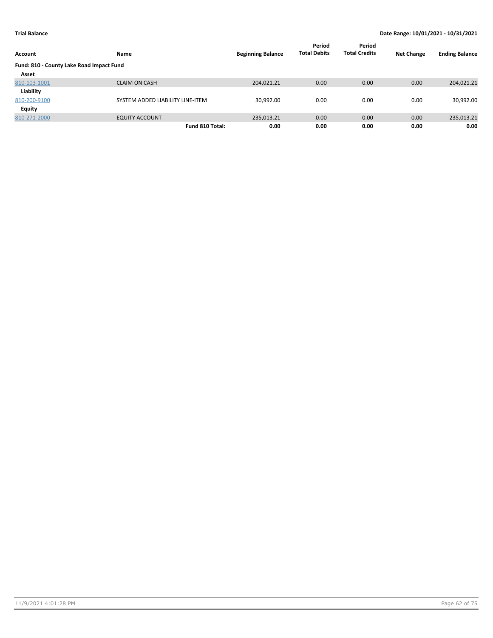| Account                                  | Name                             | <b>Beginning Balance</b> | Period<br><b>Total Debits</b> | Period<br><b>Total Credits</b> | <b>Net Change</b> | <b>Ending Balance</b> |
|------------------------------------------|----------------------------------|--------------------------|-------------------------------|--------------------------------|-------------------|-----------------------|
| Fund: 810 - County Lake Road Impact Fund |                                  |                          |                               |                                |                   |                       |
| Asset                                    |                                  |                          |                               |                                |                   |                       |
| 810-103-1001                             | <b>CLAIM ON CASH</b>             | 204,021.21               | 0.00                          | 0.00                           | 0.00              | 204,021.21            |
| Liability                                |                                  |                          |                               |                                |                   |                       |
| 810-200-9100                             | SYSTEM ADDED LIABILITY LINE-ITEM | 30,992.00                | 0.00                          | 0.00                           | 0.00              | 30,992.00             |
| Equity                                   |                                  |                          |                               |                                |                   |                       |
| 810-271-2000                             | <b>EQUITY ACCOUNT</b>            | $-235,013.21$            | 0.00                          | 0.00                           | 0.00              | $-235,013.21$         |
|                                          | Fund 810 Total:                  | 0.00                     | 0.00                          | 0.00                           | 0.00              | 0.00                  |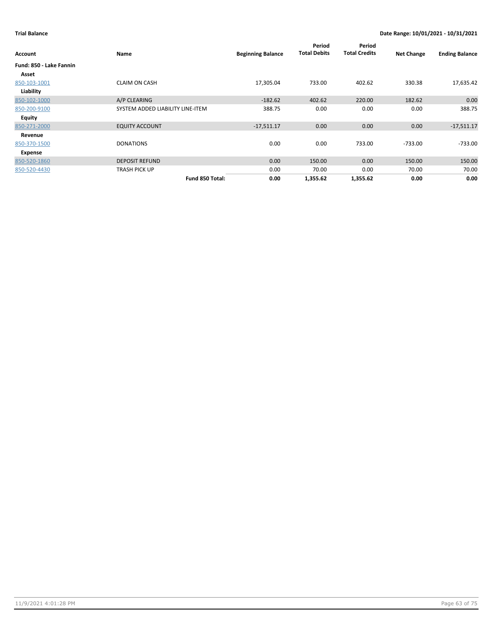|                         |                                  |                          | Period              | Period               |                   |                       |
|-------------------------|----------------------------------|--------------------------|---------------------|----------------------|-------------------|-----------------------|
| Account                 | Name                             | <b>Beginning Balance</b> | <b>Total Debits</b> | <b>Total Credits</b> | <b>Net Change</b> | <b>Ending Balance</b> |
| Fund: 850 - Lake Fannin |                                  |                          |                     |                      |                   |                       |
| Asset                   |                                  |                          |                     |                      |                   |                       |
| 850-103-1001            | <b>CLAIM ON CASH</b>             | 17,305.04                | 733.00              | 402.62               | 330.38            | 17,635.42             |
| Liability               |                                  |                          |                     |                      |                   |                       |
| 850-102-1000            | A/P CLEARING                     | $-182.62$                | 402.62              | 220.00               | 182.62            | 0.00                  |
| 850-200-9100            | SYSTEM ADDED LIABILITY LINE-ITEM | 388.75                   | 0.00                | 0.00                 | 0.00              | 388.75                |
| <b>Equity</b>           |                                  |                          |                     |                      |                   |                       |
| 850-271-2000            | <b>EQUITY ACCOUNT</b>            | $-17,511.17$             | 0.00                | 0.00                 | 0.00              | $-17,511.17$          |
| Revenue                 |                                  |                          |                     |                      |                   |                       |
| 850-370-1500            | <b>DONATIONS</b>                 | 0.00                     | 0.00                | 733.00               | $-733.00$         | $-733.00$             |
| Expense                 |                                  |                          |                     |                      |                   |                       |
| 850-520-1860            | <b>DEPOSIT REFUND</b>            | 0.00                     | 150.00              | 0.00                 | 150.00            | 150.00                |
| 850-520-4430            | TRASH PICK UP                    | 0.00                     | 70.00               | 0.00                 | 70.00             | 70.00                 |
|                         | Fund 850 Total:                  | 0.00                     | 1,355.62            | 1,355.62             | 0.00              | 0.00                  |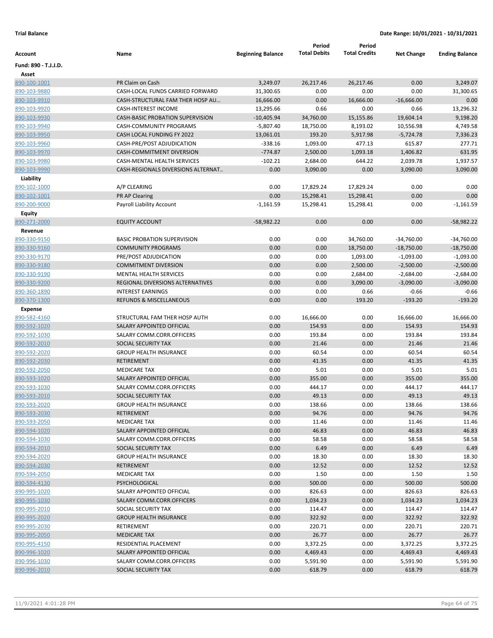|                              |                                                        |                          | Period              | Period               |                   |                       |
|------------------------------|--------------------------------------------------------|--------------------------|---------------------|----------------------|-------------------|-----------------------|
| Account                      | Name                                                   | <b>Beginning Balance</b> | <b>Total Debits</b> | <b>Total Credits</b> | <b>Net Change</b> | <b>Ending Balance</b> |
| Fund: 890 - T.J.J.D.         |                                                        |                          |                     |                      |                   |                       |
| Asset                        |                                                        |                          |                     |                      |                   |                       |
| 890-100-1001                 | PR Claim on Cash                                       | 3,249.07                 | 26,217.46           | 26,217.46            | 0.00              | 3,249.07              |
| 890-103-9880                 | CASH-LOCAL FUNDS CARRIED FORWARD                       | 31,300.65                | 0.00                | 0.00                 | 0.00              | 31,300.65             |
| 890-103-9910                 | CASH-STRUCTURAL FAM THER HOSP AU                       | 16,666.00                | 0.00                | 16,666.00            | $-16,666.00$      | 0.00                  |
| 890-103-9920                 | <b>CASH-INTEREST INCOME</b>                            | 13,295.66                | 0.66                | 0.00                 | 0.66              | 13,296.32             |
| 890-103-9930                 | <b>CASH-BASIC PROBATION SUPERVISION</b>                | -10,405.94               | 34,760.00           | 15,155.86            | 19,604.14         | 9,198.20              |
| 890-103-9940                 | CASH-COMMUNITY PROGRAMS                                | $-5,807.40$              | 18,750.00           | 8,193.02             | 10,556.98         | 4,749.58              |
| 890-103-9950                 | CASH LOCAL FUNDING FY 2022                             | 13,061.01                | 193.20              | 5,917.98             | $-5,724.78$       | 7,336.23              |
| 890-103-9960                 | CASH-PRE/POST ADJUDICATION                             | $-338.16$                | 1,093.00            | 477.13               | 615.87            | 277.71                |
| 890-103-9970                 | CASH-COMMITMENT DIVERSION                              | $-774.87$                | 2,500.00            | 1,093.18             | 1,406.82          | 631.95                |
| 890-103-9980                 | CASH-MENTAL HEALTH SERVICES                            | $-102.21$                | 2,684.00            | 644.22               | 2,039.78          | 1,937.57              |
| 890-103-9990                 | CASH-REGIONALS DIVERSIONS ALTERNAT                     | 0.00                     | 3,090.00            | 0.00                 | 3,090.00          | 3,090.00              |
| Liability                    |                                                        |                          |                     |                      |                   |                       |
| 890-102-1000                 | A/P CLEARING                                           | 0.00                     | 17,829.24           | 17,829.24            | 0.00              | 0.00                  |
| 890-102-1001                 | PR AP Clearing                                         | 0.00                     | 15,298.41           | 15,298.41            | 0.00              | 0.00                  |
| 890-200-9000                 | Payroll Liability Account                              | $-1,161.59$              | 15,298.41           | 15,298.41            | 0.00              | $-1,161.59$           |
| Equity                       |                                                        |                          |                     |                      |                   |                       |
| 890-271-2000                 | <b>EQUITY ACCOUNT</b>                                  | $-58,982.22$             | 0.00                | 0.00                 | 0.00              | $-58,982.22$          |
| Revenue                      |                                                        |                          |                     |                      |                   |                       |
| 890-330-9150                 | <b>BASIC PROBATION SUPERVISION</b>                     | 0.00                     | 0.00                | 34,760.00            | -34,760.00        | $-34,760.00$          |
| 890-330-9160                 | <b>COMMUNITY PROGRAMS</b>                              | 0.00                     | 0.00                | 18,750.00            | $-18,750.00$      | $-18,750.00$          |
| 890-330-9170                 | PRE/POST ADJUDICATION                                  | 0.00                     | 0.00                | 1,093.00             | $-1,093.00$       | $-1,093.00$           |
| 890-330-9180                 | <b>COMMITMENT DIVERSION</b>                            | 0.00                     | 0.00                | 2,500.00             | $-2,500.00$       | $-2,500.00$           |
| 890-330-9190                 | <b>MENTAL HEALTH SERVICES</b>                          | 0.00                     | 0.00                | 2,684.00             | $-2,684.00$       | $-2,684.00$           |
| 890-330-9200                 | REGIONAL DIVERSIONS ALTERNATIVES                       | 0.00                     | 0.00                | 3,090.00             | $-3,090.00$       | $-3,090.00$           |
| 890-360-1890                 | <b>INTEREST EARNINGS</b>                               | 0.00                     | 0.00                | 0.66                 | $-0.66$           | $-0.66$               |
| 890-370-1300                 | REFUNDS & MISCELLANEOUS                                | 0.00                     | 0.00                | 193.20               | $-193.20$         | $-193.20$             |
| Expense                      |                                                        |                          |                     |                      |                   |                       |
| 890-582-4160                 | STRUCTURAL FAM THER HOSP AUTH                          | 0.00                     | 16,666.00           | 0.00                 | 16,666.00         | 16,666.00             |
| 890-592-1020                 | SALARY APPOINTED OFFICIAL                              | 0.00                     | 154.93              | 0.00                 | 154.93            | 154.93                |
| 890-592-1030                 | SALARY COMM.CORR.OFFICERS                              | 0.00                     | 193.84              | 0.00                 | 193.84            | 193.84                |
| 890-592-2010                 | SOCIAL SECURITY TAX                                    | 0.00                     | 21.46               | 0.00                 | 21.46             | 21.46                 |
| 890-592-2020                 | <b>GROUP HEALTH INSURANCE</b>                          | 0.00                     | 60.54               | 0.00                 | 60.54             | 60.54                 |
| 890-592-2030                 | <b>RETIREMENT</b>                                      | 0.00                     | 41.35               | 0.00                 | 41.35             | 41.35                 |
| 890-592-2050                 | <b>MEDICARE TAX</b>                                    | 0.00                     | 5.01                | 0.00                 | 5.01              | 5.01                  |
| 890-593-1020                 | SALARY APPOINTED OFFICIAL                              | 0.00                     | 355.00              | 0.00                 | 355.00            | 355.00                |
| 890-593-1030                 | SALARY COMM.CORR.OFFICERS                              | 0.00                     | 444.17              | 0.00                 | 444.17            | 444.17                |
| 890-593-2010                 | SOCIAL SECURITY TAX                                    | 0.00                     | 49.13               | 0.00                 | 49.13             | 49.13                 |
| 890-593-2020                 | <b>GROUP HEALTH INSURANCE</b>                          | 0.00                     | 138.66              | 0.00                 | 138.66            | 138.66                |
| 890-593-2030                 | <b>RETIREMENT</b>                                      | 0.00                     | 94.76               | 0.00                 | 94.76             | 94.76                 |
| 890-593-2050                 | <b>MEDICARE TAX</b>                                    | 0.00                     | 11.46               | 0.00                 | 11.46             | 11.46                 |
| 890-594-1020                 | SALARY APPOINTED OFFICIAL<br>SALARY COMM.CORR.OFFICERS | 0.00<br>0.00             | 46.83<br>58.58      | 0.00<br>0.00         | 46.83<br>58.58    | 46.83<br>58.58        |
| 890-594-1030<br>890-594-2010 | SOCIAL SECURITY TAX                                    | 0.00                     | 6.49                | 0.00                 | 6.49              | 6.49                  |
| 890-594-2020                 | <b>GROUP HEALTH INSURANCE</b>                          | 0.00                     | 18.30               | 0.00                 | 18.30             | 18.30                 |
| 890-594-2030                 | RETIREMENT                                             | 0.00                     | 12.52               | 0.00                 | 12.52             | 12.52                 |
|                              |                                                        |                          |                     |                      |                   |                       |
| 890-594-2050<br>890-594-4130 | <b>MEDICARE TAX</b><br>PSYCHOLOGICAL                   | 0.00<br>0.00             | 1.50<br>500.00      | 0.00<br>0.00         | 1.50<br>500.00    | 1.50<br>500.00        |
| 890-995-1020                 | SALARY APPOINTED OFFICIAL                              | 0.00                     | 826.63              | 0.00                 | 826.63            | 826.63                |
| 890-995-1030                 | SALARY COMM.CORR.OFFICERS                              | 0.00                     | 1,034.23            | 0.00                 | 1,034.23          | 1,034.23              |
| 890-995-2010                 | SOCIAL SECURITY TAX                                    | 0.00                     | 114.47              | 0.00                 | 114.47            | 114.47                |
| 890-995-2020                 | <b>GROUP HEALTH INSURANCE</b>                          | 0.00                     | 322.92              | 0.00                 | 322.92            | 322.92                |
| 890-995-2030                 | RETIREMENT                                             | 0.00                     | 220.71              | 0.00                 | 220.71            | 220.71                |
| 890-995-2050                 | <b>MEDICARE TAX</b>                                    | 0.00                     | 26.77               | 0.00                 | 26.77             | 26.77                 |
| 890-995-4150                 | RESIDENTIAL PLACEMENT                                  | 0.00                     | 3,372.25            | 0.00                 | 3,372.25          | 3,372.25              |
| 890-996-1020                 | SALARY APPOINTED OFFICIAL                              | 0.00                     | 4,469.43            | 0.00                 | 4,469.43          | 4,469.43              |
| 890-996-1030                 | SALARY COMM.CORR.OFFICERS                              | 0.00                     | 5,591.90            | 0.00                 | 5,591.90          | 5,591.90              |
| 890-996-2010                 | SOCIAL SECURITY TAX                                    | 0.00                     | 618.79              | 0.00                 | 618.79            | 618.79                |
|                              |                                                        |                          |                     |                      |                   |                       |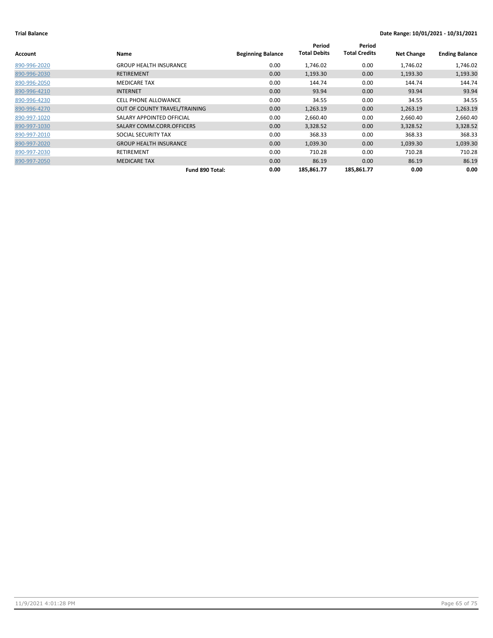| Account      | Name                          | <b>Beginning Balance</b> | Period<br><b>Total Debits</b> | Period<br><b>Total Credits</b> | <b>Net Change</b> | <b>Ending Balance</b> |
|--------------|-------------------------------|--------------------------|-------------------------------|--------------------------------|-------------------|-----------------------|
| 890-996-2020 | <b>GROUP HEALTH INSURANCE</b> | 0.00                     | 1,746.02                      | 0.00                           | 1,746.02          | 1,746.02              |
| 890-996-2030 | <b>RETIREMENT</b>             | 0.00                     | 1,193.30                      | 0.00                           | 1,193.30          | 1,193.30              |
| 890-996-2050 | <b>MEDICARE TAX</b>           | 0.00                     | 144.74                        | 0.00                           | 144.74            | 144.74                |
| 890-996-4210 | <b>INTERNET</b>               | 0.00                     | 93.94                         | 0.00                           | 93.94             | 93.94                 |
| 890-996-4230 | CELL PHONE ALLOWANCE          | 0.00                     | 34.55                         | 0.00                           | 34.55             | 34.55                 |
| 890-996-4270 | OUT OF COUNTY TRAVEL/TRAINING | 0.00                     | 1,263.19                      | 0.00                           | 1,263.19          | 1,263.19              |
| 890-997-1020 | SALARY APPOINTED OFFICIAL     | 0.00                     | 2,660.40                      | 0.00                           | 2,660.40          | 2,660.40              |
| 890-997-1030 | SALARY COMM.CORR.OFFICERS     | 0.00                     | 3,328.52                      | 0.00                           | 3,328.52          | 3,328.52              |
| 890-997-2010 | SOCIAL SECURITY TAX           | 0.00                     | 368.33                        | 0.00                           | 368.33            | 368.33                |
| 890-997-2020 | <b>GROUP HEALTH INSURANCE</b> | 0.00                     | 1,039.30                      | 0.00                           | 1,039.30          | 1,039.30              |
| 890-997-2030 | RETIREMENT                    | 0.00                     | 710.28                        | 0.00                           | 710.28            | 710.28                |
| 890-997-2050 | <b>MEDICARE TAX</b>           | 0.00                     | 86.19                         | 0.00                           | 86.19             | 86.19                 |
|              | Fund 890 Total:               | 0.00                     | 185,861.77                    | 185,861.77                     | 0.00              | 0.00                  |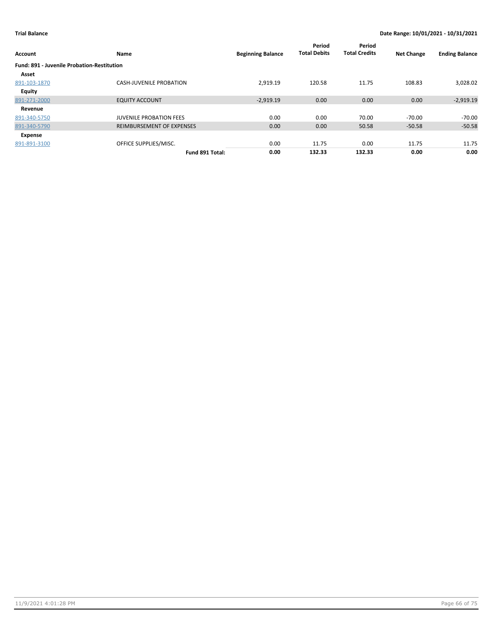| Account                                    | Name                           | <b>Beginning Balance</b> | Period<br><b>Total Debits</b> | Period<br><b>Total Credits</b> | <b>Net Change</b> | <b>Ending Balance</b> |
|--------------------------------------------|--------------------------------|--------------------------|-------------------------------|--------------------------------|-------------------|-----------------------|
| Fund: 891 - Juvenile Probation-Restitution |                                |                          |                               |                                |                   |                       |
| Asset                                      |                                |                          |                               |                                |                   |                       |
| 891-103-1870                               | <b>CASH-JUVENILE PROBATION</b> | 2,919.19                 | 120.58                        | 11.75                          | 108.83            | 3,028.02              |
| Equity                                     |                                |                          |                               |                                |                   |                       |
| 891-271-2000                               | <b>EQUITY ACCOUNT</b>          | $-2,919.19$              | 0.00                          | 0.00                           | 0.00              | $-2,919.19$           |
| Revenue                                    |                                |                          |                               |                                |                   |                       |
| 891-340-5750                               | <b>JUVENILE PROBATION FEES</b> | 0.00                     | 0.00                          | 70.00                          | $-70.00$          | -70.00                |
| 891-340-5790                               | REIMBURSEMENT OF EXPENSES      | 0.00                     | 0.00                          | 50.58                          | $-50.58$          | $-50.58$              |
| Expense                                    |                                |                          |                               |                                |                   |                       |
| 891-891-3100                               | OFFICE SUPPLIES/MISC.          | 0.00                     | 11.75                         | 0.00                           | 11.75             | 11.75                 |
|                                            | Fund 891 Total:                | 0.00                     | 132.33                        | 132.33                         | 0.00              | 0.00                  |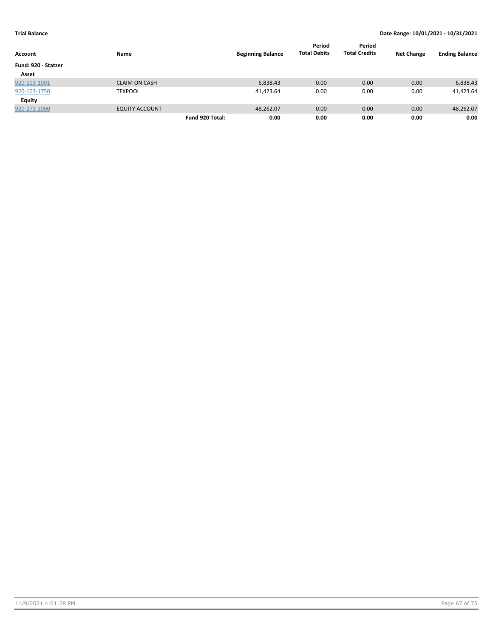|                     |                       |                 |                          | Period              | Period               |                   |                       |
|---------------------|-----------------------|-----------------|--------------------------|---------------------|----------------------|-------------------|-----------------------|
| Account             | Name                  |                 | <b>Beginning Balance</b> | <b>Total Debits</b> | <b>Total Credits</b> | <b>Net Change</b> | <b>Ending Balance</b> |
| Fund: 920 - Statzer |                       |                 |                          |                     |                      |                   |                       |
| Asset               |                       |                 |                          |                     |                      |                   |                       |
| 920-103-1001        | <b>CLAIM ON CASH</b>  |                 | 6,838.43                 | 0.00                | 0.00                 | 0.00              | 6,838.43              |
| 920-103-1750        | <b>TEXPOOL</b>        |                 | 41,423.64                | 0.00                | 0.00                 | 0.00              | 41,423.64             |
| Equity              |                       |                 |                          |                     |                      |                   |                       |
| 920-271-2000        | <b>EQUITY ACCOUNT</b> |                 | $-48,262.07$             | 0.00                | 0.00                 | 0.00              | $-48,262.07$          |
|                     |                       | Fund 920 Total: | 0.00                     | 0.00                | 0.00                 | 0.00              | 0.00                  |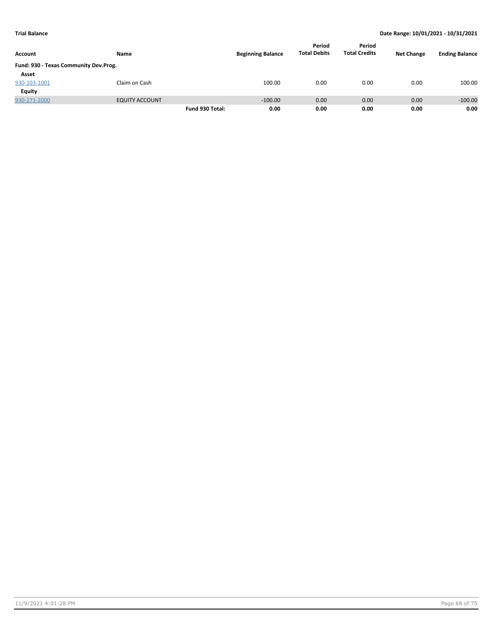| Account                               |                       | <b>Beginning Balance</b> | Period<br><b>Total Debits</b> | Period<br><b>Total Credits</b> | <b>Net Change</b> | <b>Ending Balance</b> |           |
|---------------------------------------|-----------------------|--------------------------|-------------------------------|--------------------------------|-------------------|-----------------------|-----------|
|                                       | <b>Name</b>           |                          |                               |                                |                   |                       |           |
| Fund: 930 - Texas Community Dev.Prog. |                       |                          |                               |                                |                   |                       |           |
| Asset                                 |                       |                          |                               |                                |                   |                       |           |
| 930-103-1001                          | Claim on Cash         |                          | 100.00                        | 0.00                           | 0.00              | 0.00                  | 100.00    |
| <b>Equity</b>                         |                       |                          |                               |                                |                   |                       |           |
| 930-271-2000                          | <b>EQUITY ACCOUNT</b> |                          | $-100.00$                     | 0.00                           | 0.00              | 0.00                  | $-100.00$ |
|                                       |                       | Fund 930 Total:          | 0.00                          | 0.00                           | 0.00              | 0.00                  | 0.00      |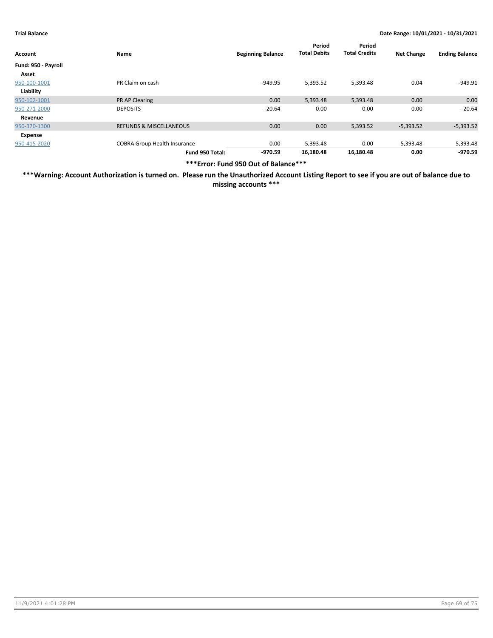| Account             | Name                                | <b>Beginning Balance</b> | Period<br><b>Total Debits</b> | Period<br><b>Total Credits</b> | <b>Net Change</b> | <b>Ending Balance</b> |
|---------------------|-------------------------------------|--------------------------|-------------------------------|--------------------------------|-------------------|-----------------------|
| Fund: 950 - Payroll |                                     |                          |                               |                                |                   |                       |
| Asset               |                                     |                          |                               |                                |                   |                       |
| 950-100-1001        | PR Claim on cash                    | $-949.95$                | 5,393.52                      | 5,393.48                       | 0.04              | -949.91               |
| Liability           |                                     |                          |                               |                                |                   |                       |
| 950-102-1001        | <b>PR AP Clearing</b>               | 0.00                     | 5,393.48                      | 5,393.48                       | 0.00              | 0.00                  |
| 950-271-2000        | <b>DEPOSITS</b>                     | $-20.64$                 | 0.00                          | 0.00                           | 0.00              | $-20.64$              |
| Revenue             |                                     |                          |                               |                                |                   |                       |
| 950-370-1300        | <b>REFUNDS &amp; MISCELLANEOUS</b>  | 0.00                     | 0.00                          | 5,393.52                       | $-5,393.52$       | $-5,393.52$           |
| Expense             |                                     |                          |                               |                                |                   |                       |
| 950-415-2020        | <b>COBRA Group Health Insurance</b> | 0.00                     | 5,393.48                      | 0.00                           | 5,393.48          | 5,393.48              |
|                     | Fund 950 Total:                     | $-970.59$                | 16,180.48                     | 16,180.48                      | 0.00              | -970.59               |

**\*\*\*Error: Fund 950 Out of Balance\*\*\***

**\*\*\*Warning: Account Authorization is turned on. Please run the Unauthorized Account Listing Report to see if you are out of balance due to missing accounts \*\*\***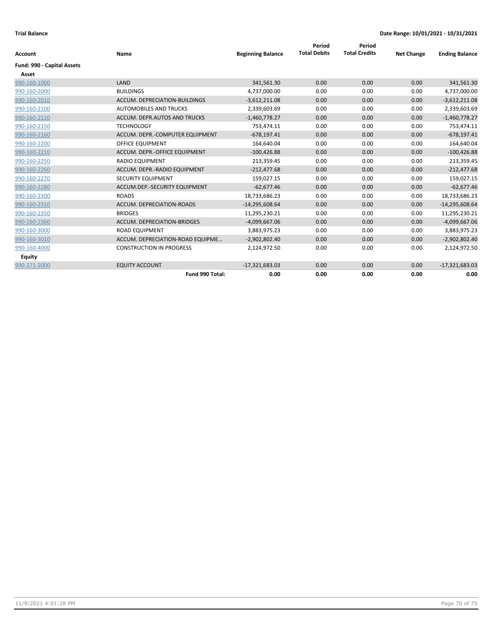| Account                    | Name                             | <b>Beginning Balance</b> | Period<br><b>Total Debits</b> | Period<br><b>Total Credits</b> | <b>Net Change</b> | <b>Ending Balance</b> |
|----------------------------|----------------------------------|--------------------------|-------------------------------|--------------------------------|-------------------|-----------------------|
|                            |                                  |                          |                               |                                |                   |                       |
| Fund: 990 - Capital Assets |                                  |                          |                               |                                |                   |                       |
| Asset                      |                                  |                          |                               |                                |                   |                       |
| 990-160-1000               | LAND                             | 341,561.30               | 0.00                          | 0.00                           | 0.00              | 341,561.30            |
| 990-160-2000               | <b>BUILDINGS</b>                 | 4,737,000.00             | 0.00                          | 0.00                           | 0.00              | 4,737,000.00          |
| 990-160-2010               | ACCUM. DEPRECIATION-BUILDINGS    | $-3,612,211.08$          | 0.00                          | 0.00                           | 0.00              | $-3,612,211.08$       |
| 990-160-2100               | <b>AUTOMOBILES AND TRUCKS</b>    | 2,339,603.69             | 0.00                          | 0.00                           | 0.00              | 2,339,603.69          |
| 990-160-2110               | ACCUM. DEPR.AUTOS AND TRUCKS     | $-1,460,778.27$          | 0.00                          | 0.00                           | 0.00              | $-1,460,778.27$       |
| 990-160-2150               | <b>TECHNOLOGY</b>                | 753.474.11               | 0.00                          | 0.00                           | 0.00              | 753,474.11            |
| 990-160-2160               | ACCUM. DEPR.-COMPUTER EQUIPMENT  | $-678,197.41$            | 0.00                          | 0.00                           | 0.00              | $-678,197.41$         |
| 990-160-2200               | <b>OFFICE EQUIPMENT</b>          | 164,640.04               | 0.00                          | 0.00                           | 0.00              | 164,640.04            |
| 990-160-2210               | ACCUM. DEPR.-OFFICE EQUIPMENT    | $-100,426.88$            | 0.00                          | 0.00                           | 0.00              | $-100,426.88$         |
| 990-160-2250               | <b>RADIO EQUIPMENT</b>           | 213,359.45               | 0.00                          | 0.00                           | 0.00              | 213,359.45            |
| 990-160-2260               | ACCUM. DEPR.-RADIO EQUIPMENT     | $-212.477.68$            | 0.00                          | 0.00                           | 0.00              | $-212,477.68$         |
| 990-160-2270               | SECURITY EQUIPMENT               | 159,027.15               | 0.00                          | 0.00                           | 0.00              | 159,027.15            |
| 990-160-2280               | ACCUM.DEP.-SECURITY EQUIPMENT    | $-62,677.46$             | 0.00                          | 0.00                           | 0.00              | $-62,677.46$          |
| 990-160-2300               | <b>ROADS</b>                     | 18,733,686.23            | 0.00                          | 0.00                           | 0.00              | 18,733,686.23         |
| 990-160-2310               | ACCUM. DEPRECIATION-ROADS        | $-14,295,608.64$         | 0.00                          | 0.00                           | 0.00              | $-14,295,608.64$      |
| 990-160-2350               | <b>BRIDGES</b>                   | 11,295,230.21            | 0.00                          | 0.00                           | 0.00              | 11,295,230.21         |
| 990-160-2360               | ACCUM. DEPRECIATION-BRIDGES      | $-4,099,667.06$          | 0.00                          | 0.00                           | 0.00              | $-4,099,667.06$       |
| 990-160-3000               | <b>ROAD EQUIPMENT</b>            | 3,883,975.23             | 0.00                          | 0.00                           | 0.00              | 3,883,975.23          |
| 990-160-3010               | ACCUM. DEPRECIATION-ROAD EQUIPME | $-2,902,802.40$          | 0.00                          | 0.00                           | 0.00              | $-2,902,802.40$       |
| 990-160-4000               | <b>CONSTRUCTION IN PROGRESS</b>  | 2,124,972.50             | 0.00                          | 0.00                           | 0.00              | 2,124,972.50          |
| <b>Equity</b>              |                                  |                          |                               |                                |                   |                       |
| 990-271-2000               | <b>EQUITY ACCOUNT</b>            | $-17,321,683.03$         | 0.00                          | 0.00                           | 0.00              | $-17,321,683.03$      |
|                            | Fund 990 Total:                  | 0.00                     | 0.00                          | 0.00                           | 0.00              | 0.00                  |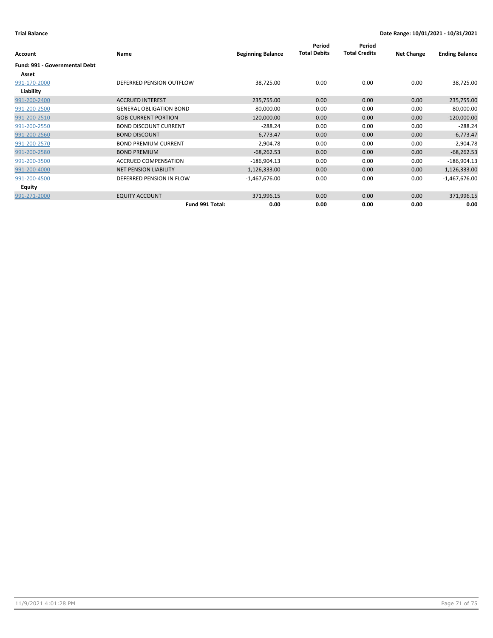|                                      |                                |                          | Period<br><b>Total Debits</b> | Period<br><b>Total Credits</b> |                   |                       |
|--------------------------------------|--------------------------------|--------------------------|-------------------------------|--------------------------------|-------------------|-----------------------|
| <b>Account</b>                       | Name                           | <b>Beginning Balance</b> |                               |                                | <b>Net Change</b> | <b>Ending Balance</b> |
| <b>Fund: 991 - Governmental Debt</b> |                                |                          |                               |                                |                   |                       |
| Asset                                |                                |                          |                               |                                |                   |                       |
| 991-170-2000                         | DEFERRED PENSION OUTFLOW       | 38,725.00                | 0.00                          | 0.00                           | 0.00              | 38,725.00             |
| Liability                            |                                |                          |                               |                                |                   |                       |
| 991-200-2400                         | <b>ACCRUED INTEREST</b>        | 235,755.00               | 0.00                          | 0.00                           | 0.00              | 235,755.00            |
| 991-200-2500                         | <b>GENERAL OBLIGATION BOND</b> | 80,000.00                | 0.00                          | 0.00                           | 0.00              | 80,000.00             |
| 991-200-2510                         | <b>GOB-CURRENT PORTION</b>     | $-120,000.00$            | 0.00                          | 0.00                           | 0.00              | $-120,000.00$         |
| 991-200-2550                         | <b>BOND DISCOUNT CURRENT</b>   | $-288.24$                | 0.00                          | 0.00                           | 0.00              | $-288.24$             |
| 991-200-2560                         | <b>BOND DISCOUNT</b>           | $-6,773.47$              | 0.00                          | 0.00                           | 0.00              | $-6,773.47$           |
| 991-200-2570                         | <b>BOND PREMIUM CURRENT</b>    | $-2,904.78$              | 0.00                          | 0.00                           | 0.00              | $-2,904.78$           |
| 991-200-2580                         | <b>BOND PREMIUM</b>            | $-68,262.53$             | 0.00                          | 0.00                           | 0.00              | $-68,262.53$          |
| 991-200-3500                         | <b>ACCRUED COMPENSATION</b>    | $-186,904.13$            | 0.00                          | 0.00                           | 0.00              | $-186,904.13$         |
| 991-200-4000                         | <b>NET PENSION LIABILITY</b>   | 1,126,333.00             | 0.00                          | 0.00                           | 0.00              | 1,126,333.00          |
| 991-200-4500                         | DEFERRED PENSION IN FLOW       | $-1,467,676.00$          | 0.00                          | 0.00                           | 0.00              | $-1,467,676.00$       |
| Equity                               |                                |                          |                               |                                |                   |                       |
| 991-271-2000                         | <b>EQUITY ACCOUNT</b>          | 371,996.15               | 0.00                          | 0.00                           | 0.00              | 371,996.15            |
|                                      | Fund 991 Total:                | 0.00                     | 0.00                          | 0.00                           | 0.00              | 0.00                  |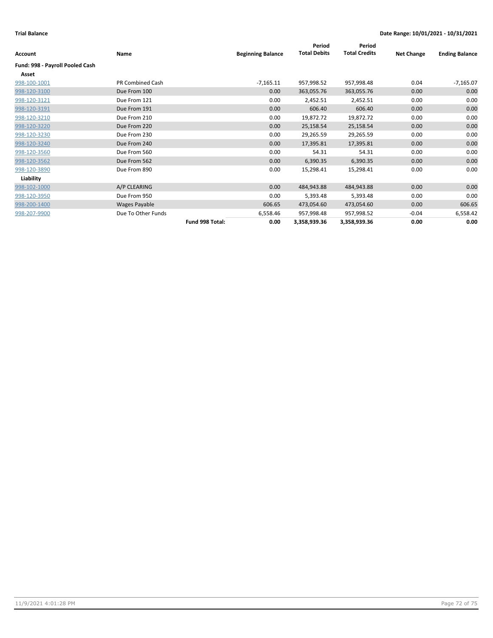|                                 |                    |                 |                          | Period              | Period               |                   |                       |
|---------------------------------|--------------------|-----------------|--------------------------|---------------------|----------------------|-------------------|-----------------------|
| Account                         | Name               |                 | <b>Beginning Balance</b> | <b>Total Debits</b> | <b>Total Credits</b> | <b>Net Change</b> | <b>Ending Balance</b> |
| Fund: 998 - Payroll Pooled Cash |                    |                 |                          |                     |                      |                   |                       |
| Asset                           |                    |                 |                          |                     |                      |                   |                       |
| 998-100-1001                    | PR Combined Cash   |                 | $-7,165.11$              | 957,998.52          | 957,998.48           | 0.04              | $-7,165.07$           |
| 998-120-3100                    | Due From 100       |                 | 0.00                     | 363,055.76          | 363,055.76           | 0.00              | 0.00                  |
| 998-120-3121                    | Due From 121       |                 | 0.00                     | 2,452.51            | 2,452.51             | 0.00              | 0.00                  |
| 998-120-3191                    | Due From 191       |                 | 0.00                     | 606.40              | 606.40               | 0.00              | 0.00                  |
| 998-120-3210                    | Due From 210       |                 | 0.00                     | 19,872.72           | 19,872.72            | 0.00              | 0.00                  |
| 998-120-3220                    | Due From 220       |                 | 0.00                     | 25,158.54           | 25,158.54            | 0.00              | 0.00                  |
| 998-120-3230                    | Due From 230       |                 | 0.00                     | 29,265.59           | 29,265.59            | 0.00              | 0.00                  |
| 998-120-3240                    | Due From 240       |                 | 0.00                     | 17,395.81           | 17,395.81            | 0.00              | 0.00                  |
| 998-120-3560                    | Due From 560       |                 | 0.00                     | 54.31               | 54.31                | 0.00              | 0.00                  |
| 998-120-3562                    | Due From 562       |                 | 0.00                     | 6,390.35            | 6,390.35             | 0.00              | 0.00                  |
| 998-120-3890                    | Due From 890       |                 | 0.00                     | 15,298.41           | 15,298.41            | 0.00              | 0.00                  |
| Liability                       |                    |                 |                          |                     |                      |                   |                       |
| 998-102-1000                    | A/P CLEARING       |                 | 0.00                     | 484,943.88          | 484,943.88           | 0.00              | 0.00                  |
| 998-120-3950                    | Due From 950       |                 | 0.00                     | 5,393.48            | 5,393.48             | 0.00              | 0.00                  |
| 998-200-1400                    | Wages Payable      |                 | 606.65                   | 473,054.60          | 473,054.60           | 0.00              | 606.65                |
| 998-207-9900                    | Due To Other Funds |                 | 6,558.46                 | 957,998.48          | 957,998.52           | $-0.04$           | 6,558.42              |
|                                 |                    | Fund 998 Total: | 0.00                     | 3,358,939.36        | 3,358,939.36         | 0.00              | 0.00                  |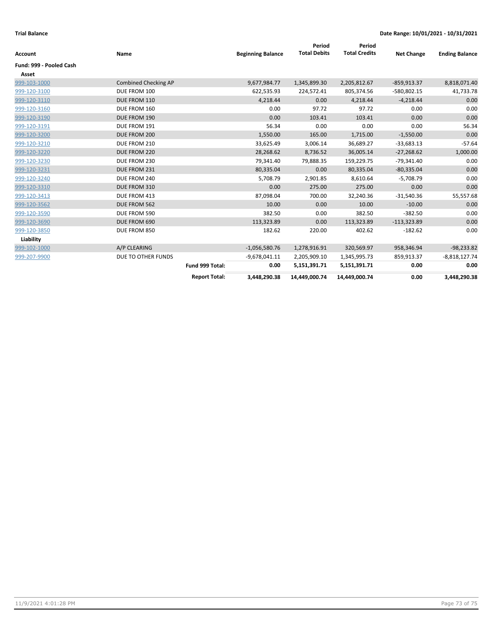| <b>Account</b>          | Name                        |                      | <b>Beginning Balance</b> | Period<br><b>Total Debits</b> | Period<br><b>Total Credits</b> | <b>Net Change</b> | <b>Ending Balance</b> |
|-------------------------|-----------------------------|----------------------|--------------------------|-------------------------------|--------------------------------|-------------------|-----------------------|
| Fund: 999 - Pooled Cash |                             |                      |                          |                               |                                |                   |                       |
| Asset                   |                             |                      |                          |                               |                                |                   |                       |
| 999-103-1000            | <b>Combined Checking AP</b> |                      | 9,677,984.77             | 1,345,899.30                  | 2,205,812.67                   | $-859,913.37$     | 8,818,071.40          |
| 999-120-3100            | DUE FROM 100                |                      | 622,535.93               | 224,572.41                    | 805,374.56                     | -580,802.15       | 41,733.78             |
| 999-120-3110            | DUE FROM 110                |                      | 4,218.44                 | 0.00                          | 4,218.44                       | $-4,218.44$       | 0.00                  |
| 999-120-3160            | DUE FROM 160                |                      | 0.00                     | 97.72                         | 97.72                          | 0.00              | 0.00                  |
| 999-120-3190            | DUE FROM 190                |                      | 0.00                     | 103.41                        | 103.41                         | 0.00              | 0.00                  |
| 999-120-3191            | DUE FROM 191                |                      | 56.34                    | 0.00                          | 0.00                           | 0.00              | 56.34                 |
| 999-120-3200            | DUE FROM 200                |                      | 1,550.00                 | 165.00                        | 1,715.00                       | $-1,550.00$       | 0.00                  |
| 999-120-3210            | DUE FROM 210                |                      | 33,625.49                | 3,006.14                      | 36,689.27                      | $-33,683.13$      | $-57.64$              |
| 999-120-3220            | DUE FROM 220                |                      | 28,268.62                | 8,736.52                      | 36,005.14                      | $-27,268.62$      | 1,000.00              |
| 999-120-3230            | DUE FROM 230                |                      | 79,341.40                | 79,888.35                     | 159,229.75                     | $-79,341.40$      | 0.00                  |
| 999-120-3231            | DUE FROM 231                |                      | 80,335.04                | 0.00                          | 80,335.04                      | $-80,335.04$      | 0.00                  |
| 999-120-3240            | DUE FROM 240                |                      | 5,708.79                 | 2,901.85                      | 8,610.64                       | $-5,708.79$       | 0.00                  |
| 999-120-3310            | DUE FROM 310                |                      | 0.00                     | 275.00                        | 275.00                         | 0.00              | 0.00                  |
| 999-120-3413            | DUE FROM 413                |                      | 87,098.04                | 700.00                        | 32,240.36                      | $-31,540.36$      | 55,557.68             |
| 999-120-3562            | DUE FROM 562                |                      | 10.00                    | 0.00                          | 10.00                          | $-10.00$          | 0.00                  |
| 999-120-3590            | DUE FROM 590                |                      | 382.50                   | 0.00                          | 382.50                         | $-382.50$         | 0.00                  |
| 999-120-3690            | DUE FROM 690                |                      | 113,323.89               | 0.00                          | 113,323.89                     | $-113,323.89$     | 0.00                  |
| 999-120-3850            | DUE FROM 850                |                      | 182.62                   | 220.00                        | 402.62                         | $-182.62$         | 0.00                  |
| Liability               |                             |                      |                          |                               |                                |                   |                       |
| 999-102-1000            | A/P CLEARING                |                      | $-1,056,580.76$          | 1,278,916.91                  | 320,569.97                     | 958,346.94        | $-98,233.82$          |
| 999-207-9900            | DUE TO OTHER FUNDS          |                      | $-9,678,041.11$          | 2,205,909.10                  | 1,345,995.73                   | 859,913.37        | $-8,818,127.74$       |
|                         |                             | Fund 999 Total:      | 0.00                     | 5,151,391.71                  | 5,151,391.71                   | 0.00              | 0.00                  |
|                         |                             | <b>Report Total:</b> | 3,448,290.38             | 14,449,000.74                 | 14,449,000.74                  | 0.00              | 3,448,290.38          |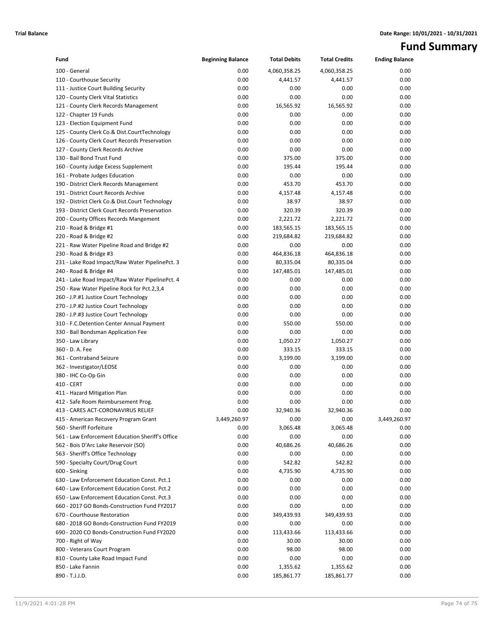## **Fund Summary**

| Fund                                                                | <b>Beginning Balance</b> | <b>Total Debits</b> | <b>Total Credits</b> | <b>Ending Balance</b> |
|---------------------------------------------------------------------|--------------------------|---------------------|----------------------|-----------------------|
| 100 - General                                                       | 0.00                     | 4,060,358.25        | 4,060,358.25         | 0.00                  |
| 110 - Courthouse Security                                           | 0.00                     | 4,441.57            | 4,441.57             | 0.00                  |
| 111 - Justice Court Building Security                               | 0.00                     | 0.00                | 0.00                 | 0.00                  |
| 120 - County Clerk Vital Statistics                                 | 0.00                     | 0.00                | 0.00                 | 0.00                  |
| 121 - County Clerk Records Management                               | 0.00                     | 16,565.92           | 16,565.92            | 0.00                  |
| 122 - Chapter 19 Funds                                              | 0.00                     | 0.00                | 0.00                 | 0.00                  |
| 123 - Election Equipment Fund                                       | 0.00                     | 0.00                | 0.00                 | 0.00                  |
| 125 - County Clerk Co.& Dist.CourtTechnology                        | 0.00                     | 0.00                | 0.00                 | 0.00                  |
| 126 - County Clerk Court Records Preservation                       | 0.00                     | 0.00                | 0.00                 | 0.00                  |
| 127 - County Clerk Records Archive                                  | 0.00                     | 0.00                | 0.00                 | 0.00                  |
| 130 - Bail Bond Trust Fund                                          | 0.00                     | 375.00              | 375.00               | 0.00                  |
| 160 - County Judge Excess Supplement                                | 0.00                     | 195.44              | 195.44               | 0.00                  |
| 161 - Probate Judges Education                                      | 0.00                     | 0.00                | 0.00                 | 0.00                  |
| 190 - District Clerk Records Management                             | 0.00                     | 453.70              | 453.70               | 0.00                  |
| 191 - District Court Records Archive                                | 0.00                     | 4,157.48            | 4,157.48             | 0.00                  |
| 192 - District Clerk Co.& Dist.Court Technology                     | 0.00                     | 38.97               | 38.97                | 0.00                  |
| 193 - District Clerk Court Records Preservation                     | 0.00                     | 320.39              | 320.39               | 0.00                  |
| 200 - County Offices Records Mangement                              | 0.00                     | 2,221.72            | 2,221.72             | 0.00                  |
| 210 - Road & Bridge #1                                              | 0.00                     | 183,565.15          | 183,565.15           | 0.00                  |
| 220 - Road & Bridge #2                                              | 0.00                     | 219,684.82          | 219,684.82           | 0.00                  |
| 221 - Raw Water Pipeline Road and Bridge #2                         | 0.00                     | 0.00                | 0.00                 | 0.00                  |
| 230 - Road & Bridge #3                                              | 0.00                     | 464,836.18          | 464,836.18           | 0.00                  |
| 231 - Lake Road Impact/Raw Water PipelinePct. 3                     | 0.00                     | 80,335.04           | 80,335.04            | 0.00                  |
| 240 - Road & Bridge #4                                              | 0.00                     | 147,485.01          | 147,485.01           | 0.00                  |
| 241 - Lake Road Impact/Raw Water PipelinePct. 4                     | 0.00                     | 0.00                | 0.00                 | 0.00                  |
| 250 - Raw Water Pipeline Rock for Pct.2,3,4                         | 0.00                     | 0.00                | 0.00                 | 0.00                  |
| 260 - J.P.#1 Justice Court Technology                               | 0.00                     | 0.00                | 0.00                 | 0.00                  |
| 270 - J.P.#2 Justice Court Technology                               | 0.00                     | 0.00                | 0.00                 | 0.00                  |
| 280 - J.P.#3 Justice Court Technology                               | 0.00                     | 0.00                | 0.00                 | 0.00                  |
| 310 - F.C.Detention Center Annual Payment                           | 0.00                     | 550.00              | 550.00               | 0.00                  |
| 330 - Bail Bondsman Application Fee                                 | 0.00                     | 0.00                | 0.00                 | 0.00                  |
| 350 - Law Library                                                   | 0.00                     | 1,050.27            | 1,050.27             | 0.00                  |
| 360 - D. A. Fee                                                     | 0.00                     | 333.15              | 333.15               | 0.00                  |
| 361 - Contraband Seizure                                            | 0.00                     | 3,199.00            | 3,199.00             | 0.00                  |
| 362 - Investigator/LEOSE                                            | 0.00                     | 0.00                | 0.00                 | 0.00                  |
| 380 - IHC Co-Op Gin                                                 | 0.00                     | 0.00                | 0.00                 | 0.00                  |
| 410 - CERT                                                          | 0.00                     | 0.00                | 0.00                 | 0.00                  |
| 411 - Hazard Mitigation Plan<br>412 - Safe Room Reimbursement Prog. | 0.00<br>0.00             | 0.00<br>0.00        | 0.00<br>0.00         | 0.00                  |
| 413 - CARES ACT-CORONAVIRUS RELIEF                                  | 0.00                     | 32,940.36           | 32,940.36            | 0.00<br>0.00          |
| 415 - American Recovery Program Grant                               | 3,449,260.97             | 0.00                | 0.00                 | 3,449,260.97          |
| 560 - Sheriff Forfeiture                                            | 0.00                     | 3,065.48            | 3,065.48             | 0.00                  |
| 561 - Law Enforcement Education Sheriff's Office                    | 0.00                     | 0.00                | 0.00                 | 0.00                  |
| 562 - Bois D'Arc Lake Reservoir (SO)                                | 0.00                     | 40,686.26           | 40,686.26            | 0.00                  |
| 563 - Sheriff's Office Technology                                   | 0.00                     | 0.00                | 0.00                 | 0.00                  |
| 590 - Specialty Court/Drug Court                                    | 0.00                     | 542.82              | 542.82               | 0.00                  |
| 600 - Sinking                                                       | 0.00                     | 4,735.90            | 4,735.90             | 0.00                  |
| 630 - Law Enforcement Education Const. Pct.1                        | 0.00                     | 0.00                | 0.00                 | 0.00                  |
| 640 - Law Enforcement Education Const. Pct.2                        | 0.00                     | 0.00                | 0.00                 | 0.00                  |
| 650 - Law Enforcement Education Const. Pct.3                        | 0.00                     | 0.00                | 0.00                 | 0.00                  |
| 660 - 2017 GO Bonds-Construction Fund FY2017                        | 0.00                     | 0.00                | 0.00                 | 0.00                  |
| 670 - Courthouse Restoration                                        | 0.00                     | 349,439.93          | 349,439.93           | 0.00                  |
| 680 - 2018 GO Bonds-Construction Fund FY2019                        | 0.00                     | 0.00                | 0.00                 | 0.00                  |
| 690 - 2020 CO Bonds-Construction Fund FY2020                        | 0.00                     | 113,433.66          | 113,433.66           | 0.00                  |
| 700 - Right of Way                                                  | 0.00                     | 30.00               | 30.00                | 0.00                  |
| 800 - Veterans Court Program                                        | 0.00                     | 98.00               | 98.00                | 0.00                  |
| 810 - County Lake Road Impact Fund                                  | 0.00                     | 0.00                | 0.00                 | 0.00                  |
| 850 - Lake Fannin                                                   | 0.00                     | 1,355.62            | 1,355.62             | 0.00                  |
| 890 - T.J.J.D.                                                      | 0.00                     | 185,861.77          | 185,861.77           | 0.00                  |